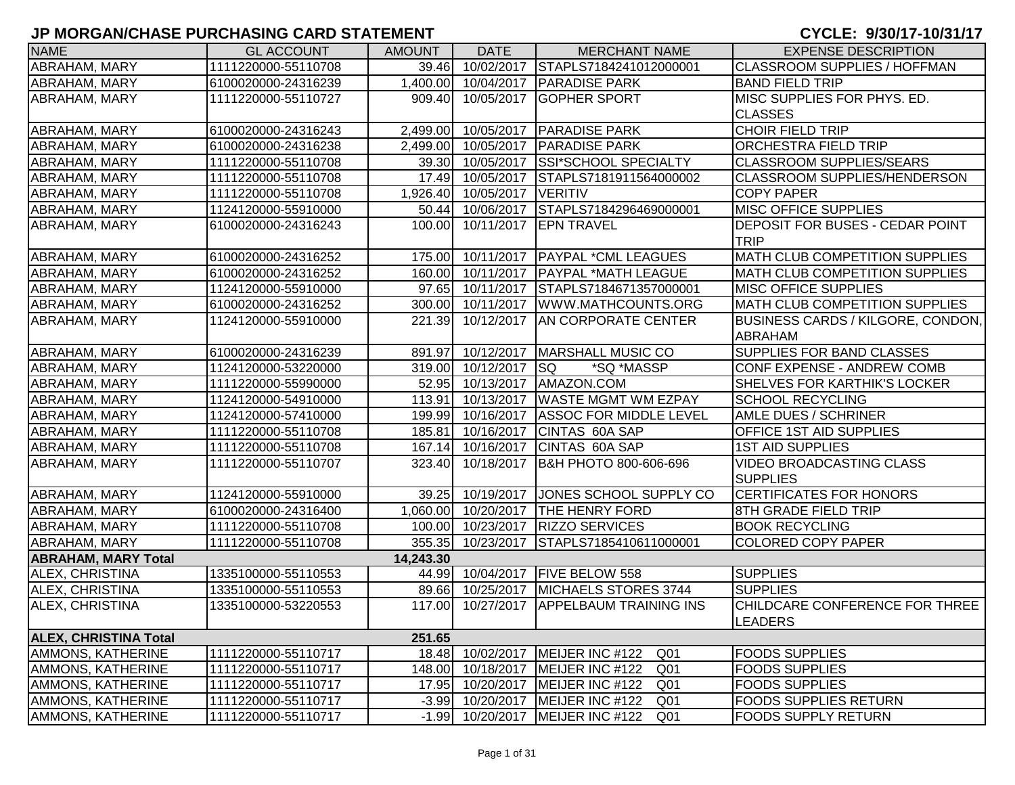| <b>NAME</b>                  | <b>GL ACCOUNT</b>   | <b>AMOUNT</b> | <b>DATE</b>         | <b>MERCHANT NAME</b>                  | <b>EXPENSE DESCRIPTION</b>                         |
|------------------------------|---------------------|---------------|---------------------|---------------------------------------|----------------------------------------------------|
| ABRAHAM, MARY                | 1111220000-55110708 |               | 39.46 10/02/2017    | STAPLS7184241012000001                | CLASSROOM SUPPLIES / HOFFMAN                       |
| ABRAHAM, MARY                | 6100020000-24316239 |               | 1,400.00 10/04/2017 | <b>PARADISE PARK</b>                  | <b>BAND FIELD TRIP</b>                             |
| ABRAHAM, MARY                | 1111220000-55110727 |               | 909.40 10/05/2017   | <b>IGOPHER SPORT</b>                  | MISC SUPPLIES FOR PHYS. ED.                        |
|                              |                     |               |                     |                                       | <b>CLASSES</b>                                     |
| ABRAHAM, MARY                | 6100020000-24316243 |               |                     | 2,499.00 10/05/2017 PARADISE PARK     | <b>CHOIR FIELD TRIP</b>                            |
| ABRAHAM, MARY                | 6100020000-24316238 |               | 2,499.00 10/05/2017 | <b>PARADISE PARK</b>                  | ORCHESTRA FIELD TRIP                               |
| ABRAHAM, MARY                | 1111220000-55110708 |               | 39.30 10/05/2017    | <b>SSI*SCHOOL SPECIALTY</b>           | <b>CLASSROOM SUPPLIES/SEARS</b>                    |
| ABRAHAM, MARY                | 1111220000-55110708 |               | 17.49 10/05/2017    | STAPLS7181911564000002                | <b>CLASSROOM SUPPLIES/HENDERSON</b>                |
| ABRAHAM, MARY                | 1111220000-55110708 |               | 1,926.40 10/05/2017 | <b>VERITIV</b>                        | <b>COPY PAPER</b>                                  |
| <b>ABRAHAM, MARY</b>         | 1124120000-55910000 |               | 50.44 10/06/2017    | STAPLS7184296469000001                | <b>MISC OFFICE SUPPLIES</b>                        |
| ABRAHAM, MARY                | 6100020000-24316243 | 100.00        | 10/11/2017          | <b>EPN TRAVEL</b>                     | DEPOSIT FOR BUSES - CEDAR POINT                    |
|                              |                     |               |                     |                                       | <b>TRIP</b>                                        |
| ABRAHAM, MARY                | 6100020000-24316252 | 175.00        |                     | 10/11/2017   PAYPAL * CML LEAGUES     | MATH CLUB COMPETITION SUPPLIES                     |
| ABRAHAM, MARY                | 6100020000-24316252 |               | 160.00 10/11/2017   | <b>PAYPAL *MATH LEAGUE</b>            | <b>MATH CLUB COMPETITION SUPPLIES</b>              |
| ABRAHAM, MARY                | 1124120000-55910000 |               | 97.65 10/11/2017    | STAPLS7184671357000001                | <b>MISC OFFICE SUPPLIES</b>                        |
| ABRAHAM, MARY                | 6100020000-24316252 |               | 300.00 10/11/2017   | WWW.MATHCOUNTS.ORG                    | <b>MATH CLUB COMPETITION SUPPLIES</b>              |
| ABRAHAM, MARY                | 1124120000-55910000 | 221.39        | 10/12/2017          | <b>AN CORPORATE CENTER</b>            | BUSINESS CARDS / KILGORE, CONDON,                  |
|                              |                     |               |                     |                                       | ABRAHAM                                            |
| ABRAHAM, MARY                | 6100020000-24316239 |               |                     | 891.97 10/12/2017   MARSHALL MUSIC CO | SUPPLIES FOR BAND CLASSES                          |
| ABRAHAM, MARY                | 1124120000-53220000 |               | 319.00 10/12/2017   | <b>ISQ</b><br>*SQ *MASSP              | CONF EXPENSE - ANDREW COMB                         |
| ABRAHAM, MARY                | 1111220000-55990000 |               | 52.95 10/13/2017    | AMAZON.COM                            | SHELVES FOR KARTHIK'S LOCKER                       |
| ABRAHAM, MARY                | 1124120000-54910000 |               |                     | 113.91 10/13/2017 WASTE MGMT WM EZPAY | <b>SCHOOL RECYCLING</b>                            |
| ABRAHAM, MARY                | 1124120000-57410000 |               | 199.99 10/16/2017   | <b>ASSOC FOR MIDDLE LEVEL</b>         | <b>AMLE DUES / SCHRINER</b>                        |
| ABRAHAM, MARY                | 1111220000-55110708 |               | 185.81 10/16/2017   | CINTAS 60A SAP                        | OFFICE 1ST AID SUPPLIES                            |
| ABRAHAM, MARY                | 1111220000-55110708 |               | 167.14 10/16/2017   | CINTAS 60A SAP                        | <b>1ST AID SUPPLIES</b>                            |
| ABRAHAM, MARY                | 1111220000-55110707 |               | 323.40 10/18/2017   | B&H PHOTO 800-606-696                 | <b>VIDEO BROADCASTING CLASS</b><br><b>SUPPLIES</b> |
| ABRAHAM, MARY                | 1124120000-55910000 | 39.25         | 10/19/2017          | JONES SCHOOL SUPPLY CO                | <b>CERTIFICATES FOR HONORS</b>                     |
| ABRAHAM, MARY                | 6100020000-24316400 |               | 1,060.00 10/20/2017 | <b>THE HENRY FORD</b>                 | 8TH GRADE FIELD TRIP                               |
| ABRAHAM, MARY                | 1111220000-55110708 |               | 100.00 10/23/2017   | <b>RIZZO SERVICES</b>                 | <b>BOOK RECYCLING</b>                              |
| ABRAHAM, MARY                | 1111220000-55110708 |               | 355.35 10/23/2017   | STAPLS7185410611000001                | <b>COLORED COPY PAPER</b>                          |
| <b>ABRAHAM, MARY Total</b>   |                     | 14,243.30     |                     |                                       |                                                    |
| ALEX, CHRISTINA              | 1335100000-55110553 |               | 44.99 10/04/2017    | <b>FIVE BELOW 558</b>                 | <b>SUPPLIES</b>                                    |
| ALEX, CHRISTINA              | 1335100000-55110553 | 89.66         | 10/25/2017          | MICHAELS STORES 3744                  | <b>SUPPLIES</b>                                    |
| ALEX, CHRISTINA              | 1335100000-53220553 |               | 117.00 10/27/2017   | <b>APPELBAUM TRAINING INS</b>         | CHILDCARE CONFERENCE FOR THREE                     |
|                              |                     |               |                     |                                       | <b>LEADERS</b>                                     |
| <b>ALEX, CHRISTINA Total</b> |                     | 251.65        |                     |                                       |                                                    |
| AMMONS, KATHERINE            | 1111220000-55110717 | 18.48         | 10/02/2017          | MEIJER INC #122<br>Q <sub>01</sub>    | <b>FOODS SUPPLIES</b>                              |
| AMMONS, KATHERINE            | 1111220000-55110717 | 148.00        | 10/18/2017          | MEIJER INC #122<br>Q <sub>01</sub>    | <b>FOODS SUPPLIES</b>                              |
| AMMONS, KATHERINE            | 1111220000-55110717 | 17.95         | 10/20/2017          | Q <sub>01</sub><br>MEIJER INC #122    | <b>FOODS SUPPLIES</b>                              |
| AMMONS, KATHERINE            | 1111220000-55110717 | $-3.99$       | 10/20/2017          | MEIJER INC #122<br>Q <sub>01</sub>    | <b>FOODS SUPPLIES RETURN</b>                       |
| AMMONS, KATHERINE            | 1111220000-55110717 | $-1.99$       | 10/20/2017          | MEIJER INC #122<br>Q <sub>01</sub>    | <b>FOODS SUPPLY RETURN</b>                         |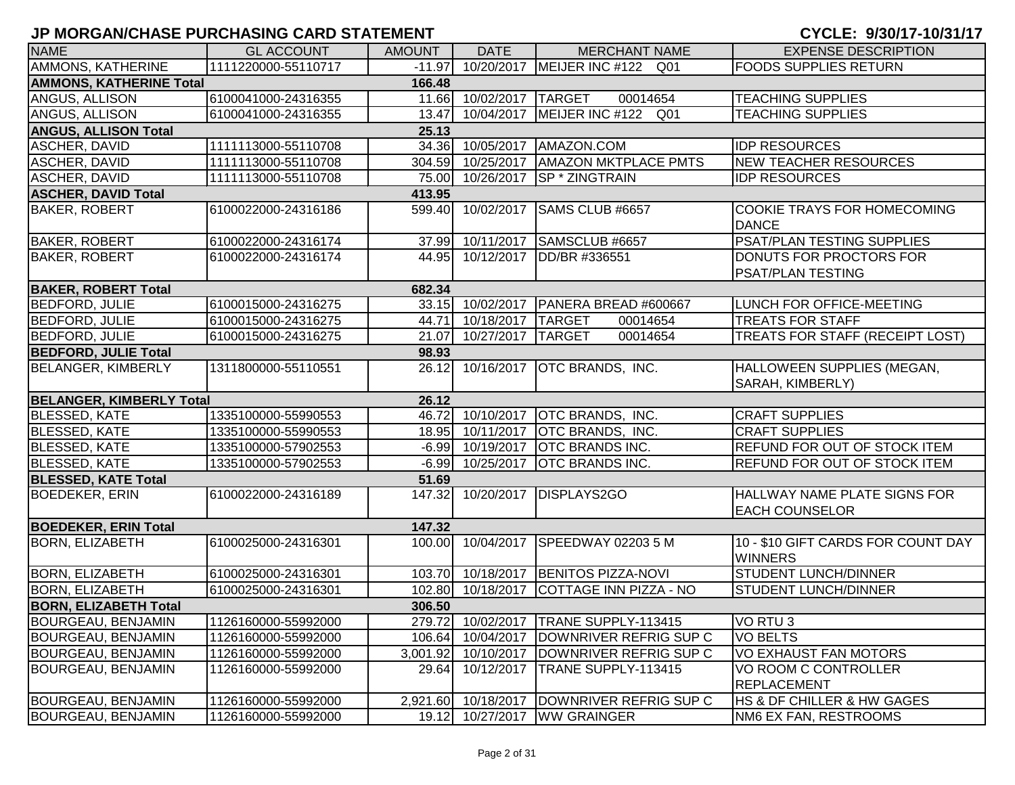| <b>NAME</b>                     | <b>GL ACCOUNT</b>   | <b>AMOUNT</b> | <b>DATE</b>         | <b>MERCHANT NAME</b>                  | <b>EXPENSE DESCRIPTION</b>                            |
|---------------------------------|---------------------|---------------|---------------------|---------------------------------------|-------------------------------------------------------|
| AMMONS, KATHERINE               | 1111220000-55110717 | $-11.97$      |                     | 10/20/2017 MEIJER INC #122 Q01        | <b>FOODS SUPPLIES RETURN</b>                          |
| <b>AMMONS, KATHERINE Total</b>  |                     | 166.48        |                     |                                       |                                                       |
| ANGUS, ALLISON                  | 6100041000-24316355 |               | 11.66 10/02/2017    | <b>TARGET</b><br>00014654             | <b>TEACHING SUPPLIES</b>                              |
| ANGUS, ALLISON                  | 6100041000-24316355 | 13.47         | 10/04/2017          | MEIJER INC #122 Q01                   | <b>TEACHING SUPPLIES</b>                              |
| <b>ANGUS, ALLISON Total</b>     |                     | 25.13         |                     |                                       |                                                       |
| ASCHER, DAVID                   | 1111113000-55110708 |               | 34.36 10/05/2017    | AMAZON.COM                            | <b>IDP RESOURCES</b>                                  |
| ASCHER, DAVID                   | 1111113000-55110708 |               | 304.59 10/25/2017   | <b>AMAZON MKTPLACE PMTS</b>           | <b>NEW TEACHER RESOURCES</b>                          |
| ASCHER, DAVID                   | 1111113000-55110708 |               | 75.00 10/26/2017    | <b>SP * ZINGTRAIN</b>                 | <b>IDP RESOURCES</b>                                  |
| <b>ASCHER, DAVID Total</b>      |                     | 413.95        |                     |                                       |                                                       |
| <b>BAKER, ROBERT</b>            | 6100022000-24316186 | 599.40        | 10/02/2017          | SAMS CLUB #6657                       | <b>COOKIE TRAYS FOR HOMECOMING</b><br><b>DANCE</b>    |
| <b>BAKER, ROBERT</b>            | 6100022000-24316174 | 37.99         | 10/11/2017          | SAMSCLUB #6657                        | PSAT/PLAN TESTING SUPPLIES                            |
| <b>BAKER, ROBERT</b>            | 6100022000-24316174 | 44.95         | 10/12/2017          | DD/BR #336551                         | DONUTS FOR PROCTORS FOR                               |
| <b>BAKER, ROBERT Total</b>      |                     | 682.34        |                     |                                       | PSAT/PLAN TESTING                                     |
| <b>BEDFORD, JULIE</b>           | 6100015000-24316275 |               | 33.15 10/02/2017    | PANERA BREAD #600667                  | LUNCH FOR OFFICE-MEETING                              |
| <b>BEDFORD, JULIE</b>           | 6100015000-24316275 | 44.71         | 10/18/2017          | <b>TARGET</b><br>00014654             | <b>TREATS FOR STAFF</b>                               |
| <b>BEDFORD, JULIE</b>           | 6100015000-24316275 | 21.07         | 10/27/2017 TARGET   | 00014654                              | TREATS FOR STAFF (RECEIPT LOST)                       |
| <b>BEDFORD, JULIE Total</b>     |                     | 98.93         |                     |                                       |                                                       |
| <b>BELANGER, KIMBERLY</b>       | 1311800000-55110551 | 26.12         |                     | 10/16/2017 OTC BRANDS, INC.           | HALLOWEEN SUPPLIES (MEGAN,                            |
|                                 |                     |               |                     |                                       | SARAH, KIMBERLY)                                      |
| <b>BELANGER, KIMBERLY Total</b> |                     | 26.12         |                     |                                       |                                                       |
| <b>BLESSED, KATE</b>            | 1335100000-55990553 |               | 46.72 10/10/2017    | <b>OTC BRANDS, INC.</b>               | <b>CRAFT SUPPLIES</b>                                 |
| <b>BLESSED, KATE</b>            | 1335100000-55990553 |               | 18.95 10/11/2017    | <b>OTC BRANDS, INC.</b>               | <b>CRAFT SUPPLIES</b>                                 |
| <b>BLESSED, KATE</b>            | 1335100000-57902553 |               | $-6.99$ 10/19/2017  | <b>OTC BRANDS INC.</b>                | <b>REFUND FOR OUT OF STOCK ITEM</b>                   |
| <b>BLESSED, KATE</b>            | 1335100000-57902553 |               | $-6.99$ 10/25/2017  | <b>OTC BRANDS INC.</b>                | <b>REFUND FOR OUT OF STOCK ITEM</b>                   |
| <b>BLESSED, KATE Total</b>      |                     | 51.69         |                     |                                       |                                                       |
| <b>BOEDEKER, ERIN</b>           | 6100022000-24316189 | 147.32        | 10/20/2017          | DISPLAYS2GO                           | HALLWAY NAME PLATE SIGNS FOR<br><b>EACH COUNSELOR</b> |
| <b>BOEDEKER, ERIN Total</b>     |                     | 147.32        |                     |                                       |                                                       |
| <b>BORN, ELIZABETH</b>          | 6100025000-24316301 | 100.00        | 10/04/2017          | SPEEDWAY 02203 5 M                    | 10 - \$10 GIFT CARDS FOR COUNT DAY<br><b>WINNERS</b>  |
| <b>BORN, ELIZABETH</b>          | 6100025000-24316301 |               | 103.70 10/18/2017   | <b>BENITOS PIZZA-NOVI</b>             | <b>STUDENT LUNCH/DINNER</b>                           |
| <b>BORN, ELIZABETH</b>          | 6100025000-24316301 |               | 102.80 10/18/2017   | COTTAGE INN PIZZA - NO                | <b>STUDENT LUNCH/DINNER</b>                           |
| <b>BORN, ELIZABETH Total</b>    |                     | 306.50        |                     |                                       |                                                       |
| <b>BOURGEAU, BENJAMIN</b>       | 1126160000-55992000 |               |                     | 279.72 10/02/2017 TRANE SUPPLY-113415 | VO RTU <sub>3</sub>                                   |
| <b>BOURGEAU, BENJAMIN</b>       | 1126160000-55992000 | 106.64        | 10/04/2017          | DOWNRIVER REFRIG SUP C                | <b>VO BELTS</b>                                       |
| <b>BOURGEAU, BENJAMIN</b>       | 1126160000-55992000 |               | 3,001.92 10/10/2017 | DOWNRIVER REFRIG SUP C                | VO EXHAUST FAN MOTORS                                 |
| <b>BOURGEAU, BENJAMIN</b>       | 1126160000-55992000 | 29.64         | 10/12/2017          | TRANE SUPPLY-113415                   | VO ROOM C CONTROLLER                                  |
|                                 |                     |               |                     |                                       | <b>REPLACEMENT</b>                                    |
| BOURGEAU, BENJAMIN              | 1126160000-55992000 |               | 2,921.60 10/18/2017 | DOWNRIVER REFRIG SUP C                | <b>HS &amp; DF CHILLER &amp; HW GAGES</b>             |
| <b>BOURGEAU, BENJAMIN</b>       | 1126160000-55992000 |               |                     | 19.12 10/27/2017 WW GRAINGER          | NM6 EX FAN, RESTROOMS                                 |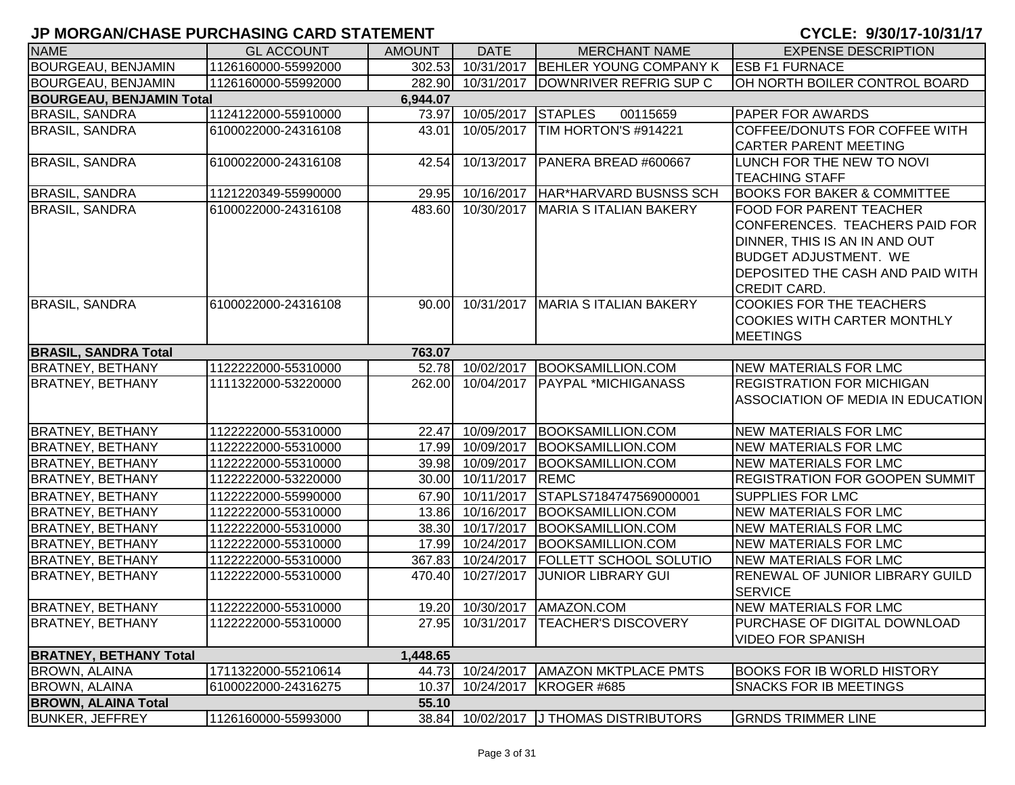| <b>NAME</b>                     | <b>GL ACCOUNT</b>   | <b>AMOUNT</b> | <b>DATE</b>       | <b>MERCHANT NAME</b>                   | <b>EXPENSE DESCRIPTION</b>             |
|---------------------------------|---------------------|---------------|-------------------|----------------------------------------|----------------------------------------|
| <b>BOURGEAU, BENJAMIN</b>       | 1126160000-55992000 | 302.53        | 10/31/2017        | BEHLER YOUNG COMPANY K                 | <b>IESB F1 FURNACE</b>                 |
| <b>BOURGEAU, BENJAMIN</b>       | 1126160000-55992000 | 282.90        | 10/31/2017        | DOWNRIVER REFRIG SUP C                 | OH NORTH BOILER CONTROL BOARD          |
| <b>BOURGEAU, BENJAMIN Total</b> |                     | 6,944.07      |                   |                                        |                                        |
| <b>BRASIL, SANDRA</b>           | 1124122000-55910000 | 73.97         | 10/05/2017        | <b>STAPLES</b><br>00115659             | <b>PAPER FOR AWARDS</b>                |
| <b>BRASIL, SANDRA</b>           | 6100022000-24316108 | 43.01         | 10/05/2017        | TIM HORTON'S #914221                   | COFFEE/DONUTS FOR COFFEE WITH          |
|                                 |                     |               |                   |                                        | <b>CARTER PARENT MEETING</b>           |
| <b>BRASIL, SANDRA</b>           | 6100022000-24316108 | 42.54         |                   | 10/13/2017   PANERA BREAD #600667      | LUNCH FOR THE NEW TO NOVI              |
|                                 |                     |               |                   |                                        | <b>TEACHING STAFF</b>                  |
| <b>BRASIL, SANDRA</b>           | 1121220349-55990000 | 29.95         | 10/16/2017        | HAR*HARVARD BUSNSS SCH                 | <b>BOOKS FOR BAKER &amp; COMMITTEE</b> |
| <b>BRASIL, SANDRA</b>           | 6100022000-24316108 | 483.60        | 10/30/2017        | MARIA S ITALIAN BAKERY                 | <b>FOOD FOR PARENT TEACHER</b>         |
|                                 |                     |               |                   |                                        | CONFERENCES. TEACHERS PAID FOR         |
|                                 |                     |               |                   |                                        | DINNER, THIS IS AN IN AND OUT          |
|                                 |                     |               |                   |                                        | <b>BUDGET ADJUSTMENT. WE</b>           |
|                                 |                     |               |                   |                                        | DEPOSITED THE CASH AND PAID WITH       |
|                                 |                     |               |                   |                                        | <b>CREDIT CARD.</b>                    |
| <b>BRASIL, SANDRA</b>           | 6100022000-24316108 | 90.00         |                   | 10/31/2017   MARIA S ITALIAN BAKERY    | <b>COOKIES FOR THE TEACHERS</b>        |
|                                 |                     |               |                   |                                        | <b>COOKIES WITH CARTER MONTHLY</b>     |
|                                 |                     |               |                   |                                        | <b>MEETINGS</b>                        |
| <b>BRASIL, SANDRA Total</b>     |                     | 763.07        |                   |                                        |                                        |
| <b>BRATNEY, BETHANY</b>         | 1122222000-55310000 | 52.78         | 10/02/2017        | BOOKSAMILLION.COM                      | <b>NEW MATERIALS FOR LMC</b>           |
| <b>BRATNEY, BETHANY</b>         | 1111322000-53220000 | 262.00        |                   | 10/04/2017   PAYPAL *MICHIGANASS       | <b>REGISTRATION FOR MICHIGAN</b>       |
|                                 |                     |               |                   |                                        | ASSOCIATION OF MEDIA IN EDUCATION      |
|                                 |                     |               |                   |                                        |                                        |
| <b>BRATNEY, BETHANY</b>         | 1122222000-55310000 |               |                   | 22.47 10/09/2017 BOOKSAMILLION.COM     | NEW MATERIALS FOR LMC                  |
| <b>BRATNEY, BETHANY</b>         | 1122222000-55310000 |               | 17.99 10/09/2017  | BOOKSAMILLION.COM                      | <b>NEW MATERIALS FOR LMC</b>           |
| <b>BRATNEY, BETHANY</b>         | 1122222000-55310000 | 39.98         | 10/09/2017        | BOOKSAMILLION.COM                      | <b>NEW MATERIALS FOR LMC</b>           |
| <b>BRATNEY, BETHANY</b>         | 1122222000-53220000 | 30.00         | 10/11/2017        | <b>REMC</b>                            | <b>REGISTRATION FOR GOOPEN SUMMIT</b>  |
| <b>BRATNEY, BETHANY</b>         | 1122222000-55990000 |               | 67.90 10/11/2017  | STAPLS7184747569000001                 | <b>SUPPLIES FOR LMC</b>                |
| <b>BRATNEY, BETHANY</b>         | 1122222000-55310000 |               | 13.86 10/16/2017  | BOOKSAMILLION.COM                      | <b>NEW MATERIALS FOR LMC</b>           |
| <b>BRATNEY, BETHANY</b>         | 1122222000-55310000 |               | 38.30 10/17/2017  | BOOKSAMILLION.COM                      | <b>NEW MATERIALS FOR LMC</b>           |
| <b>BRATNEY, BETHANY</b>         | 1122222000-55310000 |               | 17.99 10/24/2017  | <b>BOOKSAMILLION.COM</b>               | <b>NEW MATERIALS FOR LMC</b>           |
| <b>BRATNEY, BETHANY</b>         | 1122222000-55310000 |               | 367.83 10/24/2017 | <b>FOLLETT SCHOOL SOLUTIO</b>          | <b>NEW MATERIALS FOR LMC</b>           |
| <b>BRATNEY, BETHANY</b>         | 1122222000-55310000 | 470.40        | 10/27/2017        | <b>JUNIOR LIBRARY GUI</b>              | RENEWAL OF JUNIOR LIBRARY GUILD        |
|                                 |                     |               |                   |                                        | <b>SERVICE</b>                         |
| <b>BRATNEY, BETHANY</b>         | 1122222000-55310000 |               |                   | 19.20 10/30/2017 AMAZON.COM            | <b>NEW MATERIALS FOR LMC</b>           |
| <b>BRATNEY, BETHANY</b>         | 1122222000-55310000 | 27.95         |                   | 10/31/2017   TEACHER'S DISCOVERY       | PURCHASE OF DIGITAL DOWNLOAD           |
|                                 |                     |               |                   |                                        | <b>VIDEO FOR SPANISH</b>               |
| <b>BRATNEY, BETHANY Total</b>   |                     | 1,448.65      |                   |                                        |                                        |
| <b>BROWN, ALAINA</b>            | 1711322000-55210614 | 44.73         | 10/24/2017        | <b>AMAZON MKTPLACE PMTS</b>            | <b>BOOKS FOR IB WORLD HISTORY</b>      |
| <b>BROWN, ALAINA</b>            | 6100022000-24316275 | 10.37         | 10/24/2017        | KROGER #685                            | <b>SNACKS FOR IB MEETINGS</b>          |
| <b>BROWN, ALAINA Total</b>      |                     | 55.10         |                   |                                        |                                        |
| <b>BUNKER, JEFFREY</b>          | 1126160000-55993000 |               |                   | 38.84 10/02/2017 J THOMAS DISTRIBUTORS | <b>GRNDS TRIMMER LINE</b>              |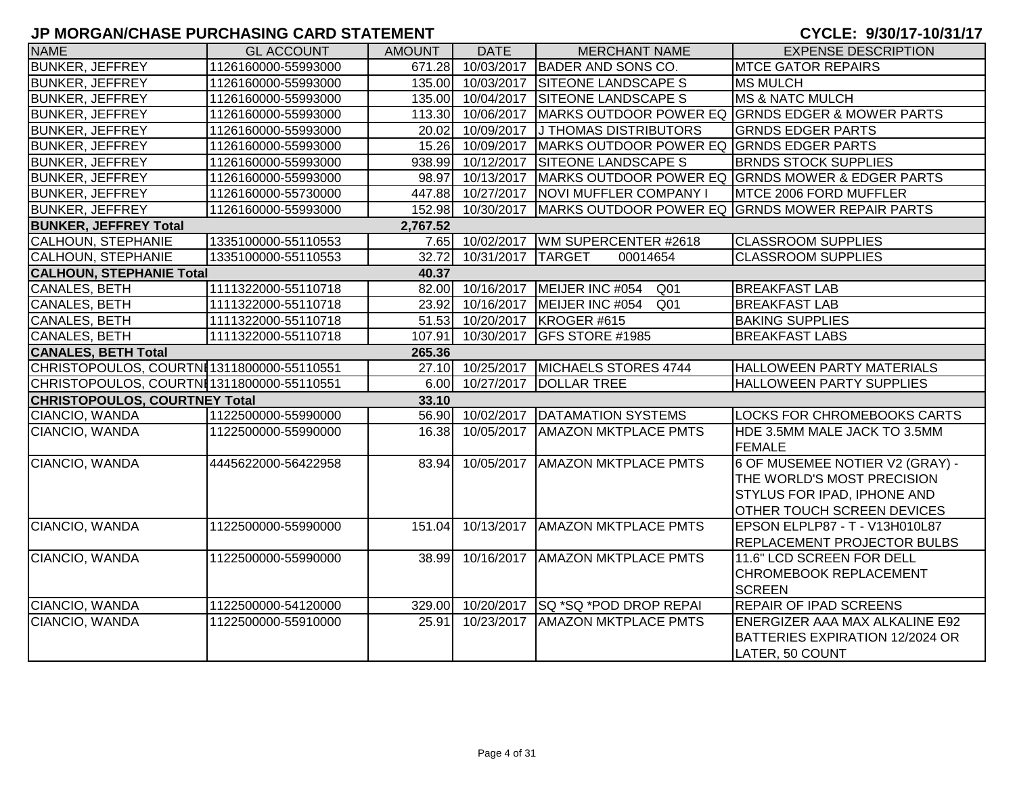| <b>NAME</b>                                | <b>GL ACCOUNT</b>   | <b>AMOUNT</b> | <b>DATE</b>       | <b>MERCHANT NAME</b>                     | <b>EXPENSE DESCRIPTION</b>                                                                                                               |
|--------------------------------------------|---------------------|---------------|-------------------|------------------------------------------|------------------------------------------------------------------------------------------------------------------------------------------|
| <b>BUNKER, JEFFREY</b>                     | 1126160000-55993000 |               | 671.28 10/03/2017 | BADER AND SONS CO.                       | <b>MTCE GATOR REPAIRS</b>                                                                                                                |
| <b>BUNKER, JEFFREY</b>                     | 1126160000-55993000 |               | 135.00 10/03/2017 | <b>SITEONE LANDSCAPE S</b>               | <b>MS MULCH</b>                                                                                                                          |
| <b>BUNKER, JEFFREY</b>                     | 1126160000-55993000 |               | 135.00 10/04/2017 | <b>SITEONE LANDSCAPE S</b>               | <b>MS &amp; NATC MULCH</b>                                                                                                               |
| <b>BUNKER, JEFFREY</b>                     | 1126160000-55993000 |               | 113.30 10/06/2017 |                                          | MARKS OUTDOOR POWER EQ GRNDS EDGER & MOWER PARTS                                                                                         |
| <b>BUNKER, JEFFREY</b>                     | 1126160000-55993000 |               | 20.02 10/09/2017  | <b>J THOMAS DISTRIBUTORS</b>             | <b>GRNDS EDGER PARTS</b>                                                                                                                 |
| <b>BUNKER, JEFFREY</b>                     | 1126160000-55993000 |               | 15.26 10/09/2017  | MARKS OUTDOOR POWER EQ GRNDS EDGER PARTS |                                                                                                                                          |
| <b>BUNKER, JEFFREY</b>                     | 1126160000-55993000 |               | 938.99 10/12/2017 | <b>SITEONE LANDSCAPE S</b>               | <b>BRNDS STOCK SUPPLIES</b>                                                                                                              |
| <b>BUNKER, JEFFREY</b>                     | 1126160000-55993000 |               | 98.97 10/13/2017  |                                          | MARKS OUTDOOR POWER EQ GRNDS MOWER & EDGER PARTS                                                                                         |
| <b>BUNKER, JEFFREY</b>                     | 1126160000-55730000 |               | 447.88 10/27/2017 | <b>NOVI MUFFLER COMPANY I</b>            | MTCE 2006 FORD MUFFLER                                                                                                                   |
| <b>BUNKER, JEFFREY</b>                     | 1126160000-55993000 |               | 152.98 10/30/2017 |                                          | MARKS OUTDOOR POWER EQ GRNDS MOWER REPAIR PARTS                                                                                          |
| <b>BUNKER, JEFFREY Total</b>               |                     | 2,767.52      |                   |                                          |                                                                                                                                          |
| <b>CALHOUN, STEPHANIE</b>                  | 1335100000-55110553 |               |                   | 7.65 10/02/2017 WM SUPERCENTER #2618     | <b>CLASSROOM SUPPLIES</b>                                                                                                                |
| <b>CALHOUN, STEPHANIE</b>                  | 1335100000-55110553 | 32.72         | 10/31/2017        | <b>TARGET</b><br>00014654                | <b>CLASSROOM SUPPLIES</b>                                                                                                                |
| <b>CALHOUN, STEPHANIE Total</b>            |                     | 40.37         |                   |                                          |                                                                                                                                          |
| <b>CANALES, BETH</b>                       | 1111322000-55110718 |               | 82.00 10/16/2017  | MEIJER INC #054<br>Q <sub>01</sub>       | <b>BREAKFAST LAB</b>                                                                                                                     |
| CANALES, BETH                              | 1111322000-55110718 |               | 23.92 10/16/2017  | MEIJER INC #054<br>Q <sub>01</sub>       | <b>BREAKFAST LAB</b>                                                                                                                     |
| <b>CANALES, BETH</b>                       | 1111322000-55110718 |               |                   | 51.53 10/20/2017 KROGER #615             | <b>BAKING SUPPLIES</b>                                                                                                                   |
| <b>CANALES, BETH</b>                       | 1111322000-55110718 | 107.91        | 10/30/2017        | GFS STORE #1985                          | <b>BREAKFAST LABS</b>                                                                                                                    |
| <b>CANALES, BETH Total</b>                 |                     | 265.36        |                   |                                          |                                                                                                                                          |
| CHRISTOPOULOS, COURTNI1311800000-55110551  |                     |               |                   | 27.10 10/25/2017 MICHAELS STORES 4744    | HALLOWEEN PARTY MATERIALS                                                                                                                |
| CHRISTOPOULOS, COURTNI 1311800000-55110551 |                     |               | 6.00 10/27/2017   | <b>DOLLAR TREE</b>                       | <b>HALLOWEEN PARTY SUPPLIES</b>                                                                                                          |
| <b>CHRISTOPOULOS, COURTNEY Total</b>       |                     | 33.10         |                   |                                          |                                                                                                                                          |
| CIANCIO, WANDA                             | 1122500000-55990000 |               |                   | 56.90 10/02/2017 DATAMATION SYSTEMS      | LOCKS FOR CHROMEBOOKS CARTS                                                                                                              |
| CIANCIO, WANDA                             | 1122500000-55990000 | 16.38         | 10/05/2017        | <b>AMAZON MKTPLACE PMTS</b>              | HDE 3.5MM MALE JACK TO 3.5MM<br><b>FEMALE</b>                                                                                            |
| CIANCIO, WANDA                             | 4445622000-56422958 | 83.94         | 10/05/2017        | <b>AMAZON MKTPLACE PMTS</b>              | 6 OF MUSEMEE NOTIER V2 (GRAY) -<br>THE WORLD'S MOST PRECISION<br><b>STYLUS FOR IPAD, IPHONE AND</b><br><b>OTHER TOUCH SCREEN DEVICES</b> |
| CIANCIO, WANDA                             | 1122500000-55990000 | 151.04        | 10/13/2017        | <b>AMAZON MKTPLACE PMTS</b>              | EPSON ELPLP87 - T - V13H010L87<br><b>REPLACEMENT PROJECTOR BULBS</b>                                                                     |
| CIANCIO, WANDA                             | 1122500000-55990000 | 38.99         | 10/16/2017        | <b>AMAZON MKTPLACE PMTS</b>              | 11.6" LCD SCREEN FOR DELL<br><b>CHROMEBOOK REPLACEMENT</b><br><b>SCREEN</b>                                                              |
| CIANCIO, WANDA                             | 1122500000-54120000 | 329.00        |                   | 10/20/2017 SQ *SQ *POD DROP REPAI        | <b>REPAIR OF IPAD SCREENS</b>                                                                                                            |
| CIANCIO, WANDA                             | 1122500000-55910000 | 25.91         | 10/23/2017        | <b>AMAZON MKTPLACE PMTS</b>              | ENERGIZER AAA MAX ALKALINE E92<br>BATTERIES EXPIRATION 12/2024 OR<br>LATER, 50 COUNT                                                     |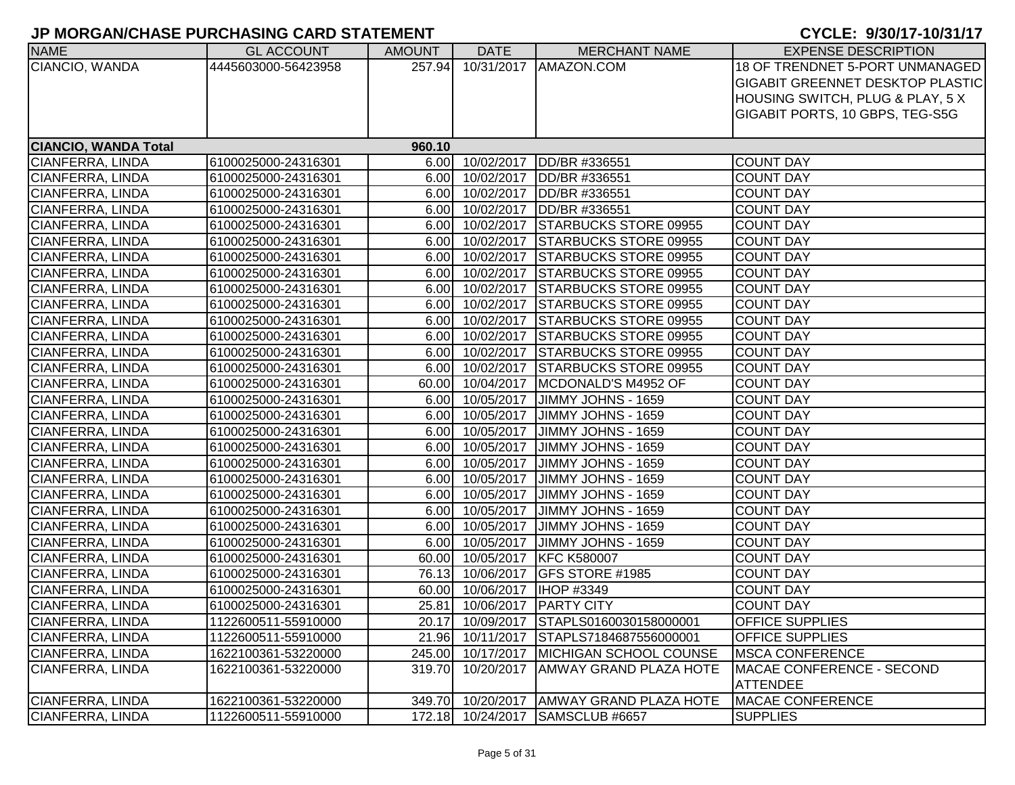| <b>NAME</b>                 | <b>GL ACCOUNT</b>   | <b>AMOUNT</b> | <b>DATE</b>      | <b>MERCHANT NAME</b>                       | <b>EXPENSE DESCRIPTION</b>              |
|-----------------------------|---------------------|---------------|------------------|--------------------------------------------|-----------------------------------------|
| CIANCIO, WANDA              | 4445603000-56423958 | 257.94        |                  | 10/31/2017   AMAZON.COM                    | 18 OF TRENDNET 5-PORT UNMANAGED         |
|                             |                     |               |                  |                                            | <b>GIGABIT GREENNET DESKTOP PLASTIC</b> |
|                             |                     |               |                  |                                            | HOUSING SWITCH, PLUG & PLAY, 5 X        |
|                             |                     |               |                  |                                            | GIGABIT PORTS, 10 GBPS, TEG-S5G         |
|                             |                     |               |                  |                                            |                                         |
| <b>CIANCIO, WANDA Total</b> |                     | 960.10        |                  |                                            |                                         |
| CIANFERRA, LINDA            | 6100025000-24316301 |               | 6.00 10/02/2017  | DD/BR #336551                              | <b>COUNT DAY</b>                        |
| CIANFERRA, LINDA            | 6100025000-24316301 |               | 6.00 10/02/2017  | DD/BR #336551                              | <b>COUNT DAY</b>                        |
| CIANFERRA, LINDA            | 6100025000-24316301 |               | 6.00 10/02/2017  | DD/BR #336551                              | <b>COUNT DAY</b>                        |
| CIANFERRA, LINDA            | 6100025000-24316301 |               | 6.00 10/02/2017  | DD/BR #336551                              | <b>COUNT DAY</b>                        |
| CIANFERRA, LINDA            | 6100025000-24316301 |               | 6.00 10/02/2017  | <b>STARBUCKS STORE 09955</b>               | <b>COUNT DAY</b>                        |
| CIANFERRA, LINDA            | 6100025000-24316301 |               | 6.00 10/02/2017  | <b>STARBUCKS STORE 09955</b>               | <b>COUNT DAY</b>                        |
| CIANFERRA, LINDA            | 6100025000-24316301 | 6.00          | 10/02/2017       | <b>STARBUCKS STORE 09955</b>               | <b>COUNT DAY</b>                        |
| CIANFERRA, LINDA            | 6100025000-24316301 | 6.00          | 10/02/2017       | <b>STARBUCKS STORE 09955</b>               | <b>COUNT DAY</b>                        |
| CIANFERRA, LINDA            | 6100025000-24316301 | 6.00          | 10/02/2017       | <b>STARBUCKS STORE 09955</b>               | <b>COUNT DAY</b>                        |
| CIANFERRA, LINDA            | 6100025000-24316301 | 6.00          | 10/02/2017       | <b>STARBUCKS STORE 09955</b>               | <b>COUNT DAY</b>                        |
| CIANFERRA, LINDA            | 6100025000-24316301 | 6.00          | 10/02/2017       | <b>STARBUCKS STORE 09955</b>               | <b>COUNT DAY</b>                        |
| CIANFERRA, LINDA            | 6100025000-24316301 |               | 6.00 10/02/2017  | <b>STARBUCKS STORE 09955</b>               | <b>COUNT DAY</b>                        |
| CIANFERRA, LINDA            | 6100025000-24316301 |               | 6.00 10/02/2017  | <b>STARBUCKS STORE 09955</b>               | <b>COUNT DAY</b>                        |
| CIANFERRA, LINDA            | 6100025000-24316301 |               | 6.00 10/02/2017  | <b>STARBUCKS STORE 09955</b>               | <b>COUNT DAY</b>                        |
| CIANFERRA, LINDA            | 6100025000-24316301 |               | 60.00 10/04/2017 | MCDONALD'S M4952 OF                        | <b>COUNT DAY</b>                        |
| <b>CIANFERRA, LINDA</b>     | 6100025000-24316301 |               |                  | 6.00 10/05/2017 JIMMY JOHNS - 1659         | <b>COUNT DAY</b>                        |
| CIANFERRA, LINDA            | 6100025000-24316301 |               | 6.00 10/05/2017  | JIMMY JOHNS - 1659                         | <b>COUNT DAY</b>                        |
| CIANFERRA, LINDA            | 6100025000-24316301 |               | 6.00 10/05/2017  | JIMMY JOHNS - 1659                         | <b>COUNT DAY</b>                        |
| CIANFERRA, LINDA            | 6100025000-24316301 |               | 6.00 10/05/2017  | JIMMY JOHNS - 1659                         | <b>COUNT DAY</b>                        |
| CIANFERRA, LINDA            | 6100025000-24316301 |               | 6.00 10/05/2017  | JIMMY JOHNS - 1659                         | <b>COUNT DAY</b>                        |
| CIANFERRA, LINDA            | 6100025000-24316301 |               | 6.00 10/05/2017  | JIMMY JOHNS - 1659                         | <b>COUNT DAY</b>                        |
| CIANFERRA, LINDA            | 6100025000-24316301 |               | 6.00 10/05/2017  | JIMMY JOHNS - 1659                         | <b>COUNT DAY</b>                        |
| CIANFERRA, LINDA            | 6100025000-24316301 |               | 6.00 10/05/2017  | JIMMY JOHNS - 1659                         | <b>COUNT DAY</b>                        |
| CIANFERRA, LINDA            | 6100025000-24316301 |               | 6.00 10/05/2017  | JIMMY JOHNS - 1659                         | <b>COUNT DAY</b>                        |
| CIANFERRA, LINDA            | 6100025000-24316301 |               | 6.00 10/05/2017  | JIMMY JOHNS - 1659                         | <b>COUNT DAY</b>                        |
| CIANFERRA, LINDA            | 6100025000-24316301 |               | 60.00 10/05/2017 | <b>KFC K580007</b>                         | <b>COUNT DAY</b>                        |
| CIANFERRA, LINDA            | 6100025000-24316301 |               | 76.13 10/06/2017 | GFS STORE #1985                            | <b>COUNT DAY</b>                        |
| CIANFERRA, LINDA            | 6100025000-24316301 |               | 60.00 10/06/2017 | <b>HOP #3349</b>                           | <b>COUNT DAY</b>                        |
| CIANFERRA, LINDA            | 6100025000-24316301 |               |                  | 25.81 10/06/2017 PARTY CITY                | <b>COUNT DAY</b>                        |
| <b>CIANFERRA, LINDA</b>     | 1122600511-55910000 |               |                  | 20.17 10/09/2017 STAPLS0160030158000001    | <b>OFFICE SUPPLIES</b>                  |
| CIANFERRA, LINDA            | 1122600511-55910000 | 21.96         | 10/11/2017       | STAPLS7184687556000001                     | <b>OFFICE SUPPLIES</b>                  |
| CIANFERRA, LINDA            | 1622100361-53220000 |               |                  | 245.00 10/17/2017   MICHIGAN SCHOOL COUNSE | <b>MSCA CONFERENCE</b>                  |
| CIANFERRA, LINDA            | 1622100361-53220000 | 319.70        | 10/20/2017       | <b>AMWAY GRAND PLAZA HOTE</b>              | <b>MACAE CONFERENCE - SECOND</b>        |
|                             |                     |               |                  |                                            | <b>ATTENDEE</b>                         |
| CIANFERRA, LINDA            | 1622100361-53220000 |               |                  | 349.70 10/20/2017 AMWAY GRAND PLAZA HOTE   | MACAE CONFERENCE                        |
| <b>CIANFERRA, LINDA</b>     | 1122600511-55910000 |               |                  | 172.18 10/24/2017 SAMSCLUB #6657           | <b>SUPPLIES</b>                         |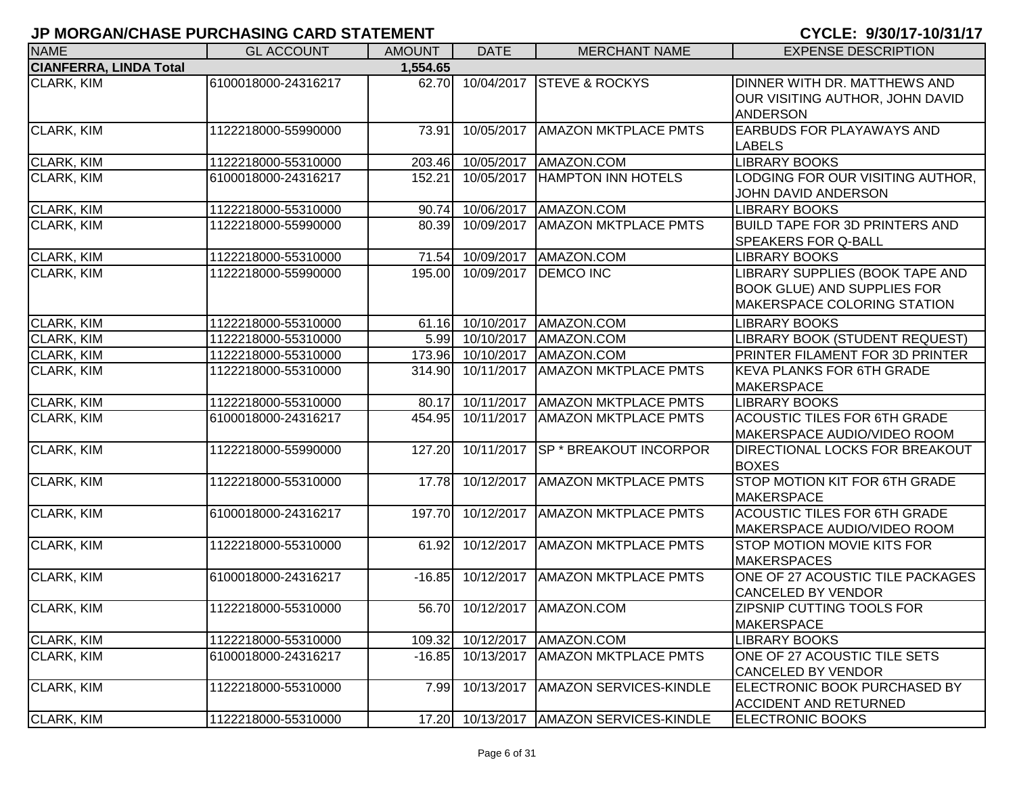| <b>NAME</b>                   | <b>GL ACCOUNT</b>   | <b>AMOUNT</b> | <b>DATE</b>       | <b>MERCHANT NAME</b>                | <b>EXPENSE DESCRIPTION</b>                                                                           |
|-------------------------------|---------------------|---------------|-------------------|-------------------------------------|------------------------------------------------------------------------------------------------------|
| <b>CIANFERRA, LINDA Total</b> |                     | 1,554.65      |                   |                                     |                                                                                                      |
| <b>CLARK, KIM</b>             | 6100018000-24316217 | 62.70         | 10/04/2017        | <b>STEVE &amp; ROCKYS</b>           | DINNER WITH DR. MATTHEWS AND<br>OUR VISITING AUTHOR, JOHN DAVID<br><b>ANDERSON</b>                   |
| CLARK, KIM                    | 1122218000-55990000 | 73.91         | 10/05/2017        | <b>AMAZON MKTPLACE PMTS</b>         | EARBUDS FOR PLAYAWAYS AND<br><b>LABELS</b>                                                           |
| CLARK, KIM                    | 1122218000-55310000 | 203.46        | 10/05/2017        | AMAZON.COM                          | <b>LIBRARY BOOKS</b>                                                                                 |
| CLARK, KIM                    | 6100018000-24316217 | 152.21        | 10/05/2017        | <b>HAMPTON INN HOTELS</b>           | LODGING FOR OUR VISITING AUTHOR,<br>JOHN DAVID ANDERSON                                              |
| CLARK, KIM                    | 1122218000-55310000 | 90.74         | 10/06/2017        | AMAZON.COM                          | <b>LIBRARY BOOKS</b>                                                                                 |
| <b>CLARK, KIM</b>             | 1122218000-55990000 | 80.39         | 10/09/2017        | <b>AMAZON MKTPLACE PMTS</b>         | <b>BUILD TAPE FOR 3D PRINTERS AND</b><br><b>SPEAKERS FOR Q-BALL</b>                                  |
| CLARK, KIM                    | 1122218000-55310000 | 71.54         | 10/09/2017        | AMAZON.COM                          | <b>LIBRARY BOOKS</b>                                                                                 |
| <b>CLARK, KIM</b>             | 1122218000-55990000 | 195.00        | 10/09/2017        | <b>DEMCO INC</b>                    | LIBRARY SUPPLIES (BOOK TAPE AND<br><b>BOOK GLUE) AND SUPPLIES FOR</b><br>MAKERSPACE COLORING STATION |
| <b>CLARK, KIM</b>             | 1122218000-55310000 | 61.16         | 10/10/2017        | AMAZON.COM                          | <b>LIBRARY BOOKS</b>                                                                                 |
| <b>CLARK, KIM</b>             | 1122218000-55310000 |               | 5.99 10/10/2017   | AMAZON.COM                          | LIBRARY BOOK (STUDENT REQUEST)                                                                       |
| <b>CLARK, KIM</b>             | 1122218000-55310000 |               | 173.96 10/10/2017 | AMAZON.COM                          | PRINTER FILAMENT FOR 3D PRINTER                                                                      |
| CLARK, KIM                    | 1122218000-55310000 | 314.90        | 10/11/2017        | <b>AMAZON MKTPLACE PMTS</b>         | <b>KEVA PLANKS FOR 6TH GRADE</b><br><b>MAKERSPACE</b>                                                |
| CLARK, KIM                    | 1122218000-55310000 | 80.17         | 10/11/2017        | <b>AMAZON MKTPLACE PMTS</b>         | <b>LIBRARY BOOKS</b>                                                                                 |
| <b>CLARK, KIM</b>             | 6100018000-24316217 | 454.95        | 10/11/2017        | <b>AMAZON MKTPLACE PMTS</b>         | <b>ACOUSTIC TILES FOR 6TH GRADE</b><br>MAKERSPACE AUDIO/VIDEO ROOM                                   |
| CLARK, KIM                    | 1122218000-55990000 | 127.20        | 10/11/2017        | <b>SP * BREAKOUT INCORPOR</b>       | DIRECTIONAL LOCKS FOR BREAKOUT<br><b>BOXES</b>                                                       |
| CLARK, KIM                    | 1122218000-55310000 | 17.78         | 10/12/2017        | <b>AMAZON MKTPLACE PMTS</b>         | STOP MOTION KIT FOR 6TH GRADE<br><b>MAKERSPACE</b>                                                   |
| CLARK, KIM                    | 6100018000-24316217 | 197.70        | 10/12/2017        | <b>AMAZON MKTPLACE PMTS</b>         | <b>ACOUSTIC TILES FOR 6TH GRADE</b><br>MAKERSPACE AUDIO/VIDEO ROOM                                   |
| CLARK, KIM                    | 1122218000-55310000 | 61.92         | 10/12/2017        | <b>AMAZON MKTPLACE PMTS</b>         | <b>STOP MOTION MOVIE KITS FOR</b><br><b>MAKERSPACES</b>                                              |
| CLARK, KIM                    | 6100018000-24316217 | $-16.85$      | 10/12/2017        | <b>AMAZON MKTPLACE PMTS</b>         | ONE OF 27 ACOUSTIC TILE PACKAGES<br><b>CANCELED BY VENDOR</b>                                        |
| <b>CLARK, KIM</b>             | 1122218000-55310000 |               |                   | 56.70 10/12/2017 AMAZON.COM         | ZIPSNIP CUTTING TOOLS FOR<br><b>MAKERSPACE</b>                                                       |
| <b>CLARK, KIM</b>             | 1122218000-55310000 | 109.32        | 10/12/2017        | AMAZON.COM                          | <b>LIBRARY BOOKS</b>                                                                                 |
| <b>CLARK, KIM</b>             | 6100018000-24316217 | $-16.85$      | 10/13/2017        | <b>AMAZON MKTPLACE PMTS</b>         | ONE OF 27 ACOUSTIC TILE SETS<br><b>CANCELED BY VENDOR</b>                                            |
| <b>CLARK, KIM</b>             | 1122218000-55310000 | 7.99          | 10/13/2017        | AMAZON SERVICES-KINDLE              | ELECTRONIC BOOK PURCHASED BY<br><b>ACCIDENT AND RETURNED</b>                                         |
| <b>CLARK, KIM</b>             | 1122218000-55310000 | 17.20         |                   | 10/13/2017   AMAZON SERVICES-KINDLE | <b>ELECTRONIC BOOKS</b>                                                                              |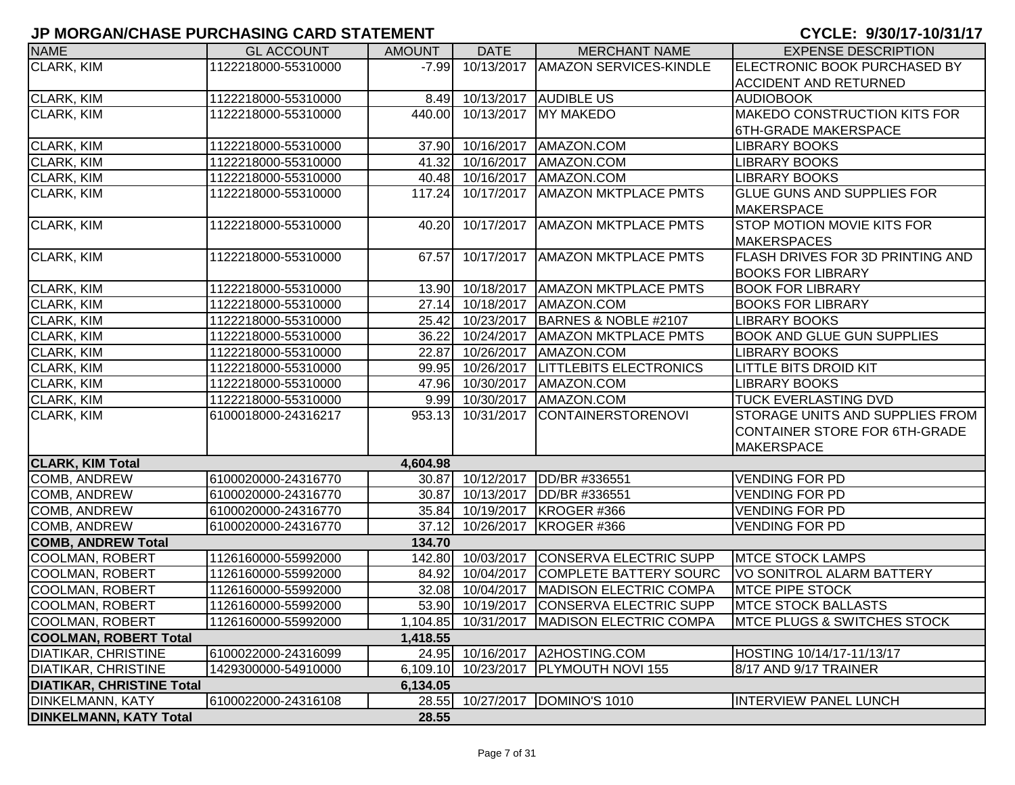| <b>NAME</b>                      | <b>GL ACCOUNT</b>   | <b>AMOUNT</b> | <b>DATE</b>         | <b>MERCHANT NAME</b>                         | <b>EXPENSE DESCRIPTION</b>             |
|----------------------------------|---------------------|---------------|---------------------|----------------------------------------------|----------------------------------------|
| <b>CLARK, KIM</b>                | 1122218000-55310000 | $-7.99$       | 10/13/2017          | <b>AMAZON SERVICES-KINDLE</b>                | ELECTRONIC BOOK PURCHASED BY           |
|                                  |                     |               |                     |                                              | <b>ACCIDENT AND RETURNED</b>           |
| CLARK, KIM                       | 1122218000-55310000 | 8.49          | 10/13/2017          | <b>AUDIBLE US</b>                            | <b>AUDIOBOOK</b>                       |
| CLARK, KIM                       | 1122218000-55310000 | 440.00        |                     | 10/13/2017 MY MAKEDO                         | <b>MAKEDO CONSTRUCTION KITS FOR</b>    |
|                                  |                     |               |                     |                                              | 6TH-GRADE MAKERSPACE                   |
| CLARK, KIM                       | 1122218000-55310000 |               | 37.90 10/16/2017    | AMAZON.COM                                   | <b>LIBRARY BOOKS</b>                   |
| CLARK, KIM                       | 1122218000-55310000 | 41.32         | 10/16/2017          | AMAZON.COM                                   | <b>LIBRARY BOOKS</b>                   |
| CLARK, KIM                       | 1122218000-55310000 |               | 40.48 10/16/2017    | AMAZON.COM                                   | <b>LIBRARY BOOKS</b>                   |
| CLARK, KIM                       | 1122218000-55310000 | 117.24        | 10/17/2017          | <b>AMAZON MKTPLACE PMTS</b>                  | GLUE GUNS AND SUPPLIES FOR             |
|                                  |                     |               |                     |                                              | <b>MAKERSPACE</b>                      |
| CLARK, KIM                       | 1122218000-55310000 | 40.20         | 10/17/2017          | <b>AMAZON MKTPLACE PMTS</b>                  | STOP MOTION MOVIE KITS FOR             |
|                                  |                     |               |                     |                                              | <b>MAKERSPACES</b>                     |
| CLARK, KIM                       | 1122218000-55310000 | 67.57         | 10/17/2017          | <b>AMAZON MKTPLACE PMTS</b>                  | FLASH DRIVES FOR 3D PRINTING AND       |
|                                  |                     |               |                     |                                              | <b>BOOKS FOR LIBRARY</b>               |
| CLARK, KIM                       | 1122218000-55310000 | 13.90         | 10/18/2017          | <b>AMAZON MKTPLACE PMTS</b>                  | <b>BOOK FOR LIBRARY</b>                |
| <b>CLARK, KIM</b>                | 1122218000-55310000 | 27.14         | 10/18/2017          | AMAZON.COM                                   | <b>BOOKS FOR LIBRARY</b>               |
| CLARK, KIM                       | 1122218000-55310000 | 25.42         | 10/23/2017          | BARNES & NOBLE #2107                         | <b>LIBRARY BOOKS</b>                   |
| CLARK, KIM                       | 1122218000-55310000 | 36.22         | 10/24/2017          | <b>AMAZON MKTPLACE PMTS</b>                  | <b>BOOK AND GLUE GUN SUPPLIES</b>      |
| CLARK, KIM                       | 1122218000-55310000 | 22.87         | 10/26/2017          | AMAZON.COM                                   | <b>LIBRARY BOOKS</b>                   |
| CLARK, KIM                       | 1122218000-55310000 | 99.95         | 10/26/2017          | <b>LITTLEBITS ELECTRONICS</b>                | <b>LITTLE BITS DROID KIT</b>           |
| CLARK, KIM                       | 1122218000-55310000 |               | 47.96 10/30/2017    | AMAZON.COM                                   | <b>LIBRARY BOOKS</b>                   |
| CLARK, KIM                       | 1122218000-55310000 |               | 9.99 10/30/2017     | AMAZON.COM                                   | <b>TUCK EVERLASTING DVD</b>            |
| <b>CLARK, KIM</b>                | 6100018000-24316217 |               | 953.13 10/31/2017   | <b>CONTAINERSTORENOVI</b>                    | STORAGE UNITS AND SUPPLIES FROM        |
|                                  |                     |               |                     |                                              | CONTAINER STORE FOR 6TH-GRADE          |
|                                  |                     |               |                     |                                              | <b>MAKERSPACE</b>                      |
| <b>CLARK, KIM Total</b>          |                     | 4,604.98      |                     |                                              |                                        |
| COMB, ANDREW                     | 6100020000-24316770 |               | 30.87 10/12/2017    | <b>IDD/BR #336551</b>                        | <b>VENDING FOR PD</b>                  |
| COMB, ANDREW                     | 6100020000-24316770 | 30.87         | 10/13/2017          | DD/BR #336551                                | <b>VENDING FOR PD</b>                  |
| COMB, ANDREW                     | 6100020000-24316770 | 35.84         | 10/19/2017          | <b>IKROGER #366</b>                          | <b>VENDING FOR PD</b>                  |
| COMB, ANDREW                     | 6100020000-24316770 | 37.12         | 10/26/2017          | KROGER #366                                  | <b>VENDING FOR PD</b>                  |
| <b>COMB, ANDREW Total</b>        |                     | 134.70        |                     |                                              |                                        |
| COOLMAN, ROBERT                  | 1126160000-55992000 |               | 142.80 10/03/2017   | <b>CONSERVA ELECTRIC SUPP</b>                | <b>MTCE STOCK LAMPS</b>                |
| <b>COOLMAN, ROBERT</b>           | 1126160000-55992000 | 84.92         | 10/04/2017          | <b>COMPLETE BATTERY SOURC</b>                | VO SONITROL ALARM BATTERY              |
| <b>COOLMAN, ROBERT</b>           | 1126160000-55992000 | 32.08         | 10/04/2017          | MADISON ELECTRIC COMPA                       | <b>MTCE PIPE STOCK</b>                 |
| <b>COOLMAN, ROBERT</b>           | 1126160000-55992000 |               | 53.90 10/19/2017    | CONSERVA ELECTRIC SUPP                       | <b>MTCE STOCK BALLASTS</b>             |
| <b>COOLMAN, ROBERT</b>           | 1126160000-55992000 |               |                     | 1,104.85 10/31/2017   MADISON ELECTRIC COMPA | <b>MTCE PLUGS &amp; SWITCHES STOCK</b> |
| <b>COOLMAN, ROBERT Total</b>     |                     | 1,418.55      |                     |                                              |                                        |
| <b>DIATIKAR, CHRISTINE</b>       | 6100022000-24316099 |               |                     | 24.95 10/16/2017 A2HOSTING.COM               | HOSTING 10/14/17-11/13/17              |
| <b>DIATIKAR, CHRISTINE</b>       | 1429300000-54910000 |               | 6,109.10 10/23/2017 | <b>PLYMOUTH NOVI 155</b>                     | 8/17 AND 9/17 TRAINER                  |
| <b>DIATIKAR, CHRISTINE Total</b> |                     | 6,134.05      |                     |                                              |                                        |
| <b>DINKELMANN, KATY</b>          | 6100022000-24316108 |               | 28.55 10/27/2017    | DOMINO'S 1010                                | <b>INTERVIEW PANEL LUNCH</b>           |
| <b>DINKELMANN, KATY Total</b>    |                     | 28.55         |                     |                                              |                                        |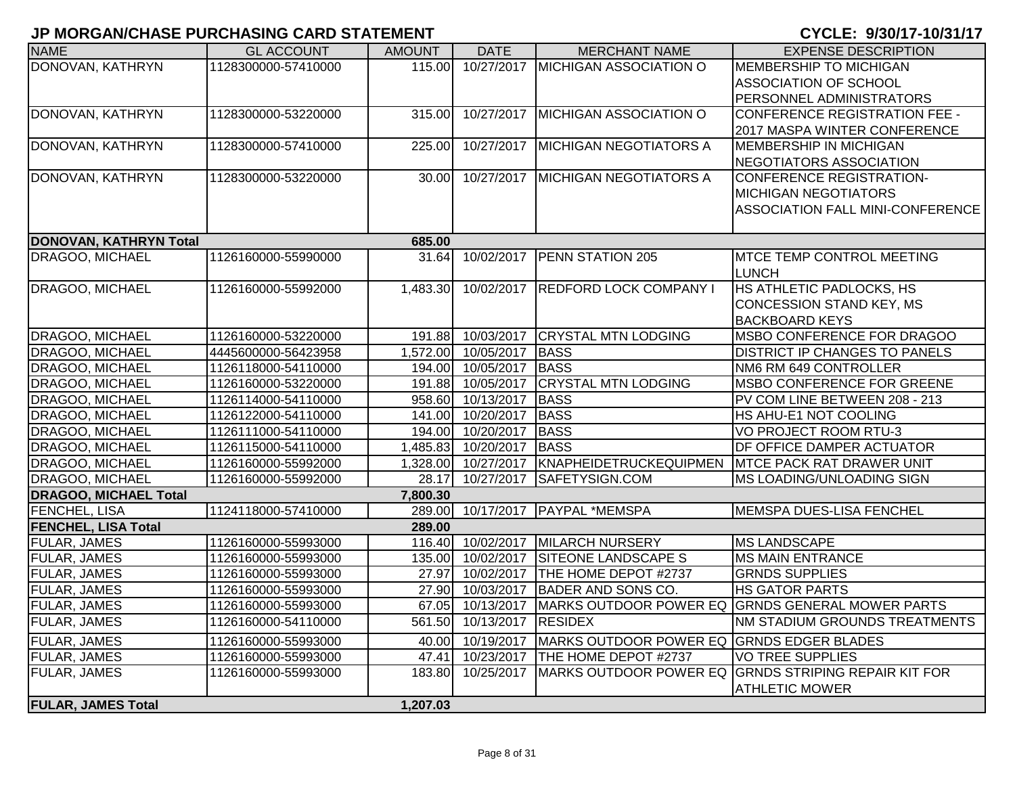| <b>NAME</b>                               | <b>GL ACCOUNT</b>   | <b>AMOUNT</b>   | <b>DATE</b>               | <b>MERCHANT NAME</b>                      | <b>EXPENSE DESCRIPTION</b>                                        |
|-------------------------------------------|---------------------|-----------------|---------------------------|-------------------------------------------|-------------------------------------------------------------------|
| DONOVAN, KATHRYN                          | 1128300000-57410000 | 115.00          | 10/27/2017                | MICHIGAN ASSOCIATION O                    | <b>MEMBERSHIP TO MICHIGAN</b>                                     |
|                                           |                     |                 |                           |                                           | <b>ASSOCIATION OF SCHOOL</b>                                      |
|                                           |                     |                 |                           |                                           | PERSONNEL ADMINISTRATORS                                          |
| DONOVAN, KATHRYN                          | 1128300000-53220000 | 315.00          | 10/27/2017                | <b>MICHIGAN ASSOCIATION O</b>             | CONFERENCE REGISTRATION FEE -                                     |
|                                           |                     |                 |                           |                                           | 2017 MASPA WINTER CONFERENCE                                      |
| DONOVAN, KATHRYN                          | 1128300000-57410000 | 225.00          | 10/27/2017                | <b>MICHIGAN NEGOTIATORS A</b>             | <b>MEMBERSHIP IN MICHIGAN</b>                                     |
|                                           |                     |                 |                           |                                           | NEGOTIATORS ASSOCIATION                                           |
| DONOVAN, KATHRYN                          | 1128300000-53220000 | 30.00           | 10/27/2017                | <b>MICHIGAN NEGOTIATORS A</b>             | <b>CONFERENCE REGISTRATION-</b>                                   |
|                                           |                     |                 |                           |                                           | <b>MICHIGAN NEGOTIATORS</b>                                       |
|                                           |                     |                 |                           |                                           | <b>ASSOCIATION FALL MINI-CONFERENCE</b>                           |
|                                           |                     |                 |                           |                                           |                                                                   |
| DONOVAN, KATHRYN Total<br>DRAGOO, MICHAEL | 1126160000-55990000 | 685.00<br>31.64 | 10/02/2017                | <b>PENN STATION 205</b>                   | <b>MTCE TEMP CONTROL MEETING</b>                                  |
|                                           |                     |                 |                           |                                           | <b>LUNCH</b>                                                      |
| DRAGOO, MICHAEL                           | 1126160000-55992000 | 1,483.30        |                           | 10/02/2017 REDFORD LOCK COMPANY I         | HS ATHLETIC PADLOCKS, HS                                          |
|                                           |                     |                 |                           |                                           | <b>CONCESSION STAND KEY, MS</b>                                   |
|                                           |                     |                 |                           |                                           | <b>BACKBOARD KEYS</b>                                             |
| <b>DRAGOO, MICHAEL</b>                    | 1126160000-53220000 | 191.88          | 10/03/2017                | <b>CRYSTAL MTN LODGING</b>                | MSBO CONFERENCE FOR DRAGOO                                        |
| <b>DRAGOO, MICHAEL</b>                    | 4445600000-56423958 |                 | 1,572.00 10/05/2017       | <b>BASS</b>                               | <b>DISTRICT IP CHANGES TO PANELS</b>                              |
| <b>DRAGOO, MICHAEL</b>                    | 1126118000-54110000 |                 | 194.00 10/05/2017         | <b>BASS</b>                               | NM6 RM 649 CONTROLLER                                             |
| <b>DRAGOO, MICHAEL</b>                    | 1126160000-53220000 |                 | 191.88 10/05/2017         | <b>CRYSTAL MTN LODGING</b>                | <b>MSBO CONFERENCE FOR GREENE</b>                                 |
| DRAGOO, MICHAEL                           | 1126114000-54110000 |                 | 958.60 10/13/2017         | <b>BASS</b>                               | PV COM LINE BETWEEN 208 - 213                                     |
| DRAGOO, MICHAEL                           | 1126122000-54110000 | 141.00          | 10/20/2017                | <b>BASS</b>                               | HS AHU-E1 NOT COOLING                                             |
| DRAGOO, MICHAEL                           | 1126111000-54110000 | 194.00          | 10/20/2017                | <b>BASS</b>                               | <b>VO PROJECT ROOM RTU-3</b>                                      |
| DRAGOO, MICHAEL                           | 1126115000-54110000 | 1,485.83        | 10/20/2017                | <b>BASS</b>                               | DF OFFICE DAMPER ACTUATOR                                         |
| DRAGOO, MICHAEL                           | 1126160000-55992000 | 1,328.00        | 10/27/2017                | KNAPHEIDETRUCKEQUIPMEN                    | <b>MTCE PACK RAT DRAWER UNIT</b>                                  |
| DRAGOO, MICHAEL                           | 1126160000-55992000 | 28.17           | 10/27/2017                | SAFETYSIGN.COM                            | <b>MS LOADING/UNLOADING SIGN</b>                                  |
| <b>DRAGOO, MICHAEL Total</b>              |                     | 7,800.30        |                           |                                           |                                                                   |
| FENCHEL, LISA                             | 1124118000-57410000 | 289.00          |                           | 10/17/2017   PAYPAL *MEMSPA               | MEMSPA DUES-LISA FENCHEL                                          |
| <b>FENCHEL, LISA Total</b>                |                     | 289.00          |                           |                                           |                                                                   |
| FULAR, JAMES                              | 1126160000-55993000 | 116.40          | 10/02/2017                | <b>MILARCH NURSERY</b>                    | <b>MS LANDSCAPE</b>                                               |
| <b>FULAR, JAMES</b>                       | 1126160000-55993000 | 135.00          | 10/02/2017                | <b>SITEONE LANDSCAPE S</b>                | <b>MS MAIN ENTRANCE</b>                                           |
| <b>FULAR, JAMES</b>                       | 1126160000-55993000 | 27.97           | 10/02/2017                | THE HOME DEPOT #2737                      | <b>GRNDS SUPPLIES</b>                                             |
| <b>FULAR, JAMES</b>                       | 1126160000-55993000 |                 | 27.90 10/03/2017          | BADER AND SONS CO.                        | <b>HS GATOR PARTS</b>                                             |
| <b>FULAR, JAMES</b>                       | 1126160000-55993000 |                 |                           |                                           | 67.05 10/13/2017 MARKS OUTDOOR POWER EQ GRNDS GENERAL MOWER PARTS |
| <b>FULAR, JAMES</b>                       | 1126160000-54110000 |                 | 561.50 10/13/2017 RESIDEX |                                           | <b>NM STADIUM GROUNDS TREATMENTS</b>                              |
| <b>FULAR, JAMES</b>                       | 1126160000-55993000 | 40.00           | 10/19/2017                | MARKS OUTDOOR POWER EQ GRNDS EDGER BLADES |                                                                   |
| <b>FULAR, JAMES</b>                       | 1126160000-55993000 | 47.41           | 10/23/2017                | THE HOME DEPOT #2737                      | <b>VO TREE SUPPLIES</b>                                           |
| <b>FULAR, JAMES</b>                       | 1126160000-55993000 | 183.80          | 10/25/2017                |                                           | MARKS OUTDOOR POWER EQ GRNDS STRIPING REPAIR KIT FOR              |
|                                           |                     |                 |                           |                                           | <b>ATHLETIC MOWER</b>                                             |
| <b>FULAR, JAMES Total</b>                 |                     | 1,207.03        |                           |                                           |                                                                   |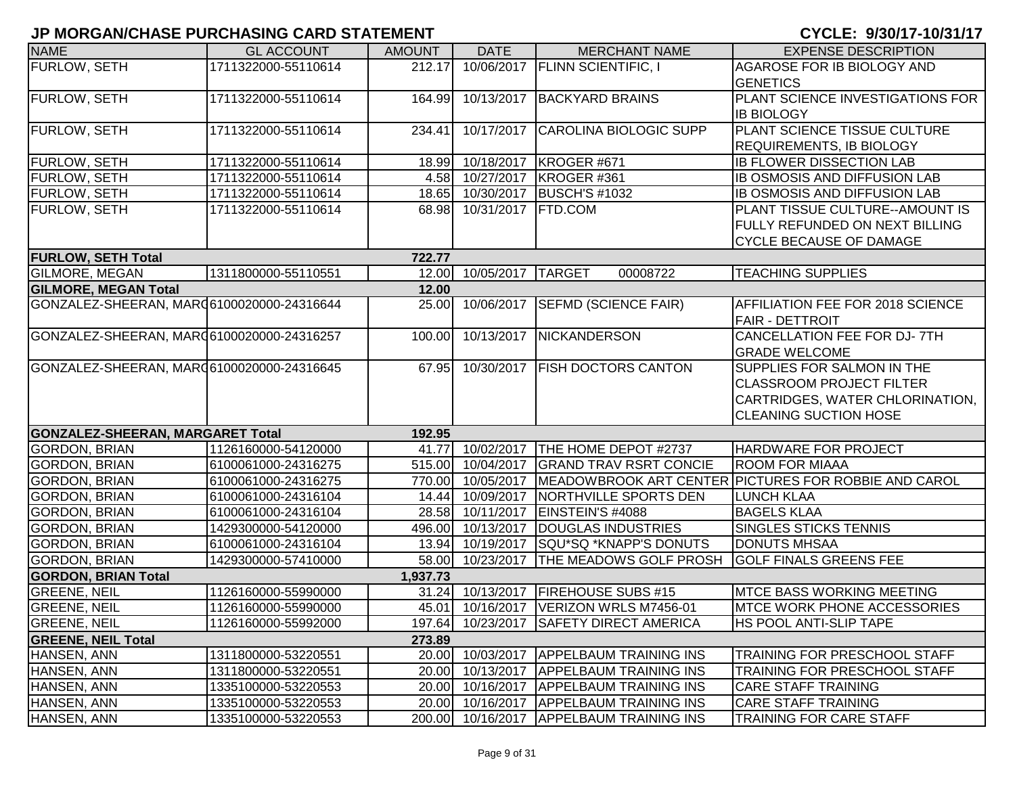| <b>NAME</b>                                | <b>GL ACCOUNT</b>   | <b>AMOUNT</b> | <b>DATE</b>       | <b>MERCHANT NAME</b>                     | <b>EXPENSE DESCRIPTION</b>                           |
|--------------------------------------------|---------------------|---------------|-------------------|------------------------------------------|------------------------------------------------------|
| FURLOW, SETH                               | 1711322000-55110614 | 212.17        |                   | 10/06/2017   FLINN SCIENTIFIC, I         | AGAROSE FOR IB BIOLOGY AND                           |
|                                            |                     |               |                   |                                          | <b>GENETICS</b>                                      |
| <b>FURLOW, SETH</b>                        | 1711322000-55110614 | 164.99        |                   | 10/13/2017 BACKYARD BRAINS               | PLANT SCIENCE INVESTIGATIONS FOR                     |
|                                            |                     |               |                   |                                          | <b>IB BIOLOGY</b>                                    |
| FURLOW, SETH                               | 1711322000-55110614 | 234.41        | 10/17/2017        | <b>CAROLINA BIOLOGIC SUPP</b>            | PLANT SCIENCE TISSUE CULTURE                         |
|                                            |                     |               |                   |                                          | <b>REQUIREMENTS, IB BIOLOGY</b>                      |
| FURLOW, SETH                               | 1711322000-55110614 |               |                   | 18.99 10/18/2017 KROGER #671             | <b>IB FLOWER DISSECTION LAB</b>                      |
| FURLOW, SETH                               | 1711322000-55110614 |               | 4.58 10/27/2017   | KROGER #361                              | <b>IB OSMOSIS AND DIFFUSION LAB</b>                  |
| FURLOW, SETH                               | 1711322000-55110614 |               | 18.65 10/30/2017  | <b>BUSCH'S #1032</b>                     | <b>IB OSMOSIS AND DIFFUSION LAB</b>                  |
| FURLOW, SETH                               | 1711322000-55110614 | 68.98         | 10/31/2017        | <b>FTD.COM</b>                           | PLANT TISSUE CULTURE--AMOUNT IS                      |
|                                            |                     |               |                   |                                          | FULLY REFUNDED ON NEXT BILLING                       |
|                                            |                     |               |                   |                                          | <b>CYCLE BECAUSE OF DAMAGE</b>                       |
| <b>FURLOW, SETH Total</b>                  |                     | 722.77        |                   |                                          |                                                      |
| <b>GILMORE, MEGAN</b>                      | 1311800000-55110551 | 12.00         | 10/05/2017        | <b>TARGET</b><br>00008722                | <b>TEACHING SUPPLIES</b>                             |
| <b>GILMORE, MEGAN Total</b>                |                     | 12.00         |                   |                                          |                                                      |
| GONZALEZ-SHEERAN, MAR (6100020000-24316644 |                     | 25.00         |                   | 10/06/2017 SEFMD (SCIENCE FAIR)          | AFFILIATION FEE FOR 2018 SCIENCE                     |
|                                            |                     |               |                   |                                          | <b>FAIR - DETTROIT</b>                               |
| GONZALEZ-SHEERAN, MAR (6100020000-24316257 |                     | 100.00        | 10/13/2017        | NICKANDERSON                             | CANCELLATION FEE FOR DJ-7TH                          |
|                                            |                     |               |                   |                                          | <b>GRADE WELCOME</b>                                 |
| GONZALEZ-SHEERAN, MAR 6100020000-24316645  |                     | 67.95         |                   | 10/30/2017 FISH DOCTORS CANTON           | SUPPLIES FOR SALMON IN THE                           |
|                                            |                     |               |                   |                                          | <b>CLASSROOM PROJECT FILTER</b>                      |
|                                            |                     |               |                   |                                          | CARTRIDGES, WATER CHLORINATION,                      |
|                                            |                     |               |                   |                                          | <b>CLEANING SUCTION HOSE</b>                         |
| <b>GONZALEZ-SHEERAN, MARGARET Total</b>    |                     | 192.95        |                   |                                          |                                                      |
| <b>GORDON, BRIAN</b>                       | 1126160000-54120000 |               | 41.77 10/02/2017  | THE HOME DEPOT #2737                     | <b>HARDWARE FOR PROJECT</b>                          |
| GORDON, BRIAN                              | 6100061000-24316275 |               | 515.00 10/04/2017 | <b>GRAND TRAV RSRT CONCIE</b>            | <b>ROOM FOR MIAAA</b>                                |
| <b>GORDON, BRIAN</b>                       | 6100061000-24316275 |               | 770.00 10/05/2017 |                                          | MEADOWBROOK ART CENTER PICTURES FOR ROBBIE AND CAROL |
| <b>GORDON, BRIAN</b>                       | 6100061000-24316104 |               | 14.44 10/09/2017  | NORTHVILLE SPORTS DEN                    | <b>LUNCH KLAA</b>                                    |
| <b>GORDON, BRIAN</b>                       | 6100061000-24316104 |               | 28.58 10/11/2017  | EINSTEIN'S #4088                         | <b>BAGELS KLAA</b>                                   |
| <b>GORDON, BRIAN</b>                       | 1429300000-54120000 |               | 496.00 10/13/2017 | DOUGLAS INDUSTRIES                       | <b>SINGLES STICKS TENNIS</b>                         |
| <b>GORDON, BRIAN</b>                       | 6100061000-24316104 |               | 13.94 10/19/2017  | SQU*SQ *KNAPP'S DONUTS                   | <b>DONUTS MHSAA</b>                                  |
| <b>GORDON, BRIAN</b>                       | 1429300000-57410000 |               | 58.00 10/23/2017  | <b>THE MEADOWS GOLF PROSH</b>            | <b>GOLF FINALS GREENS FEE</b>                        |
| <b>GORDON, BRIAN Total</b>                 |                     | 1,937.73      |                   |                                          |                                                      |
| <b>GREENE, NEIL</b>                        | 1126160000-55990000 |               | 31.24 10/13/2017  | <b>FIREHOUSE SUBS #15</b>                | <b>MTCE BASS WORKING MEETING</b>                     |
| <b>GREENE, NEIL</b>                        | 1126160000-55990000 |               |                   | 45.01 10/16/2017   VERIZON WRLS M7456-01 | <b>MTCE WORK PHONE ACCESSORIES</b>                   |
| <b>GREENE, NEIL</b>                        | 1126160000-55992000 |               |                   | 197.64 10/23/2017 SAFETY DIRECT AMERICA  | <b>HS POOL ANTI-SLIP TAPE</b>                        |
| <b>GREENE, NEIL Total</b>                  |                     | 273.89        |                   |                                          |                                                      |
| HANSEN, ANN                                | 1311800000-53220551 |               |                   | 20.00 10/03/2017 APPELBAUM TRAINING INS  | <b>TRAINING FOR PRESCHOOL STAFF</b>                  |
| HANSEN, ANN                                | 1311800000-53220551 | 20.00         | 10/13/2017        | <b>APPELBAUM TRAINING INS</b>            | TRAINING FOR PRESCHOOL STAFF                         |
| HANSEN, ANN                                | 1335100000-53220553 | 20.00         | 10/16/2017        | <b>APPELBAUM TRAINING INS</b>            | <b>CARE STAFF TRAINING</b>                           |
| HANSEN, ANN                                | 1335100000-53220553 |               |                   | 20.00 10/16/2017 APPELBAUM TRAINING INS  | <b>CARE STAFF TRAINING</b>                           |
| HANSEN, ANN                                | 1335100000-53220553 |               |                   | 200.00 10/16/2017 APPELBAUM TRAINING INS | <b>TRAINING FOR CARE STAFF</b>                       |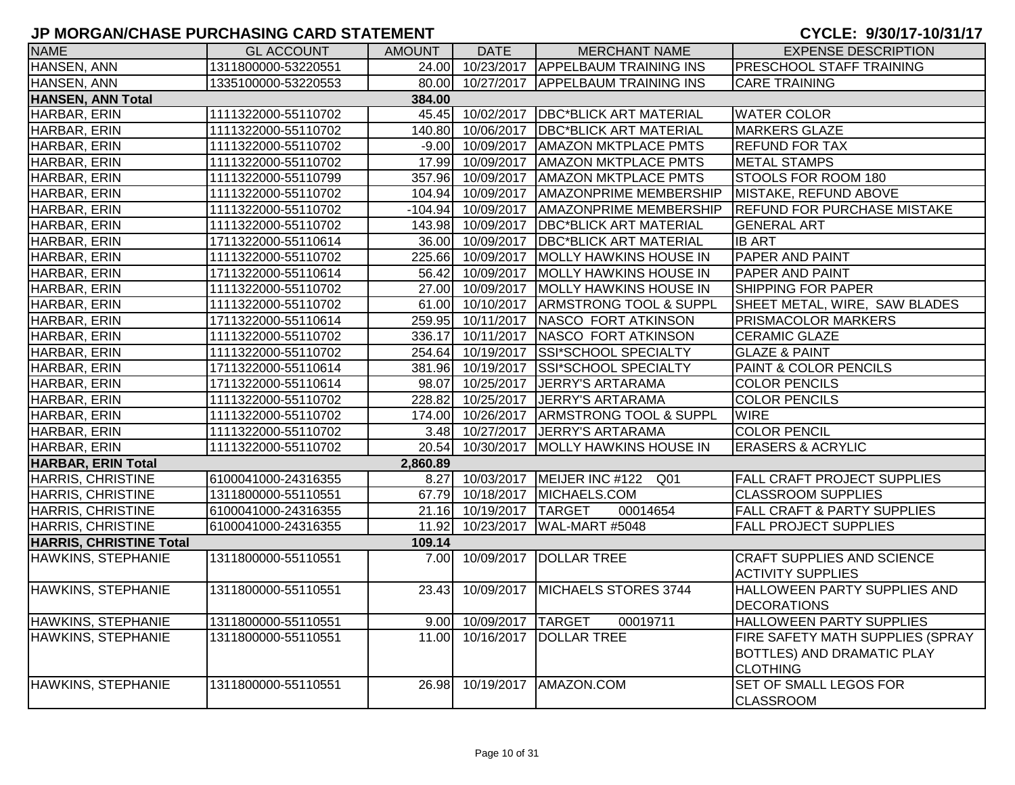| <b>NAME</b>                    | <b>GL ACCOUNT</b>   | AMOUNT   | DATE                    | <b>MERCHANT NAME</b>                      | <b>EXPENSE DESCRIPTION</b>                                    |
|--------------------------------|---------------------|----------|-------------------------|-------------------------------------------|---------------------------------------------------------------|
| HANSEN, ANN                    | 1311800000-53220551 |          |                         | 24.00 10/23/2017 APPELBAUM TRAINING INS   | <b>PRESCHOOL STAFF TRAINING</b>                               |
| HANSEN, ANN                    | 1335100000-53220553 |          |                         | 80.00 10/27/2017 APPELBAUM TRAINING INS   | <b>CARE TRAINING</b>                                          |
| <b>HANSEN, ANN Total</b>       |                     | 384.00   |                         |                                           |                                                               |
| HARBAR, ERIN                   | 1111322000-55110702 |          |                         | 45.45 10/02/2017 DBC*BLICK ART MATERIAL   | <b>WATER COLOR</b>                                            |
| HARBAR, ERIN                   | 1111322000-55110702 |          |                         | 140.80 10/06/2017 DBC*BLICK ART MATERIAL  | <b>MARKERS GLAZE</b>                                          |
| HARBAR, ERIN                   | 1111322000-55110702 |          |                         | -9.00 10/09/2017 AMAZON MKTPLACE PMTS     | <b>REFUND FOR TAX</b>                                         |
| HARBAR, ERIN                   | 1111322000-55110702 |          | 17.99 10/09/2017        | <b>AMAZON MKTPLACE PMTS</b>               | <b>METAL STAMPS</b>                                           |
| HARBAR, ERIN                   | 1111322000-55110799 |          |                         | 357.96 10/09/2017 AMAZON MKTPLACE PMTS    | STOOLS FOR ROOM 180                                           |
| HARBAR, ERIN                   | 1111322000-55110702 |          | 104.94 10/09/2017       | <b>AMAZONPRIME MEMBERSHIP</b>             | MISTAKE, REFUND ABOVE                                         |
| HARBAR, ERIN                   | 1111322000-55110702 |          |                         | -104.94 10/09/2017 AMAZONPRIME MEMBERSHIP | <b>REFUND FOR PURCHASE MISTAKE</b>                            |
| HARBAR, ERIN                   | 1111322000-55110702 |          | 143.98 10/09/2017       | <b>DBC*BLICK ART MATERIAL</b>             | <b>GENERAL ART</b>                                            |
| HARBAR, ERIN                   | 1711322000-55110614 |          | 36.00 10/09/2017        | <b>DBC*BLICK ART MATERIAL</b>             | <b>IB ART</b>                                                 |
| HARBAR, ERIN                   | 1111322000-55110702 |          |                         | 225.66 10/09/2017 MOLLY HAWKINS HOUSE IN  | PAPER AND PAINT                                               |
| HARBAR, ERIN                   | 1711322000-55110614 |          |                         | 56.42 10/09/2017 MOLLY HAWKINS HOUSE IN   | <b>PAPER AND PAINT</b>                                        |
| HARBAR, ERIN                   | 1111322000-55110702 |          |                         | 27.00 10/09/2017 MOLLY HAWKINS HOUSE IN   | <b>SHIPPING FOR PAPER</b>                                     |
| HARBAR, ERIN                   | 1111322000-55110702 |          | 61.00 10/10/2017        | <b>ARMSTRONG TOOL &amp; SUPPL</b>         | SHEET METAL, WIRE, SAW BLADES                                 |
| HARBAR, ERIN                   | 1711322000-55110614 |          |                         | 259.95 10/11/2017 NASCO FORT ATKINSON     | PRISMACOLOR MARKERS                                           |
| HARBAR, ERIN                   | 1111322000-55110702 |          |                         | 336.17 10/11/2017 NASCO FORT ATKINSON     | <b>CERAMIC GLAZE</b>                                          |
| HARBAR, ERIN                   | 1111322000-55110702 |          |                         | 254.64 10/19/2017 SSI*SCHOOL SPECIALTY    | <b>GLAZE &amp; PAINT</b>                                      |
| HARBAR, ERIN                   | 1711322000-55110614 |          | 381.96 10/19/2017       | SSI*SCHOOL SPECIALTY                      | PAINT & COLOR PENCILS                                         |
| HARBAR, ERIN                   | 1711322000-55110614 |          | 98.07 10/25/2017        | JERRY'S ARTARAMA                          | <b>COLOR PENCILS</b>                                          |
| HARBAR, ERIN                   | 1111322000-55110702 | 228.82   | 10/25/2017              | JERRY'S ARTARAMA                          | <b>COLOR PENCILS</b>                                          |
| HARBAR, ERIN                   | 1111322000-55110702 |          | 174.00 10/26/2017       | <b>ARMSTRONG TOOL &amp; SUPPL</b>         | <b>WIRE</b>                                                   |
| HARBAR, ERIN                   | 1111322000-55110702 |          | 3.48 10/27/2017         | JERRY'S ARTARAMA                          | <b>COLOR PENCIL</b>                                           |
| HARBAR, ERIN                   | 1111322000-55110702 |          | 20.54 10/30/2017        | MOLLY HAWKINS HOUSE IN                    | <b>ERASERS &amp; ACRYLIC</b>                                  |
| <b>HARBAR, ERIN Total</b>      |                     | 2,860.89 |                         |                                           |                                                               |
| <b>HARRIS, CHRISTINE</b>       | 6100041000-24316355 |          |                         | 8.27 10/03/2017 MEIJER INC #122<br>Q01    | <b>FALL CRAFT PROJECT SUPPLIES</b>                            |
| <b>HARRIS, CHRISTINE</b>       | 1311800000-55110551 |          |                         | 67.79 10/18/2017 MICHAELS.COM             | <b>CLASSROOM SUPPLIES</b>                                     |
| <b>HARRIS, CHRISTINE</b>       | 6100041000-24316355 |          | 21.16 10/19/2017 TARGET | 00014654                                  | <b>FALL CRAFT &amp; PARTY SUPPLIES</b>                        |
| <b>HARRIS, CHRISTINE</b>       | 6100041000-24316355 |          | 11.92 10/23/2017        | WAL-MART #5048                            | <b>FALL PROJECT SUPPLIES</b>                                  |
| <b>HARRIS, CHRISTINE Total</b> |                     | 109.14   |                         |                                           |                                                               |
| HAWKINS, STEPHANIE             | 1311800000-55110551 |          | 7.00 10/09/2017         | <b>DOLLAR TREE</b>                        | <b>CRAFT SUPPLIES AND SCIENCE</b><br><b>ACTIVITY SUPPLIES</b> |
| HAWKINS, STEPHANIE             | 1311800000-55110551 | 23.43    |                         | 10/09/2017 MICHAELS STORES 3744           | HALLOWEEN PARTY SUPPLIES AND<br><b>DECORATIONS</b>            |
| HAWKINS, STEPHANIE             | 1311800000-55110551 |          | 9.00 10/09/2017 TARGET  | 00019711                                  | <b>HALLOWEEN PARTY SUPPLIES</b>                               |
| HAWKINS, STEPHANIE             | 1311800000-55110551 |          |                         | 11.00 10/16/2017 DOLLAR TREE              | FIRE SAFETY MATH SUPPLIES (SPRAY                              |
|                                |                     |          |                         |                                           | <b>BOTTLES) AND DRAMATIC PLAY</b><br><b>CLOTHING</b>          |
| HAWKINS, STEPHANIE             | 1311800000-55110551 | 26.98    |                         | 10/19/2017 AMAZON.COM                     | SET OF SMALL LEGOS FOR<br><b>CLASSROOM</b>                    |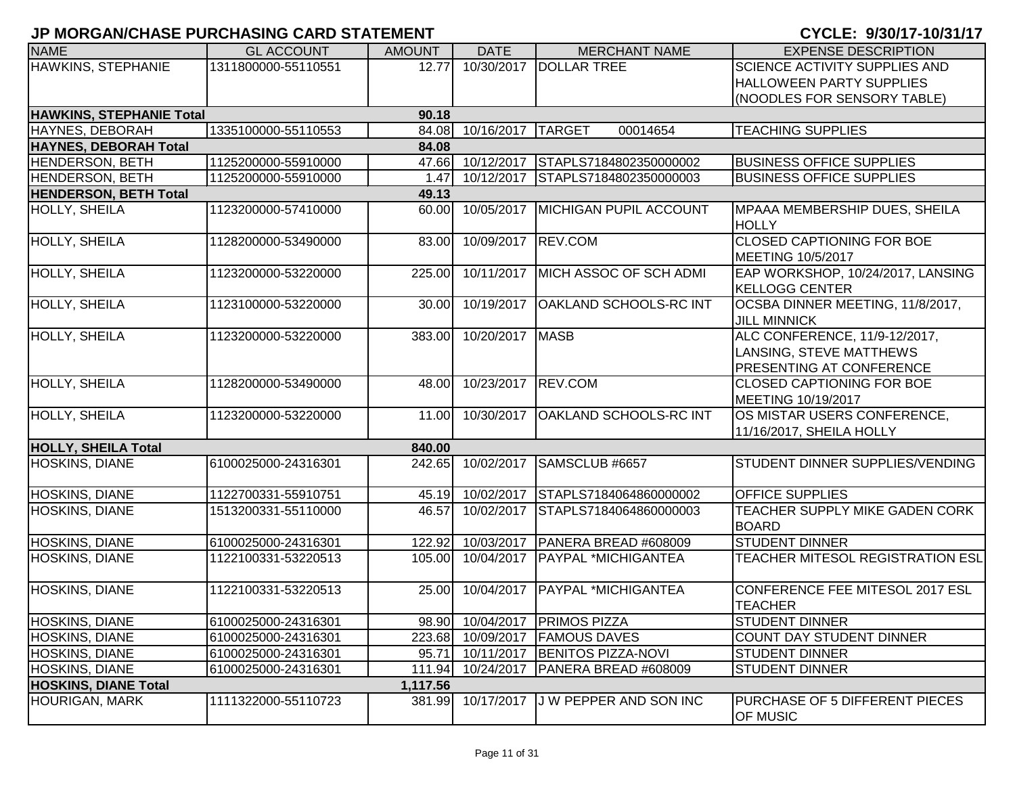| <b>NAME</b>                     | <b>GL ACCOUNT</b>   | <b>AMOUNT</b> | <b>DATE</b>        | <b>MERCHANT NAME</b>           | <b>EXPENSE DESCRIPTION</b>                                 |
|---------------------------------|---------------------|---------------|--------------------|--------------------------------|------------------------------------------------------------|
| HAWKINS, STEPHANIE              | 1311800000-55110551 | 12.77         | 10/30/2017         | <b>DOLLAR TREE</b>             | SCIENCE ACTIVITY SUPPLIES AND                              |
|                                 |                     |               |                    |                                | <b>HALLOWEEN PARTY SUPPLIES</b>                            |
|                                 |                     |               |                    |                                | (NOODLES FOR SENSORY TABLE)                                |
| <b>HAWKINS, STEPHANIE Total</b> |                     | 90.18         |                    |                                |                                                            |
| HAYNES, DEBORAH                 | 1335100000-55110553 |               | 84.08 10/16/2017   | <b>TARGET</b><br>00014654      | <b>TEACHING SUPPLIES</b>                                   |
| <b>HAYNES, DEBORAH Total</b>    |                     | 84.08         |                    |                                |                                                            |
| <b>HENDERSON, BETH</b>          | 1125200000-55910000 |               | 47.66 10/12/2017   | STAPLS7184802350000002         | <b>BUSINESS OFFICE SUPPLIES</b>                            |
| HENDERSON, BETH                 | 1125200000-55910000 | 1.47          | 10/12/2017         | STAPLS7184802350000003         | <b>BUSINESS OFFICE SUPPLIES</b>                            |
| <b>HENDERSON, BETH Total</b>    |                     | 49.13         |                    |                                |                                                            |
| <b>HOLLY, SHEILA</b>            | 1123200000-57410000 | 60.00         | 10/05/2017         | <b>MICHIGAN PUPIL ACCOUNT</b>  | MPAAA MEMBERSHIP DUES, SHEILA<br><b>HOLLY</b>              |
| HOLLY, SHEILA                   | 1128200000-53490000 | 83.00         | 10/09/2017         | REV.COM                        | <b>CLOSED CAPTIONING FOR BOE</b>                           |
|                                 |                     |               |                    |                                | MEETING 10/5/2017                                          |
| HOLLY, SHEILA                   | 1123200000-53220000 | 225.00        | 10/11/2017         | MICH ASSOC OF SCH ADMI         | EAP WORKSHOP, 10/24/2017, LANSING<br><b>KELLOGG CENTER</b> |
| <b>HOLLY, SHEILA</b>            | 1123100000-53220000 | 30.00         | 10/19/2017         | <b>OAKLAND SCHOOLS-RC INT</b>  | OCSBA DINNER MEETING, 11/8/2017,<br><b>JILL MINNICK</b>    |
| <b>HOLLY, SHEILA</b>            | 1123200000-53220000 | 383.00        | 10/20/2017         | <b>MASB</b>                    | ALC CONFERENCE, 11/9-12/2017,                              |
|                                 |                     |               |                    |                                | LANSING, STEVE MATTHEWS                                    |
|                                 |                     |               |                    |                                | PRESENTING AT CONFERENCE                                   |
| <b>HOLLY, SHEILA</b>            | 1128200000-53490000 | 48.00         | 10/23/2017 REV.COM |                                | <b>CLOSED CAPTIONING FOR BOE</b>                           |
|                                 |                     |               |                    |                                | MEETING 10/19/2017                                         |
| HOLLY, SHEILA                   | 1123200000-53220000 | 11.00         | 10/30/2017         | <b>OAKLAND SCHOOLS-RC INT</b>  | OS MISTAR USERS CONFERENCE,                                |
|                                 |                     |               |                    |                                | 11/16/2017, SHEILA HOLLY                                   |
| <b>HOLLY, SHEILA Total</b>      |                     | 840.00        |                    |                                |                                                            |
| <b>HOSKINS, DIANE</b>           | 6100025000-24316301 | 242.65        | 10/02/2017         | SAMSCLUB #6657                 | STUDENT DINNER SUPPLIES/VENDING                            |
| <b>HOSKINS, DIANE</b>           | 1122700331-55910751 |               | 45.19 10/02/2017   | STAPLS7184064860000002         | <b>OFFICE SUPPLIES</b>                                     |
| HOSKINS, DIANE                  | 1513200331-55110000 | 46.57         | 10/02/2017         | STAPLS7184064860000003         | TEACHER SUPPLY MIKE GADEN CORK<br><b>BOARD</b>             |
| <b>HOSKINS, DIANE</b>           | 6100025000-24316301 | 122.92        | 10/03/2017         | PANERA BREAD #608009           | <b>STUDENT DINNER</b>                                      |
| HOSKINS, DIANE                  | 1122100331-53220513 | 105.00        | 10/04/2017         | <b>PAYPAL *MICHIGANTEA</b>     | TEACHER MITESOL REGISTRATION ESL                           |
| HOSKINS, DIANE                  | 1122100331-53220513 | 25.00         |                    | 10/04/2017 PAYPAL *MICHIGANTEA | CONFERENCE FEE MITESOL 2017 ESL<br><b>TEACHER</b>          |
| HOSKINS, DIANE                  | 6100025000-24316301 |               |                    | 98.90 10/04/2017 PRIMOS PIZZA  | <b>STUDENT DINNER</b>                                      |
| <b>HOSKINS, DIANE</b>           | 6100025000-24316301 |               | 223.68 10/09/2017  | <b>FAMOUS DAVES</b>            | COUNT DAY STUDENT DINNER                                   |
| <b>HOSKINS, DIANE</b>           | 6100025000-24316301 | 95.71         | 10/11/2017         | <b>BENITOS PIZZA-NOVI</b>      | <b>STUDENT DINNER</b>                                      |
| <b>HOSKINS, DIANE</b>           | 6100025000-24316301 | 111.94        | 10/24/2017         | PANERA BREAD #608009           | <b>STUDENT DINNER</b>                                      |
| <b>HOSKINS, DIANE Total</b>     |                     | 1,117.56      |                    |                                |                                                            |
| <b>HOURIGAN, MARK</b>           | 1111322000-55110723 | 381.99        | 10/17/2017         | <b>J W PEPPER AND SON INC</b>  | PURCHASE OF 5 DIFFERENT PIECES<br><b>OF MUSIC</b>          |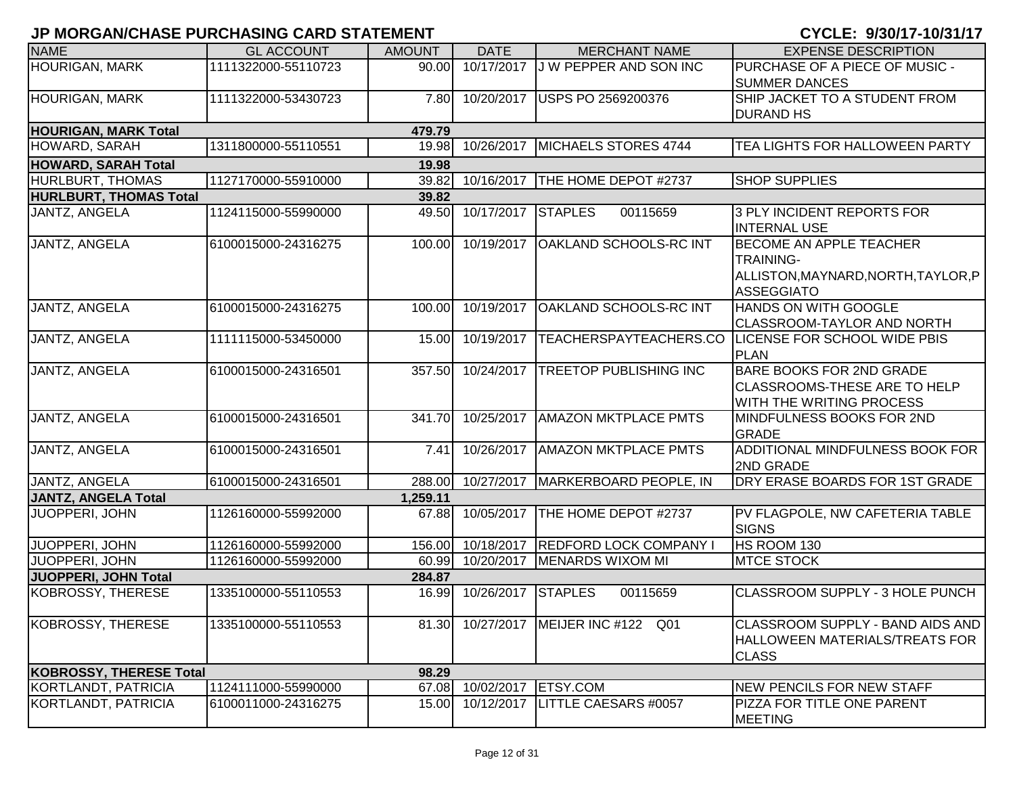| <b>NAME</b>                    | <b>GL ACCOUNT</b>   | <b>AMOUNT</b> | <b>DATE</b>               | <b>MERCHANT NAME</b>                 | <b>EXPENSE DESCRIPTION</b>                                                                                     |
|--------------------------------|---------------------|---------------|---------------------------|--------------------------------------|----------------------------------------------------------------------------------------------------------------|
| <b>HOURIGAN, MARK</b>          | 1111322000-55110723 | 90.00         | 10/17/2017                | <b>JW PEPPER AND SON INC</b>         | PURCHASE OF A PIECE OF MUSIC -<br><b>SUMMER DANCES</b>                                                         |
| <b>HOURIGAN, MARK</b>          | 1111322000-53430723 | 7.80          | 10/20/2017                | USPS PO 2569200376                   | SHIP JACKET TO A STUDENT FROM<br><b>DURAND HS</b>                                                              |
| <b>HOURIGAN, MARK Total</b>    |                     | 479.79        |                           |                                      |                                                                                                                |
| HOWARD, SARAH                  | 1311800000-55110551 | 19.98         | 10/26/2017                | MICHAELS STORES 4744                 | TEA LIGHTS FOR HALLOWEEN PARTY                                                                                 |
| <b>HOWARD, SARAH Total</b>     |                     | 19.98         |                           |                                      |                                                                                                                |
| HURLBURT, THOMAS               | 1127170000-55910000 | 39.82         | 10/16/2017                | THE HOME DEPOT #2737                 | <b>SHOP SUPPLIES</b>                                                                                           |
| <b>HURLBURT, THOMAS Total</b>  |                     | 39.82         |                           |                                      |                                                                                                                |
| JANTZ, ANGELA                  | 1124115000-55990000 | 49.50         | 10/17/2017                | <b>STAPLES</b><br>00115659           | 3 PLY INCIDENT REPORTS FOR<br><b>INTERNAL USE</b>                                                              |
| <b>JANTZ, ANGELA</b>           | 6100015000-24316275 | 100.00        | 10/19/2017                | <b>OAKLAND SCHOOLS-RC INT</b>        | <b>BECOME AN APPLE TEACHER</b><br><b>TRAINING-</b><br>ALLISTON, MAYNARD, NORTH, TAYLOR, P<br><b>ASSEGGIATO</b> |
| <b>JANTZ, ANGELA</b>           | 6100015000-24316275 | 100.00        | 10/19/2017                | <b>OAKLAND SCHOOLS-RC INT</b>        | <b>HANDS ON WITH GOOGLE</b><br><b>CLASSROOM-TAYLOR AND NORTH</b>                                               |
| JANTZ, ANGELA                  | 1111115000-53450000 | 15.00         | 10/19/2017                |                                      | TEACHERSPAYTEACHERS.CO LICENSE FOR SCHOOL WIDE PBIS<br><b>PLAN</b>                                             |
| JANTZ, ANGELA                  | 6100015000-24316501 | 357.50        | 10/24/2017                | <b>TREETOP PUBLISHING INC</b>        | <b>BARE BOOKS FOR 2ND GRADE</b><br><b>CLASSROOMS-THESE ARE TO HELP</b><br>WITH THE WRITING PROCESS             |
| JANTZ, ANGELA                  | 6100015000-24316501 | 341.70        | 10/25/2017                | <b>AMAZON MKTPLACE PMTS</b>          | MINDFULNESS BOOKS FOR 2ND<br><b>GRADE</b>                                                                      |
| JANTZ, ANGELA                  | 6100015000-24316501 | 7.41          | 10/26/2017                | <b>AMAZON MKTPLACE PMTS</b>          | ADDITIONAL MINDFULNESS BOOK FOR<br>2ND GRADE                                                                   |
| JANTZ, ANGELA                  | 6100015000-24316501 | 288.00        | 10/27/2017                | MARKERBOARD PEOPLE, IN               | DRY ERASE BOARDS FOR 1ST GRADE                                                                                 |
| <b>JANTZ, ANGELA Total</b>     |                     | 1,259.11      |                           |                                      |                                                                                                                |
| <b>JUOPPERI, JOHN</b>          | 1126160000-55992000 | 67.88         | 10/05/2017                | THE HOME DEPOT #2737                 | PV FLAGPOLE, NW CAFETERIA TABLE<br><b>SIGNS</b>                                                                |
| JUOPPERI, JOHN                 | 1126160000-55992000 |               | 156.00 10/18/2017         | <b>REDFORD LOCK COMPANY I</b>        | HS ROOM 130                                                                                                    |
| JUOPPERI, JOHN                 | 1126160000-55992000 |               | 60.99 10/20/2017          | <b>MENARDS WIXOM MI</b>              | <b>MTCE STOCK</b>                                                                                              |
| JUOPPERI, JOHN Total           |                     | 284.87        |                           |                                      |                                                                                                                |
| <b>KOBROSSY, THERESE</b>       | 1335100000-55110553 | 16.99         | 10/26/2017                | <b>STAPLES</b><br>00115659           | CLASSROOM SUPPLY - 3 HOLE PUNCH                                                                                |
| KOBROSSY, THERESE              | 1335100000-55110553 |               |                           | 81.30 10/27/2017 MEIJER INC #122 Q01 | CLASSROOM SUPPLY - BAND AIDS AND<br>HALLOWEEN MATERIALS/TREATS FOR<br><b>CLASS</b>                             |
| <b>KOBROSSY, THERESE Total</b> |                     | 98.29         |                           |                                      |                                                                                                                |
| KORTLANDT, PATRICIA            | 1124111000-55990000 |               | 67.08 10/02/2017 ETSY.COM |                                      | NEW PENCILS FOR NEW STAFF                                                                                      |
| KORTLANDT, PATRICIA            | 6100011000-24316275 | 15.00         | 10/12/2017                | <b>LITTLE CAESARS #0057</b>          | PIZZA FOR TITLE ONE PARENT<br><b>MEETING</b>                                                                   |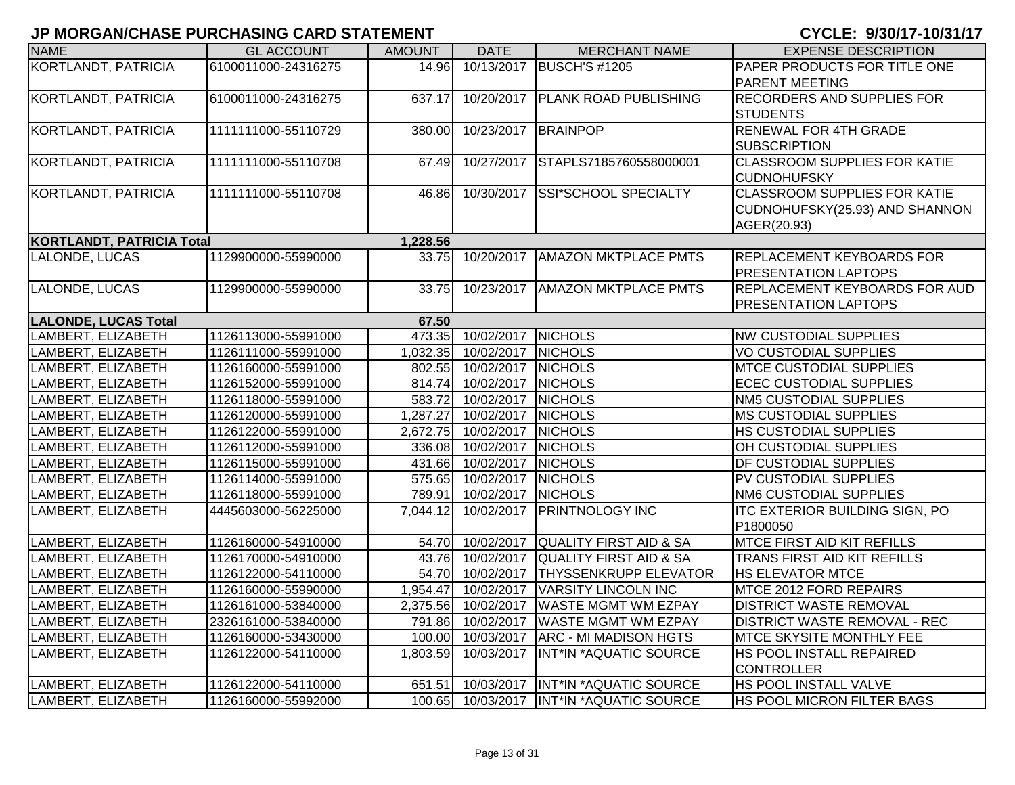| <b>NAME</b>                      | <b>GL ACCOUNT</b>   | <b>AMOUNT</b> | <b>DATE</b>               | <b>MERCHANT NAME</b>                     | <b>EXPENSE DESCRIPTION</b>            |
|----------------------------------|---------------------|---------------|---------------------------|------------------------------------------|---------------------------------------|
| KORTLANDT, PATRICIA              | 6100011000-24316275 | 14.96         | 10/13/2017                | <b>BUSCH'S #1205</b>                     | PAPER PRODUCTS FOR TITLE ONE          |
|                                  |                     |               |                           |                                          | <b>PARENT MEETING</b>                 |
| KORTLANDT, PATRICIA              | 6100011000-24316275 | 637.17        | 10/20/2017                | <b>PLANK ROAD PUBLISHING</b>             | <b>RECORDERS AND SUPPLIES FOR</b>     |
|                                  |                     |               |                           |                                          | <b>STUDENTS</b>                       |
| KORTLANDT, PATRICIA              | 1111111000-55110729 | 380.00        | 10/23/2017                | <b>BRAINPOP</b>                          | RENEWAL FOR 4TH GRADE                 |
|                                  |                     |               |                           |                                          | <b>SUBSCRIPTION</b>                   |
| KORTLANDT, PATRICIA              | 1111111000-55110708 | 67.49         | 10/27/2017                | STAPLS7185760558000001                   | <b>CLASSROOM SUPPLIES FOR KATIE</b>   |
|                                  |                     |               |                           |                                          | <b>CUDNOHUFSKY</b>                    |
| KORTLANDT, PATRICIA              | 1111111000-55110708 | 46.86         | 10/30/2017                | SSI*SCHOOL SPECIALTY                     | <b>CLASSROOM SUPPLIES FOR KATIE</b>   |
|                                  |                     |               |                           |                                          | CUDNOHUFSKY(25.93) AND SHANNON        |
|                                  |                     |               |                           |                                          | AGER(20.93)                           |
| <b>KORTLANDT, PATRICIA Total</b> |                     | 1,228.56      |                           |                                          |                                       |
| LALONDE, LUCAS                   | 1129900000-55990000 | 33.75         | 10/20/2017                | <b>AMAZON MKTPLACE PMTS</b>              | <b>REPLACEMENT KEYBOARDS FOR</b>      |
|                                  |                     |               |                           |                                          | <b>PRESENTATION LAPTOPS</b>           |
| LALONDE, LUCAS                   | 1129900000-55990000 | 33.75         | 10/23/2017                | <b>AMAZON MKTPLACE PMTS</b>              | REPLACEMENT KEYBOARDS FOR AUD         |
|                                  |                     |               |                           |                                          | <b>PRESENTATION LAPTOPS</b>           |
| <b>LALONDE, LUCAS Total</b>      |                     | 67.50         |                           |                                          |                                       |
| LAMBERT, ELIZABETH               | 1126113000-55991000 |               | 473.35 10/02/2017 NICHOLS |                                          | NW CUSTODIAL SUPPLIES                 |
| LAMBERT, ELIZABETH               | 1126111000-55991000 | 1,032.35      | 10/02/2017                | <b>NICHOLS</b>                           | <b>VO CUSTODIAL SUPPLIES</b>          |
| LAMBERT, ELIZABETH               | 1126160000-55991000 |               | 802.55 10/02/2017         | <b>NICHOLS</b>                           | <b>MTCE CUSTODIAL SUPPLIES</b>        |
| LAMBERT, ELIZABETH               | 1126152000-55991000 | 814.74        | 10/02/2017                | <b>NICHOLS</b>                           | <b>ECEC CUSTODIAL SUPPLIES</b>        |
| LAMBERT, ELIZABETH               | 1126118000-55991000 | 583.72        | 10/02/2017                | <b>NICHOLS</b>                           | NM5 CUSTODIAL SUPPLIES                |
| LAMBERT, ELIZABETH               | 1126120000-55991000 | 1,287.27      | 10/02/2017                | <b>NICHOLS</b>                           | <b>MS CUSTODIAL SUPPLIES</b>          |
| LAMBERT, ELIZABETH               | 1126122000-55991000 |               | 2,672.75 10/02/2017       | <b>NICHOLS</b>                           | HS CUSTODIAL SUPPLIES                 |
| LAMBERT, ELIZABETH               | 1126112000-55991000 |               | 336.08 10/02/2017         | <b>NICHOLS</b>                           | OH CUSTODIAL SUPPLIES                 |
| LAMBERT, ELIZABETH               | 1126115000-55991000 |               | 431.66 10/02/2017         | <b>NICHOLS</b>                           | DF CUSTODIAL SUPPLIES                 |
| LAMBERT, ELIZABETH               | 1126114000-55991000 |               | 575.65 10/02/2017         | <b>NICHOLS</b>                           | PV CUSTODIAL SUPPLIES                 |
| LAMBERT, ELIZABETH               | 1126118000-55991000 | 789.91        | 10/02/2017                | <b>NICHOLS</b>                           | NM6 CUSTODIAL SUPPLIES                |
| LAMBERT, ELIZABETH               | 4445603000-56225000 |               | 7,044.12 10/02/2017       | <b>PRINTNOLOGY INC</b>                   | <b>ITC EXTERIOR BUILDING SIGN, PO</b> |
|                                  |                     |               |                           |                                          | P1800050                              |
| LAMBERT, ELIZABETH               | 1126160000-54910000 |               | 54.70 10/02/2017          | QUALITY FIRST AID & SA                   | <b>MTCE FIRST AID KIT REFILLS</b>     |
| LAMBERT, ELIZABETH               | 1126170000-54910000 |               | 43.76 10/02/2017          | <b>QUALITY FIRST AID &amp; SA</b>        | TRANS FIRST AID KIT REFILLS           |
| LAMBERT, ELIZABETH               | 1126122000-54110000 |               | 54.70 10/02/2017          | <b>THYSSENKRUPP ELEVATOR</b>             | <b>HS ELEVATOR MTCE</b>               |
| LAMBERT, ELIZABETH               | 1126160000-55990000 |               | 1,954.47 10/02/2017       | <b>VARSITY LINCOLN INC</b>               | MTCE 2012 FORD REPAIRS                |
| LAMBERT, ELIZABETH               | 1126161000-53840000 | 2,375.56      | 10/02/2017                | <b>WASTE MGMT WM EZPAY</b>               | <b>DISTRICT WASTE REMOVAL</b>         |
| LAMBERT, ELIZABETH               | 2326161000-53840000 |               | 791.86 10/02/2017         | <b>WASTE MGMT WM EZPAY</b>               | <b>DISTRICT WASTE REMOVAL - REC</b>   |
| LAMBERT, ELIZABETH               | 1126160000-53430000 |               | 100.00 10/03/2017         | <b>ARC - MI MADISON HGTS</b>             | <b>MTCE SKYSITE MONTHLY FEE</b>       |
| LAMBERT, ELIZABETH               | 1126122000-54110000 |               | 1,803.59 10/03/2017       | <b>INT*IN *AQUATIC SOURCE</b>            | HS POOL INSTALL REPAIRED              |
|                                  |                     |               |                           |                                          | <b>CONTROLLER</b>                     |
| LAMBERT, ELIZABETH               | 1126122000-54110000 | 651.51        |                           | 10/03/2017  INT*IN *AQUATIC SOURCE       | HS POOL INSTALL VALVE                 |
| LAMBERT, ELIZABETH               | 1126160000-55992000 |               |                           | 100.65 10/03/2017 INT*IN *AQUATIC SOURCE | <b>HS POOL MICRON FILTER BAGS</b>     |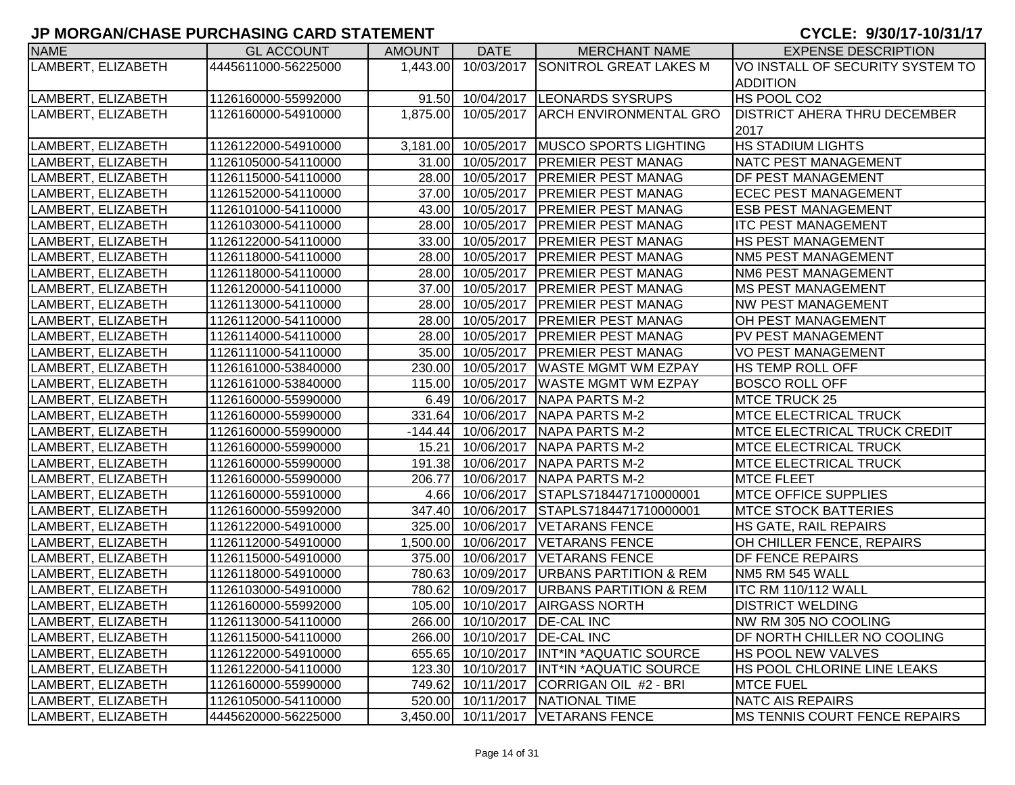| <b>NAME</b>        | <b>GL ACCOUNT</b>   | <b>AMOUNT</b> | <b>DATE</b>                  | <b>MERCHANT NAME</b>               | <b>EXPENSE DESCRIPTION</b>            |
|--------------------|---------------------|---------------|------------------------------|------------------------------------|---------------------------------------|
| LAMBERT, ELIZABETH | 4445611000-56225000 | 1,443.00      |                              | 10/03/2017 SONITROL GREAT LAKES M  | VO INSTALL OF SECURITY SYSTEM TO      |
|                    |                     |               |                              |                                    | <b>ADDITION</b>                       |
| LAMBERT, ELIZABETH | 1126160000-55992000 | 91.50         |                              | 10/04/2017  LEONARDS SYSRUPS       | HS POOL CO2                           |
| LAMBERT, ELIZABETH | 1126160000-54910000 | 1,875.00      |                              | 10/05/2017 ARCH ENVIRONMENTAL GRO  | <b>DISTRICT AHERA THRU DECEMBER</b>   |
|                    |                     |               |                              |                                    | 2017                                  |
| LAMBERT, ELIZABETH | 1126122000-54910000 | 3,181.00      | 10/05/2017                   | <b>MUSCO SPORTS LIGHTING</b>       | <b>HS STADIUM LIGHTS</b>              |
| LAMBERT, ELIZABETH | 1126105000-54110000 |               | 31.00 10/05/2017             | <b>PREMIER PEST MANAG</b>          | <b>NATC PEST MANAGEMENT</b>           |
| LAMBERT, ELIZABETH | 1126115000-54110000 |               | 28.00 10/05/2017             | <b>PREMIER PEST MANAG</b>          | <b>DF PEST MANAGEMENT</b>             |
| LAMBERT, ELIZABETH | 1126152000-54110000 |               | 37.00 10/05/2017             | <b>PREMIER PEST MANAG</b>          | <b>ECEC PEST MANAGEMENT</b>           |
| LAMBERT, ELIZABETH | 1126101000-54110000 |               | 43.00 10/05/2017             | <b>PREMIER PEST MANAG</b>          | <b>ESB PEST MANAGEMENT</b>            |
| LAMBERT, ELIZABETH | 1126103000-54110000 | 28.00         | 10/05/2017                   | <b>PREMIER PEST MANAG</b>          | <b>ITC PEST MANAGEMENT</b>            |
| LAMBERT, ELIZABETH | 1126122000-54110000 | 33.00         | 10/05/2017                   | <b>PREMIER PEST MANAG</b>          | HS PEST MANAGEMENT                    |
| LAMBERT, ELIZABETH | 1126118000-54110000 | 28.00         | 10/05/2017                   | <b>PREMIER PEST MANAG</b>          | <b>NM5 PEST MANAGEMENT</b>            |
| LAMBERT, ELIZABETH | 1126118000-54110000 | 28.00         | 10/05/2017                   | <b>PREMIER PEST MANAG</b>          | <b>NM6 PEST MANAGEMENT</b>            |
| LAMBERT, ELIZABETH | 1126120000-54110000 | 37.00         | 10/05/2017                   | <b>PREMIER PEST MANAG</b>          | <b>MS PEST MANAGEMENT</b>             |
| LAMBERT, ELIZABETH | 1126113000-54110000 | 28.00         | 10/05/2017                   | <b>PREMIER PEST MANAG</b>          | <b>NW PEST MANAGEMENT</b>             |
| LAMBERT, ELIZABETH | 1126112000-54110000 | 28.00         | 10/05/2017                   | <b>PREMIER PEST MANAG</b>          | <b>OH PEST MANAGEMENT</b>             |
| LAMBERT, ELIZABETH | 1126114000-54110000 | 28.00         | 10/05/2017                   | <b>PREMIER PEST MANAG</b>          | PV PEST MANAGEMENT                    |
| LAMBERT, ELIZABETH | 1126111000-54110000 | 35.00         | 10/05/2017                   | <b>PREMIER PEST MANAG</b>          | <b>VO PEST MANAGEMENT</b>             |
| LAMBERT, ELIZABETH | 1126161000-53840000 | 230.00        | 10/05/2017                   | <b>WASTE MGMT WM EZPAY</b>         | <b>HS TEMP ROLL OFF</b>               |
| LAMBERT, ELIZABETH | 1126161000-53840000 | 115.00        | 10/05/2017                   | <b>WASTE MGMT WM EZPAY</b>         | <b>BOSCO ROLL OFF</b>                 |
| LAMBERT, ELIZABETH | 1126160000-55990000 |               | 6.49 10/06/2017              | <b>NAPA PARTS M-2</b>              | MTCE TRUCK 25                         |
| LAMBERT, ELIZABETH | 1126160000-55990000 | 331.64        | 10/06/2017                   | <b>NAPA PARTS M-2</b>              | <b>MTCE ELECTRICAL TRUCK</b>          |
| LAMBERT, ELIZABETH | 1126160000-55990000 |               | $-144.44$ 10/06/2017         | <b>NAPA PARTS M-2</b>              | <b>IMTCE ELECTRICAL TRUCK CREDIT</b>  |
| LAMBERT, ELIZABETH | 1126160000-55990000 |               | 15.21 10/06/2017             | NAPA PARTS M-2                     | <b>MTCE ELECTRICAL TRUCK</b>          |
| LAMBERT, ELIZABETH | 1126160000-55990000 |               | 191.38 10/06/2017            | <b>NAPA PARTS M-2</b>              | <b>MTCE ELECTRICAL TRUCK</b>          |
| LAMBERT, ELIZABETH | 1126160000-55990000 | 206.77        | 10/06/2017                   | <b>NAPA PARTS M-2</b>              | <b>MTCE FLEET</b>                     |
| LAMBERT, ELIZABETH | 1126160000-55910000 |               | 4.66 10/06/2017              | STAPLS7184471710000001             | <b>MTCE OFFICE SUPPLIES</b>           |
| LAMBERT, ELIZABETH | 1126160000-55992000 | 347.40        | 10/06/2017                   | STAPLS7184471710000001             | <b>MTCE STOCK BATTERIES</b>           |
| LAMBERT, ELIZABETH | 1126122000-54910000 | 325.00        | 10/06/2017                   | <b>VETARANS FENCE</b>              | HS GATE, RAIL REPAIRS                 |
| LAMBERT, ELIZABETH | 1126112000-54910000 | 1,500.00      | 10/06/2017                   | <b>VETARANS FENCE</b>              | OH CHILLER FENCE, REPAIRS             |
| LAMBERT, ELIZABETH | 1126115000-54910000 | 375.00        | 10/06/2017                   | <b>VETARANS FENCE</b>              | <b>DF FENCE REPAIRS</b>               |
| LAMBERT, ELIZABETH | 1126118000-54910000 | 780.63        | 10/09/2017                   | <b>URBANS PARTITION &amp; REM</b>  | NM5 RM 545 WALL                       |
| LAMBERT, ELIZABETH | 1126103000-54910000 | 780.62        | 10/09/2017                   | <b>JURBANS PARTITION &amp; REM</b> | <b>ITC RM 110/112 WALL</b>            |
| LAMBERT, ELIZABETH | 1126160000-55992000 |               | 105.00 10/10/2017            | <b>AIRGASS NORTH</b>               | <b>DISTRICT WELDING</b>               |
| LAMBERT, ELIZABETH | 1126113000-54110000 |               | 266.00 10/10/2017 DE-CAL INC |                                    | NW RM 305 NO COOLING                  |
| LAMBERT, ELIZABETH | 1126115000-54110000 |               | 266.00 10/10/2017            | <b>DE-CAL INC</b>                  | DF NORTH CHILLER NO COOLING           |
| LAMBERT, ELIZABETH | 1126122000-54910000 |               | 655.65 10/10/2017            | INT*IN *AQUATIC SOURCE             | <b>HS POOL NEW VALVES</b>             |
| LAMBERT, ELIZABETH | 1126122000-54110000 |               | 123.30 10/10/2017            | INT*IN *AQUATIC SOURCE             | HS POOL CHLORINE LINE LEAKS           |
| LAMBERT, ELIZABETH | 1126160000-55990000 |               | 749.62 10/11/2017            | CORRIGAN OIL #2 - BRI              | <b>MTCE FUEL</b>                      |
| LAMBERT, ELIZABETH | 1126105000-54110000 |               |                              | 520.00 10/11/2017 NATIONAL TIME    | NATC AIS REPAIRS                      |
| LAMBERT, ELIZABETH | 4445620000-56225000 |               |                              | 3,450.00 10/11/2017 VETARANS FENCE | <b>IMS TENNIS COURT FENCE REPAIRS</b> |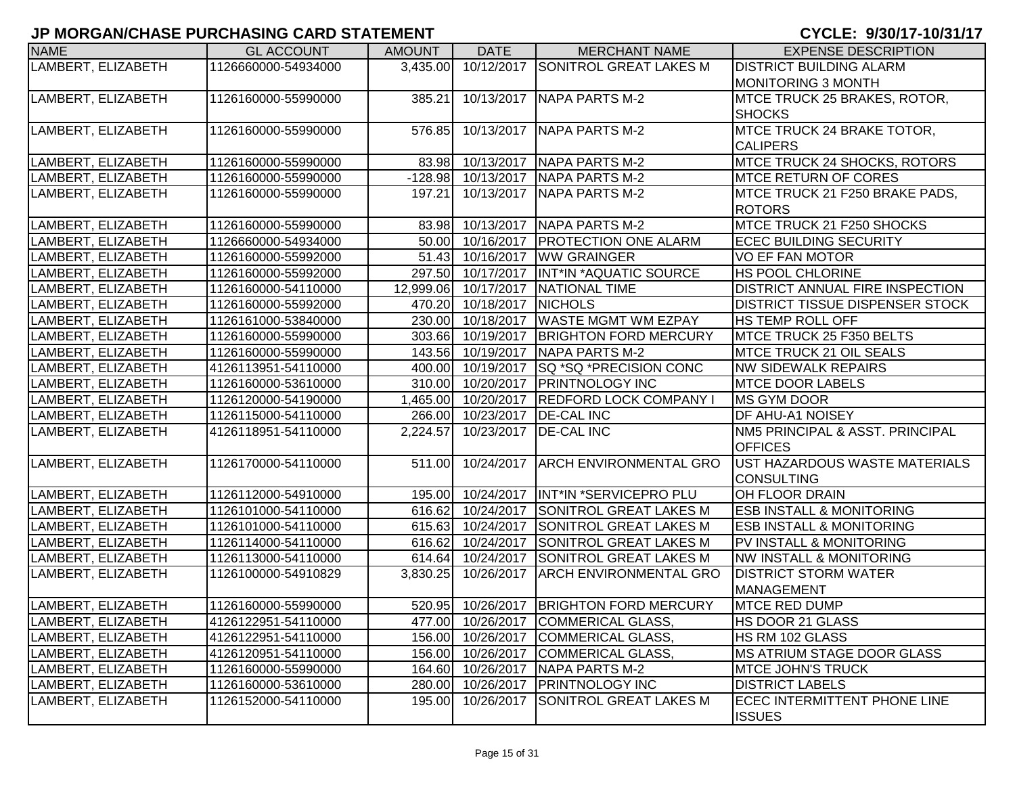| <b>NAME</b>        | <b>GL ACCOUNT</b>   | <b>AMOUNT</b> | <b>DATE</b>          | <b>MERCHANT NAME</b>                      | <b>EXPENSE DESCRIPTION</b>             |
|--------------------|---------------------|---------------|----------------------|-------------------------------------------|----------------------------------------|
| LAMBERT, ELIZABETH | 1126660000-54934000 | 3,435.00      | 10/12/2017           | <b>SONITROL GREAT LAKES M</b>             | <b>DISTRICT BUILDING ALARM</b>         |
|                    |                     |               |                      |                                           | MONITORING 3 MONTH                     |
| LAMBERT, ELIZABETH | 1126160000-55990000 | 385.21        |                      | 10/13/2017 NAPA PARTS M-2                 | MTCE TRUCK 25 BRAKES, ROTOR,           |
|                    |                     |               |                      |                                           | <b>SHOCKS</b>                          |
| LAMBERT, ELIZABETH | 1126160000-55990000 | 576.85        | 10/13/2017           | NAPA PARTS M-2                            | MTCE TRUCK 24 BRAKE TOTOR,             |
|                    |                     |               |                      |                                           | <b>CALIPERS</b>                        |
| LAMBERT, ELIZABETH | 1126160000-55990000 |               | 83.98 10/13/2017     | NAPA PARTS M-2                            | MTCE TRUCK 24 SHOCKS, ROTORS           |
| LAMBERT, ELIZABETH | 1126160000-55990000 |               | $-128.98$ 10/13/2017 | <b>NAPA PARTS M-2</b>                     | <b>MTCE RETURN OF CORES</b>            |
| LAMBERT, ELIZABETH | 1126160000-55990000 | 197.21        | 10/13/2017           | <b>NAPA PARTS M-2</b>                     | MTCE TRUCK 21 F250 BRAKE PADS,         |
|                    |                     |               |                      |                                           | <b>ROTORS</b>                          |
| LAMBERT, ELIZABETH | 1126160000-55990000 |               | 83.98 10/13/2017     | NAPA PARTS M-2                            | MTCE TRUCK 21 F250 SHOCKS              |
| LAMBERT, ELIZABETH | 1126660000-54934000 |               | 50.00 10/16/2017     | <b>PROTECTION ONE ALARM</b>               | <b>ECEC BUILDING SECURITY</b>          |
| LAMBERT, ELIZABETH | 1126160000-55992000 |               | 51.43 10/16/2017     | <b>WW GRAINGER</b>                        | <b>VO EF FAN MOTOR</b>                 |
| LAMBERT, ELIZABETH | 1126160000-55992000 |               | 297.50 10/17/2017    | INT*IN *AQUATIC SOURCE                    | <b>HS POOL CHLORINE</b>                |
| LAMBERT, ELIZABETH | 1126160000-54110000 | 12,999.06     | 10/17/2017           | <b>NATIONAL TIME</b>                      | DISTRICT ANNUAL FIRE INSPECTION        |
| LAMBERT, ELIZABETH | 1126160000-55992000 | 470.20        | $\sqrt{10/18/2017}$  | <b>NICHOLS</b>                            | <b>DISTRICT TISSUE DISPENSER STOCK</b> |
| LAMBERT, ELIZABETH | 1126161000-53840000 |               | 230.00 10/18/2017    | <b>WASTE MGMT WM EZPAY</b>                | HS TEMP ROLL OFF                       |
| LAMBERT, ELIZABETH | 1126160000-55990000 |               | 303.66 10/19/2017    | <b>BRIGHTON FORD MERCURY</b>              | MTCE TRUCK 25 F350 BELTS               |
| LAMBERT, ELIZABETH | 1126160000-55990000 |               | 143.56 10/19/2017    | <b>NAPA PARTS M-2</b>                     | <b>MTCE TRUCK 21 OIL SEALS</b>         |
| LAMBERT, ELIZABETH | 4126113951-54110000 |               | 400.00 10/19/2017    | <b>SQ *SQ *PRECISION CONC</b>             | <b>NW SIDEWALK REPAIRS</b>             |
| LAMBERT, ELIZABETH | 1126160000-53610000 |               | 310.00 10/20/2017    | <b>PRINTNOLOGY INC</b>                    | <b>MTCE DOOR LABELS</b>                |
| LAMBERT, ELIZABETH | 1126120000-54190000 |               | 1,465.00 10/20/2017  | <b>REDFORD LOCK COMPANY I</b>             | <b>MS GYM DOOR</b>                     |
| LAMBERT, ELIZABETH | 1126115000-54110000 |               | 266.00 10/23/2017    | <b>DE-CAL INC</b>                         | <b>DF AHU-A1 NOISEY</b>                |
| LAMBERT, ELIZABETH | 4126118951-54110000 | 2,224.57      | 10/23/2017           | <b>DE-CAL INC</b>                         | NM5 PRINCIPAL & ASST. PRINCIPAL        |
|                    |                     |               |                      |                                           | <b>OFFICES</b>                         |
| LAMBERT, ELIZABETH | 1126170000-54110000 | 511.00        | 10/24/2017           | <b>ARCH ENVIRONMENTAL GRO</b>             | UST HAZARDOUS WASTE MATERIALS          |
|                    |                     |               |                      |                                           | <b>CONSULTING</b>                      |
| LAMBERT, ELIZABETH | 1126112000-54910000 |               |                      | 195.00 10/24/2017  INT*IN *SERVICEPRO PLU | <b>OH FLOOR DRAIN</b>                  |
| LAMBERT, ELIZABETH | 1126101000-54110000 | 616.62        | 10/24/2017           | <b>SONITROL GREAT LAKES M</b>             | <b>ESB INSTALL &amp; MONITORING</b>    |
| LAMBERT, ELIZABETH | 1126101000-54110000 | 615.63        | 10/24/2017           | SONITROL GREAT LAKES M                    | <b>ESB INSTALL &amp; MONITORING</b>    |
| LAMBERT, ELIZABETH | 1126114000-54110000 | 616.62        | 10/24/2017           | <b>SONITROL GREAT LAKES M</b>             | PV INSTALL & MONITORING                |
| LAMBERT, ELIZABETH | 1126113000-54110000 |               | 614.64 10/24/2017    | <b>SONITROL GREAT LAKES M</b>             | <b>NW INSTALL &amp; MONITORING</b>     |
| LAMBERT, ELIZABETH | 1126100000-54910829 | 3,830.25      | 10/26/2017           | <b>ARCH ENVIRONMENTAL GRO</b>             | <b>DISTRICT STORM WATER</b>            |
|                    |                     |               |                      |                                           | <b>MANAGEMENT</b>                      |
| LAMBERT, ELIZABETH | 1126160000-55990000 |               | 520.95 10/26/2017    | <b>BRIGHTON FORD MERCURY</b>              | <b>MTCE RED DUMP</b>                   |
| LAMBERT, ELIZABETH | 4126122951-54110000 |               |                      | 477.00 10/26/2017 COMMERICAL GLASS        | HS DOOR 21 GLASS                       |
| LAMBERT, ELIZABETH | 4126122951-54110000 |               | 156.00 10/26/2017    | COMMERICAL GLASS,                         | HS RM 102 GLASS                        |
| LAMBERT, ELIZABETH | 4126120951-54110000 |               | 156.00 10/26/2017    | COMMERICAL GLASS,                         | MS ATRIUM STAGE DOOR GLASS             |
| LAMBERT, ELIZABETH | 1126160000-55990000 |               | 164.60 10/26/2017    | NAPA PARTS M-2                            | <b>MTCE JOHN'S TRUCK</b>               |
| LAMBERT, ELIZABETH | 1126160000-53610000 |               | 280.00 10/26/2017    | <b>PRINTNOLOGY INC</b>                    | <b>DISTRICT LABELS</b>                 |
| LAMBERT, ELIZABETH | 1126152000-54110000 |               | 195.00 10/26/2017    | <b>SONITROL GREAT LAKES M</b>             | <b>ECEC INTERMITTENT PHONE LINE</b>    |
|                    |                     |               |                      |                                           | <b>ISSUES</b>                          |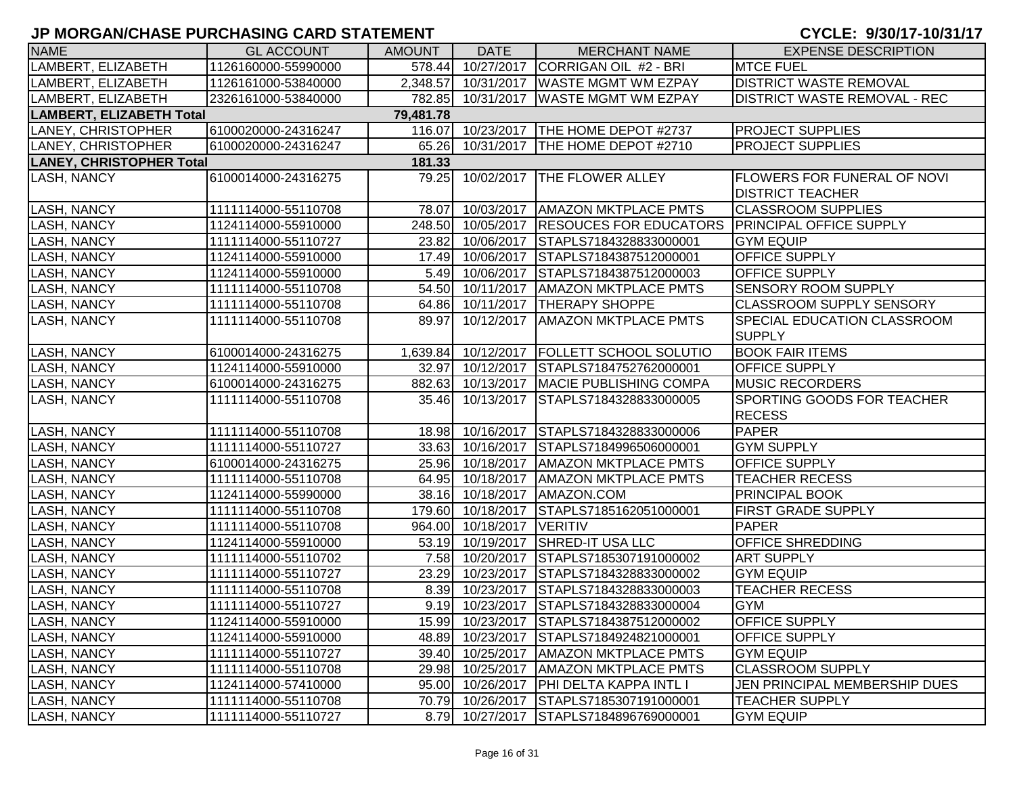| <b>NAME</b>                     | <b>GL ACCOUNT</b>   | <b>AMOUNT</b> | <b>DATE</b>         | <b>MERCHANT NAME</b>                                  | <b>EXPENSE DESCRIPTION</b>          |
|---------------------------------|---------------------|---------------|---------------------|-------------------------------------------------------|-------------------------------------|
| LAMBERT, ELIZABETH              | 1126160000-55990000 | 578.44        | 10/27/2017          | CORRIGAN OIL #2 - BRI                                 | <b>MTCE FUEL</b>                    |
| LAMBERT, ELIZABETH              | 1126161000-53840000 |               | 2,348.57 10/31/2017 | <b>WASTE MGMT WM EZPAY</b>                            | <b>DISTRICT WASTE REMOVAL</b>       |
| LAMBERT, ELIZABETH              | 2326161000-53840000 |               | 782.85 10/31/2017   | <b>WASTE MGMT WM EZPAY</b>                            | <b>DISTRICT WASTE REMOVAL - REC</b> |
| <b>LAMBERT, ELIZABETH Total</b> |                     | 79,481.78     |                     |                                                       |                                     |
| LANEY, CHRISTOPHER              | 6100020000-24316247 |               |                     | 116.07 10/23/2017 THE HOME DEPOT #2737                | <b>PROJECT SUPPLIES</b>             |
| LANEY, CHRISTOPHER              | 6100020000-24316247 | 65.26         |                     | 10/31/2017   THE HOME DEPOT #2710                     | <b>PROJECT SUPPLIES</b>             |
| <b>LANEY, CHRISTOPHER Total</b> |                     | 181.33        |                     |                                                       |                                     |
| LASH, NANCY                     | 6100014000-24316275 | 79.25         | 10/02/2017          | <b>THE FLOWER ALLEY</b>                               | <b>FLOWERS FOR FUNERAL OF NOVI</b>  |
|                                 |                     |               |                     |                                                       | <b>DISTRICT TEACHER</b>             |
| <b>LASH, NANCY</b>              | 1111114000-55110708 |               |                     | 78.07 10/03/2017   AMAZON MKTPLACE PMTS               | <b>CLASSROOM SUPPLIES</b>           |
| <b>LASH, NANCY</b>              | 1124114000-55910000 |               | 248.50 10/05/2017   | <b>RESOUCES FOR EDUCATORS PRINCIPAL OFFICE SUPPLY</b> |                                     |
| <b>LASH, NANCY</b>              | 1111114000-55110727 |               | 23.82 10/06/2017    | STAPLS7184328833000001                                | <b>GYM EQUIP</b>                    |
| <b>LASH, NANCY</b>              | 1124114000-55910000 |               | 17.49 10/06/2017    | STAPLS7184387512000001                                | OFFICE SUPPLY                       |
| <b>LASH, NANCY</b>              | 1124114000-55910000 |               | 5.49 10/06/2017     | STAPLS7184387512000003                                | OFFICE SUPPLY                       |
| <b>LASH, NANCY</b>              | 1111114000-55110708 |               | 54.50 10/11/2017    | <b>AMAZON MKTPLACE PMTS</b>                           | <b>SENSORY ROOM SUPPLY</b>          |
| LASH, NANCY                     | 1111114000-55110708 |               | 64.86 10/11/2017    | <b>THERAPY SHOPPE</b>                                 | <b>CLASSROOM SUPPLY SENSORY</b>     |
| LASH, NANCY                     | 1111114000-55110708 | 89.97         | 10/12/2017          | <b>AMAZON MKTPLACE PMTS</b>                           | SPECIAL EDUCATION CLASSROOM         |
|                                 |                     |               |                     |                                                       | <b>SUPPLY</b>                       |
| <b>LASH, NANCY</b>              | 6100014000-24316275 |               |                     | 1,639.84 10/12/2017 FOLLETT SCHOOL SOLUTIO            | <b>BOOK FAIR ITEMS</b>              |
| LASH, NANCY                     | 1124114000-55910000 | 32.97         | 10/12/2017          | STAPLS7184752762000001                                | OFFICE SUPPLY                       |
| <b>LASH, NANCY</b>              | 6100014000-24316275 | 882.63        | 10/13/2017          | <b>MACIE PUBLISHING COMPA</b>                         | <b>MUSIC RECORDERS</b>              |
| LASH, NANCY                     | 1111114000-55110708 | 35.46         | 10/13/2017          | STAPLS7184328833000005                                | <b>SPORTING GOODS FOR TEACHER</b>   |
|                                 |                     |               |                     |                                                       | <b>RECESS</b>                       |
| <b>LASH, NANCY</b>              | 1111114000-55110708 |               |                     | 18.98 10/16/2017 STAPLS7184328833000006               | <b>PAPER</b>                        |
| <b>LASH, NANCY</b>              | 1111114000-55110727 |               |                     | 33.63 10/16/2017 STAPLS7184996506000001               | <b>GYM SUPPLY</b>                   |
| <b>LASH, NANCY</b>              | 6100014000-24316275 |               |                     | 25.96 10/18/2017   AMAZON MKTPLACE PMTS               | <b>OFFICE SUPPLY</b>                |
| <b>LASH, NANCY</b>              | 1111114000-55110708 |               |                     | 64.95 10/18/2017   AMAZON MKTPLACE PMTS               | <b>TEACHER RECESS</b>               |
| <b>LASH, NANCY</b>              | 1124114000-55990000 |               | 38.16 10/18/2017    | AMAZON.COM                                            | <b>PRINCIPAL BOOK</b>               |
| <b>LASH, NANCY</b>              | 1111114000-55110708 |               | 179.60 10/18/2017   | STAPLS7185162051000001                                | <b>FIRST GRADE SUPPLY</b>           |
| <b>LASH, NANCY</b>              | 1111114000-55110708 |               | 964.00 10/18/2017   | <b>VERITIV</b>                                        | PAPER                               |
| <b>LASH, NANCY</b>              | 1124114000-55910000 |               | 53.19 10/19/2017    | <b>SHRED-IT USA LLC</b>                               | <b>OFFICE SHREDDING</b>             |
| LASH, NANCY                     | 1111114000-55110702 |               | 7.58 10/20/2017     | STAPLS7185307191000002                                | <b>ART SUPPLY</b>                   |
| LASH, NANCY                     | 1111114000-55110727 | 23.29         | 10/23/2017          | STAPLS7184328833000002                                | <b>GYM EQUIP</b>                    |
| LASH, NANCY                     | 1111114000-55110708 |               | 8.39 10/23/2017     | STAPLS7184328833000003                                | <b>TEACHER RECESS</b>               |
| <b>LASH, NANCY</b>              | 1111114000-55110727 |               | 9.19 10/23/2017     | STAPLS7184328833000004                                | <b>GYM</b>                          |
| LASH, NANCY                     | 1124114000-55910000 |               |                     | 15.99 10/23/2017 STAPLS7184387512000002               | <b>OFFICE SUPPLY</b>                |
| <b>LASH, NANCY</b>              | 1124114000-55910000 | 48.89         | 10/23/2017          | STAPLS7184924821000001                                | <b>OFFICE SUPPLY</b>                |
| <b>LASH, NANCY</b>              | 1111114000-55110727 |               | 39.40 10/25/2017    | <b>AMAZON MKTPLACE PMTS</b>                           | <b>GYM EQUIP</b>                    |
| <b>LASH, NANCY</b>              | 1111114000-55110708 |               | 29.98 10/25/2017    | <b>AMAZON MKTPLACE PMTS</b>                           | <b>CLASSROOM SUPPLY</b>             |
| <b>LASH, NANCY</b>              | 1124114000-57410000 |               | 95.00 10/26/2017    | <b>PHI DELTA KAPPA INTL I</b>                         | JEN PRINCIPAL MEMBERSHIP DUES       |
| LASH, NANCY                     | 1111114000-55110708 |               | 70.79 10/26/2017    | STAPLS7185307191000001                                | <b>TEACHER SUPPLY</b>               |
| LASH, NANCY                     | 1111114000-55110727 |               |                     | 8.79 10/27/2017 STAPLS7184896769000001                | <b>GYM EQUIP</b>                    |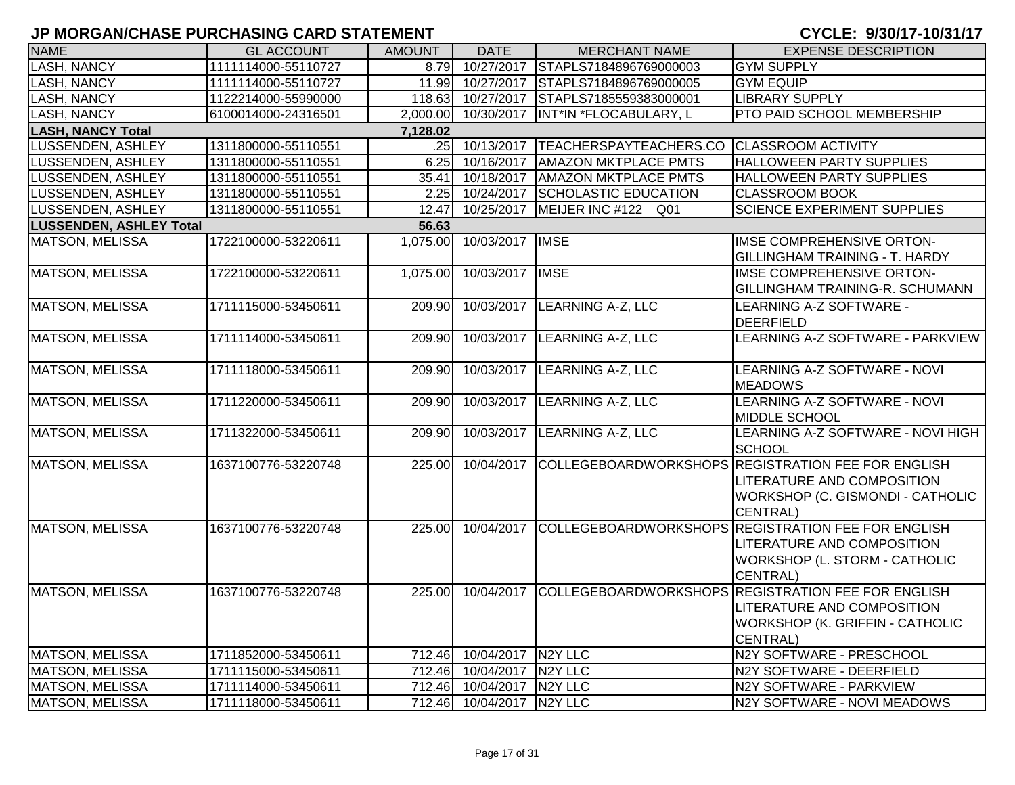| <b>NAME</b>                    | <b>GL ACCOUNT</b>   | <b>AMOUNT</b> | <b>DATE</b>               | <b>MERCHANT NAME</b>                      | <b>EXPENSE DESCRIPTION</b>                                                                                                                  |
|--------------------------------|---------------------|---------------|---------------------------|-------------------------------------------|---------------------------------------------------------------------------------------------------------------------------------------------|
| LASH, NANCY                    | 1111114000-55110727 | 8.79          | 10/27/2017                | STAPLS7184896769000003                    | <b>GYM SUPPLY</b>                                                                                                                           |
| <b>LASH, NANCY</b>             | 1111114000-55110727 |               | 11.99 10/27/2017          | STAPLS7184896769000005                    | <b>GYM EQUIP</b>                                                                                                                            |
| LASH, NANCY                    | 1122214000-55990000 |               | 118.63 10/27/2017         | STAPLS7185559383000001                    | <b>LIBRARY SUPPLY</b>                                                                                                                       |
| LASH, NANCY                    | 6100014000-24316501 | 2,000.00      | 10/30/2017                | INT*IN *FLOCABULARY, L                    | PTO PAID SCHOOL MEMBERSHIP                                                                                                                  |
| <b>LASH, NANCY Total</b>       |                     | 7,128.02      |                           |                                           |                                                                                                                                             |
| LUSSENDEN, ASHLEY              | 1311800000-55110551 |               | .25 10/13/2017            | TEACHERSPAYTEACHERS.CO CLASSROOM ACTIVITY |                                                                                                                                             |
| LUSSENDEN, ASHLEY              | 1311800000-55110551 | 6.25          | 10/16/2017                | <b>AMAZON MKTPLACE PMTS</b>               | <b>HALLOWEEN PARTY SUPPLIES</b>                                                                                                             |
| LUSSENDEN, ASHLEY              | 1311800000-55110551 | 35.41         | 10/18/2017                | <b>AMAZON MKTPLACE PMTS</b>               | HALLOWEEN PARTY SUPPLIES                                                                                                                    |
| LUSSENDEN, ASHLEY              | 1311800000-55110551 | 2.25          | 10/24/2017                | SCHOLASTIC EDUCATION                      | <b>CLASSROOM BOOK</b>                                                                                                                       |
| LUSSENDEN, ASHLEY              | 1311800000-55110551 | 12.47         | 10/25/2017                | MEIJER INC #122 Q01                       | <b>SCIENCE EXPERIMENT SUPPLIES</b>                                                                                                          |
| <b>LUSSENDEN, ASHLEY Total</b> |                     | 56.63         |                           |                                           |                                                                                                                                             |
| <b>MATSON, MELISSA</b>         | 1722100000-53220611 | 1,075.00      | 10/03/2017   IMSE         |                                           | <b>IMSE COMPREHENSIVE ORTON-</b><br>GILLINGHAM TRAINING - T. HARDY                                                                          |
| <b>MATSON, MELISSA</b>         | 1722100000-53220611 | 1,075.00      | 10/03/2017   IMSE         |                                           | <b>IMSE COMPREHENSIVE ORTON-</b><br><b>GILLINGHAM TRAINING-R. SCHUMANN</b>                                                                  |
| <b>MATSON, MELISSA</b>         | 1711115000-53450611 | 209.90        |                           | 10/03/2017 LEARNING A-Z, LLC              | LEARNING A-Z SOFTWARE -<br><b>DEERFIELD</b>                                                                                                 |
| <b>MATSON, MELISSA</b>         | 1711114000-53450611 | 209.90        |                           | 10/03/2017 LEARNING A-Z, LLC              | LEARNING A-Z SOFTWARE - PARKVIEW                                                                                                            |
| <b>MATSON, MELISSA</b>         | 1711118000-53450611 | 209.90        |                           | 10/03/2017 LEARNING A-Z, LLC              | LEARNING A-Z SOFTWARE - NOVI<br><b>MEADOWS</b>                                                                                              |
| <b>MATSON, MELISSA</b>         | 1711220000-53450611 | 209.90        |                           | 10/03/2017 LEARNING A-Z, LLC              | LEARNING A-Z SOFTWARE - NOVI<br>MIDDLE SCHOOL                                                                                               |
| <b>MATSON, MELISSA</b>         | 1711322000-53450611 | 209.90        |                           | 10/03/2017 LEARNING A-Z, LLC              | LEARNING A-Z SOFTWARE - NOVI HIGH<br><b>SCHOOL</b>                                                                                          |
| <b>MATSON, MELISSA</b>         | 1637100776-53220748 | 225.00        |                           |                                           | 10/04/2017 COLLEGEBOARDWORKSHOPS REGISTRATION FEE FOR ENGLISH<br>LITERATURE AND COMPOSITION<br>WORKSHOP (C. GISMONDI - CATHOLIC<br>CENTRAL) |
| <b>MATSON, MELISSA</b>         | 1637100776-53220748 | 225.00        | 10/04/2017                |                                           | COLLEGEBOARDWORKSHOPS REGISTRATION FEE FOR ENGLISH<br>LITERATURE AND COMPOSITION<br>WORKSHOP (L. STORM - CATHOLIC<br>CENTRAL)               |
| <b>MATSON, MELISSA</b>         | 1637100776-53220748 | 225.00        |                           |                                           | 10/04/2017 COLLEGEBOARDWORKSHOPS REGISTRATION FEE FOR ENGLISH<br>LITERATURE AND COMPOSITION<br>WORKSHOP (K. GRIFFIN - CATHOLIC<br>CENTRAL)  |
| <b>MATSON, MELISSA</b>         | 1711852000-53450611 | 712.46        | 10/04/2017 N2Y LLC        |                                           | N2Y SOFTWARE - PRESCHOOL                                                                                                                    |
| <b>MATSON, MELISSA</b>         | 1711115000-53450611 |               | 712.46 10/04/2017         | N <sub>2</sub> Y LLC                      | N2Y SOFTWARE - DEERFIELD                                                                                                                    |
| <b>MATSON, MELISSA</b>         | 1711114000-53450611 |               | 712.46 10/04/2017 N2Y LLC |                                           | N2Y SOFTWARE - PARKVIEW                                                                                                                     |
| MATSON, MELISSA                | 1711118000-53450611 |               | 712.46 10/04/2017 N2Y LLC |                                           | N2Y SOFTWARE - NOVI MEADOWS                                                                                                                 |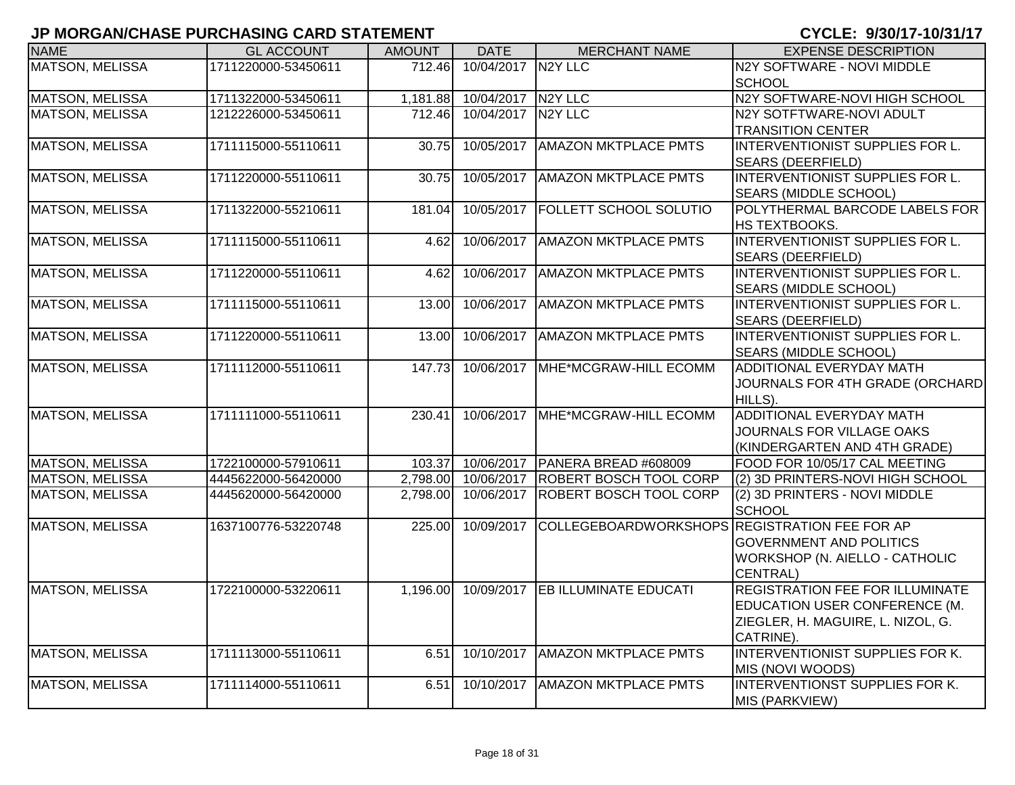| <b>NAME</b>            | <b>GL ACCOUNT</b>   | <b>AMOUNT</b> | <b>DATE</b>        | <b>MERCHANT NAME</b>                          | <b>EXPENSE DESCRIPTION</b>             |
|------------------------|---------------------|---------------|--------------------|-----------------------------------------------|----------------------------------------|
| MATSON, MELISSA        | 1711220000-53450611 | 712.46        | 10/04/2017 N2Y LLC |                                               | N2Y SOFTWARE - NOVI MIDDLE             |
|                        |                     |               |                    |                                               | <b>SCHOOL</b>                          |
| <b>MATSON, MELISSA</b> | 1711322000-53450611 | 1,181.88      | 10/04/2017 N2Y LLC |                                               | N2Y SOFTWARE-NOVI HIGH SCHOOL          |
| <b>MATSON, MELISSA</b> | 1212226000-53450611 | 712.46        | 10/04/2017 N2Y LLC |                                               | N2Y SOTFTWARE-NOVI ADULT               |
|                        |                     |               |                    |                                               | <b>TRANSITION CENTER</b>               |
| <b>MATSON, MELISSA</b> | 1711115000-55110611 | 30.75         | 10/05/2017         | <b>AMAZON MKTPLACE PMTS</b>                   | INTERVENTIONIST SUPPLIES FOR L.        |
|                        |                     |               |                    |                                               | <b>SEARS (DEERFIELD)</b>               |
| <b>MATSON, MELISSA</b> | 1711220000-55110611 | 30.75         | 10/05/2017         | <b>AMAZON MKTPLACE PMTS</b>                   | INTERVENTIONIST SUPPLIES FOR L.        |
|                        |                     |               |                    |                                               | SEARS (MIDDLE SCHOOL)                  |
| <b>MATSON, MELISSA</b> | 1711322000-55210611 | 181.04        | 10/05/2017         | <b>FOLLETT SCHOOL SOLUTIO</b>                 | POLYTHERMAL BARCODE LABELS FOR         |
|                        |                     |               |                    |                                               | HS TEXTBOOKS.                          |
| <b>MATSON, MELISSA</b> | 1711115000-55110611 | 4.62          | 10/06/2017         | <b>AMAZON MKTPLACE PMTS</b>                   | INTERVENTIONIST SUPPLIES FOR L.        |
|                        |                     |               |                    |                                               | <b>SEARS (DEERFIELD)</b>               |
| <b>MATSON, MELISSA</b> | 1711220000-55110611 | 4.62          | 10/06/2017         | <b>AMAZON MKTPLACE PMTS</b>                   | INTERVENTIONIST SUPPLIES FOR L.        |
|                        |                     |               |                    |                                               | <b>SEARS (MIDDLE SCHOOL)</b>           |
| MATSON, MELISSA        | 1711115000-55110611 | 13.00         | 10/06/2017         | <b>AMAZON MKTPLACE PMTS</b>                   | INTERVENTIONIST SUPPLIES FOR L.        |
|                        |                     |               |                    |                                               | <b>SEARS (DEERFIELD)</b>               |
| <b>MATSON, MELISSA</b> | 1711220000-55110611 | 13.00         | 10/06/2017         | <b>AMAZON MKTPLACE PMTS</b>                   | INTERVENTIONIST SUPPLIES FOR L.        |
|                        |                     |               |                    |                                               | SEARS (MIDDLE SCHOOL)                  |
| <b>MATSON, MELISSA</b> | 1711112000-55110611 | 147.73        | 10/06/2017         | MHE*MCGRAW-HILL ECOMM                         | <b>ADDITIONAL EVERYDAY MATH</b>        |
|                        |                     |               |                    |                                               | JOURNALS FOR 4TH GRADE (ORCHARD        |
|                        |                     |               |                    |                                               | HILLS).                                |
| <b>MATSON, MELISSA</b> | 1711111000-55110611 | 230.41        | 10/06/2017         | MHE*MCGRAW-HILL ECOMM                         | <b>ADDITIONAL EVERYDAY MATH</b>        |
|                        |                     |               |                    |                                               | JOURNALS FOR VILLAGE OAKS              |
|                        |                     |               |                    |                                               | (KINDERGARTEN AND 4TH GRADE)           |
| <b>MATSON, MELISSA</b> | 1722100000-57910611 | 103.37        | 10/06/2017         | PANERA BREAD #608009                          | FOOD FOR 10/05/17 CAL MEETING          |
| <b>MATSON, MELISSA</b> | 4445622000-56420000 | 2,798.00      | 10/06/2017         | <b>ROBERT BOSCH TOOL CORP</b>                 | (2) 3D PRINTERS-NOVI HIGH SCHOOL       |
| <b>MATSON, MELISSA</b> | 4445620000-56420000 | 2,798.00      | 10/06/2017         | <b>ROBERT BOSCH TOOL CORP</b>                 | (2) 3D PRINTERS - NOVI MIDDLE          |
|                        |                     |               |                    |                                               | <b>SCHOOL</b>                          |
| <b>MATSON, MELISSA</b> | 1637100776-53220748 | 225.00        | 10/09/2017         | COLLEGEBOARDWORKSHOPS REGISTRATION FEE FOR AP |                                        |
|                        |                     |               |                    |                                               | <b>GOVERNMENT AND POLITICS</b>         |
|                        |                     |               |                    |                                               | WORKSHOP (N. AIELLO - CATHOLIC         |
|                        |                     |               |                    |                                               | CENTRAL)                               |
| <b>MATSON, MELISSA</b> | 1722100000-53220611 | 1,196.00      |                    | 10/09/2017 EB ILLUMINATE EDUCATI              | <b>REGISTRATION FEE FOR ILLUMINATE</b> |
|                        |                     |               |                    |                                               | EDUCATION USER CONFERENCE (M.          |
|                        |                     |               |                    |                                               | ZIEGLER, H. MAGUIRE, L. NIZOL, G.      |
|                        |                     |               |                    |                                               | CATRINE)                               |
| <b>MATSON, MELISSA</b> | 1711113000-55110611 | 6.51          | 10/10/2017         | <b>AMAZON MKTPLACE PMTS</b>                   | INTERVENTIONIST SUPPLIES FOR K.        |
|                        |                     |               |                    |                                               | MIS (NOVI WOODS)                       |
| MATSON, MELISSA        | 1711114000-55110611 | 6.51          | 10/10/2017         | <b>AMAZON MKTPLACE PMTS</b>                   | <b>INTERVENTIONST SUPPLIES FOR K.</b>  |
|                        |                     |               |                    |                                               | MIS (PARKVIEW)                         |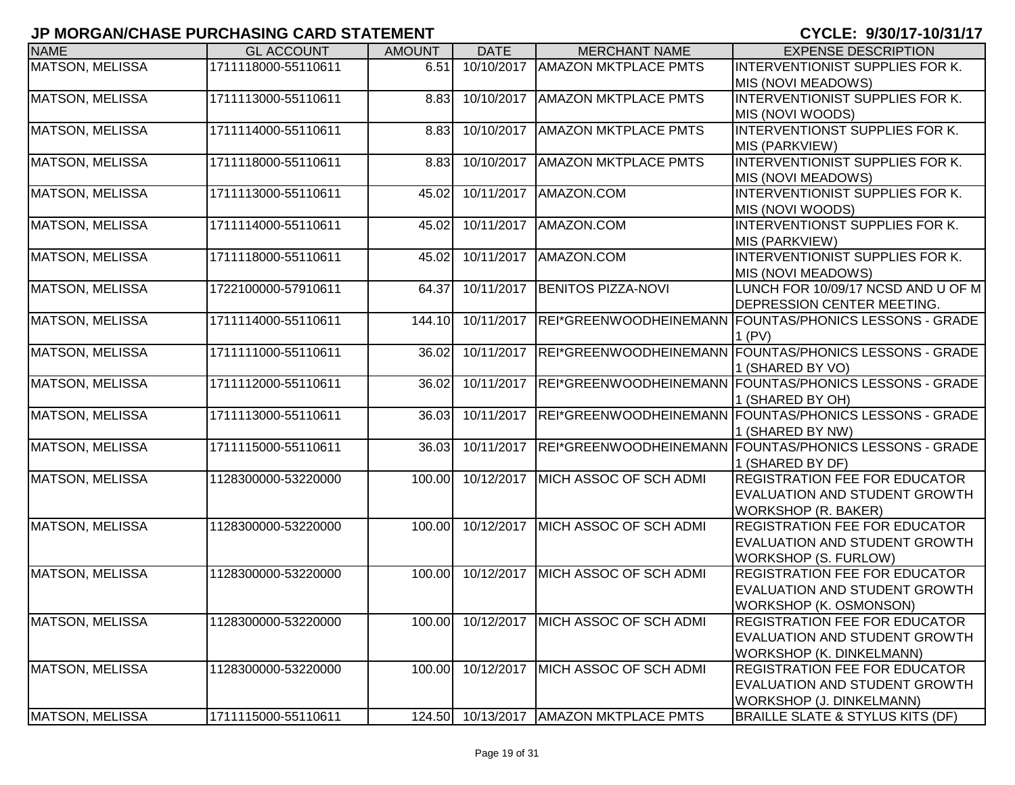| <b>NAME</b>            | <b>GL ACCOUNT</b>   | <b>AMOUNT</b> | <b>DATE</b> | <b>MERCHANT NAME</b>                     | <b>EXPENSE DESCRIPTION</b>                                                                                      |
|------------------------|---------------------|---------------|-------------|------------------------------------------|-----------------------------------------------------------------------------------------------------------------|
| <b>MATSON, MELISSA</b> | 1711118000-55110611 | 6.51          | 10/10/2017  | <b>AMAZON MKTPLACE PMTS</b>              | INTERVENTIONIST SUPPLIES FOR K.<br>MIS (NOVI MEADOWS)                                                           |
| <b>MATSON, MELISSA</b> | 1711113000-55110611 | 8.83          | 10/10/2017  | <b>AMAZON MKTPLACE PMTS</b>              | INTERVENTIONIST SUPPLIES FOR K.<br>MIS (NOVI WOODS)                                                             |
| <b>MATSON, MELISSA</b> | 1711114000-55110611 | 8.83          | 10/10/2017  | <b>AMAZON MKTPLACE PMTS</b>              | INTERVENTIONST SUPPLIES FOR K.<br>MIS (PARKVIEW)                                                                |
| <b>MATSON, MELISSA</b> | 1711118000-55110611 | 8.83          | 10/10/2017  | <b>AMAZON MKTPLACE PMTS</b>              | INTERVENTIONIST SUPPLIES FOR K.<br>MIS (NOVI MEADOWS)                                                           |
| <b>MATSON, MELISSA</b> | 1711113000-55110611 | 45.02         | 10/11/2017  | AMAZON.COM                               | INTERVENTIONIST SUPPLIES FOR K.<br>MIS (NOVI WOODS)                                                             |
| <b>MATSON, MELISSA</b> | 1711114000-55110611 | 45.02         | 10/11/2017  | AMAZON.COM                               | INTERVENTIONST SUPPLIES FOR K.<br>MIS (PARKVIEW)                                                                |
| <b>MATSON, MELISSA</b> | 1711118000-55110611 | 45.02         | 10/11/2017  | AMAZON.COM                               | INTERVENTIONIST SUPPLIES FOR K.<br>MIS (NOVI MEADOWS)                                                           |
| <b>MATSON, MELISSA</b> | 1722100000-57910611 | 64.37         | 10/11/2017  | <b>BENITOS PIZZA-NOVI</b>                | LUNCH FOR 10/09/17 NCSD AND U OF M<br>DEPRESSION CENTER MEETING.                                                |
| <b>MATSON, MELISSA</b> | 1711114000-55110611 | 144.10        | 10/11/2017  |                                          | REI*GREENWOODHEINEMANN FOUNTAS/PHONICS LESSONS - GRADE<br>$1$ (PV)                                              |
| <b>MATSON, MELISSA</b> | 1711111000-55110611 | 36.02         | 10/11/2017  |                                          | REI*GREENWOODHEINEMANN FOUNTAS/PHONICS LESSONS - GRADE<br>1 (SHARED BY VO)                                      |
| <b>MATSON, MELISSA</b> | 1711112000-55110611 | 36.02         | 10/11/2017  |                                          | REI*GREENWOODHEINEMANN FOUNTAS/PHONICS LESSONS - GRADE<br>1 (SHARED BY OH)                                      |
| <b>MATSON, MELISSA</b> | 1711113000-55110611 | 36.03         | 10/11/2017  |                                          | REI*GREENWOODHEINEMANN FOUNTAS/PHONICS LESSONS - GRADE<br>1 (SHARED BY NW)                                      |
| <b>MATSON, MELISSA</b> | 1711115000-55110611 | 36.03         | 10/11/2017  |                                          | REI*GREENWOODHEINEMANN FOUNTAS/PHONICS LESSONS - GRADE<br>1 (SHARED BY DF)                                      |
| MATSON, MELISSA        | 1128300000-53220000 | 100.00        | 10/12/2017  | MICH ASSOC OF SCH ADMI                   | REGISTRATION FEE FOR EDUCATOR<br>EVALUATION AND STUDENT GROWTH<br><b>WORKSHOP (R. BAKER)</b>                    |
| MATSON, MELISSA        | 1128300000-53220000 | 100.00        |             | 10/12/2017 MICH ASSOC OF SCH ADMI        | <b>REGISTRATION FEE FOR EDUCATOR</b><br>EVALUATION AND STUDENT GROWTH<br>WORKSHOP (S. FURLOW)                   |
| MATSON, MELISSA        | 1128300000-53220000 | 100.00        | 10/12/2017  | MICH ASSOC OF SCH ADMI                   | REGISTRATION FEE FOR EDUCATOR<br>EVALUATION AND STUDENT GROWTH<br>WORKSHOP (K. OSMONSON)                        |
| MATSON, MELISSA        | 1128300000-53220000 |               |             | 100.00 10/12/2017 MICH ASSOC OF SCH ADMI | <b>REGISTRATION FEE FOR EDUCATOR</b><br><b>EVALUATION AND STUDENT GROWTH</b><br><b>WORKSHOP (K. DINKELMANN)</b> |
| MATSON, MELISSA        | 1128300000-53220000 | 100.00        | 10/12/2017  | MICH ASSOC OF SCH ADMI                   | REGISTRATION FEE FOR EDUCATOR<br>EVALUATION AND STUDENT GROWTH<br>WORKSHOP (J. DINKELMANN)                      |
| <b>MATSON, MELISSA</b> | 1711115000-55110611 |               |             | 124.50 10/13/2017 AMAZON MKTPLACE PMTS   | <b>BRAILLE SLATE &amp; STYLUS KITS (DF)</b>                                                                     |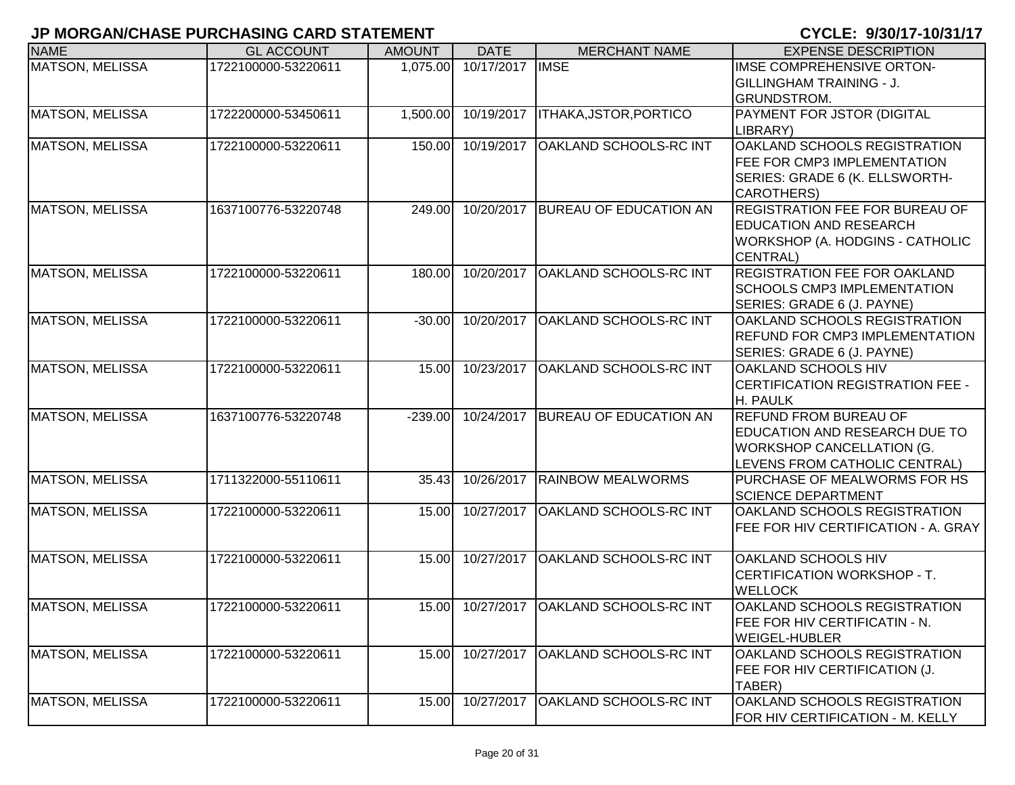| <b>NAME</b>            | <b>GL ACCOUNT</b>   | <b>AMOUNT</b> | <b>DATE</b>      | <b>MERCHANT NAME</b>          | <b>EXPENSE DESCRIPTION</b>                                                                                                         |
|------------------------|---------------------|---------------|------------------|-------------------------------|------------------------------------------------------------------------------------------------------------------------------------|
| MATSON, MELISSA        | 1722100000-53220611 | 1,075.00      | 10/17/2017       | <b>IMSE</b>                   | IMSE COMPREHENSIVE ORTON-<br><b>GILLINGHAM TRAINING - J.</b><br>GRUNDSTROM.                                                        |
| <b>MATSON, MELISSA</b> | 1722200000-53450611 | 1,500.00      | 10/19/2017       | <b>ITHAKA, JSTOR, PORTICO</b> | PAYMENT FOR JSTOR (DIGITAL<br>LIBRARY)                                                                                             |
| MATSON, MELISSA        | 1722100000-53220611 | 150.00        | 10/19/2017       | OAKLAND SCHOOLS-RC INT        | OAKLAND SCHOOLS REGISTRATION<br><b>FEE FOR CMP3 IMPLEMENTATION</b><br>SERIES: GRADE 6 (K. ELLSWORTH-<br><b>CAROTHERS)</b>          |
| <b>MATSON, MELISSA</b> | 1637100776-53220748 | 249.00        | 10/20/2017       | <b>BUREAU OF EDUCATION AN</b> | <b>REGISTRATION FEE FOR BUREAU OF</b><br><b>EDUCATION AND RESEARCH</b><br>WORKSHOP (A. HODGINS - CATHOLIC<br>CENTRAL)              |
| MATSON, MELISSA        | 1722100000-53220611 | 180.00        | 10/20/2017       | OAKLAND SCHOOLS-RC INT        | <b>REGISTRATION FEE FOR OAKLAND</b><br><b>SCHOOLS CMP3 IMPLEMENTATION</b><br>SERIES: GRADE 6 (J. PAYNE)                            |
| <b>MATSON, MELISSA</b> | 1722100000-53220611 | $-30.00$      | 10/20/2017       | OAKLAND SCHOOLS-RC INT        | <b>OAKLAND SCHOOLS REGISTRATION</b><br><b>REFUND FOR CMP3 IMPLEMENTATION</b><br>SERIES: GRADE 6 (J. PAYNE)                         |
| <b>MATSON, MELISSA</b> | 1722100000-53220611 | 15.00         | 10/23/2017       | OAKLAND SCHOOLS-RC INT        | <b>OAKLAND SCHOOLS HIV</b><br>CERTIFICATION REGISTRATION FEE -<br>H. PAULK                                                         |
| <b>MATSON, MELISSA</b> | 1637100776-53220748 | $-239.00$     | 10/24/2017       | <b>BUREAU OF EDUCATION AN</b> | <b>REFUND FROM BUREAU OF</b><br>EDUCATION AND RESEARCH DUE TO<br><b>WORKSHOP CANCELLATION (G.</b><br>LEVENS FROM CATHOLIC CENTRAL) |
| MATSON, MELISSA        | 1711322000-55110611 | 35.43         | 10/26/2017       | <b>RAINBOW MEALWORMS</b>      | PURCHASE OF MEALWORMS FOR HS<br><b>SCIENCE DEPARTMENT</b>                                                                          |
| <b>MATSON, MELISSA</b> | 1722100000-53220611 | 15.00         | 10/27/2017       | OAKLAND SCHOOLS-RC INT        | OAKLAND SCHOOLS REGISTRATION<br><b>FEE FOR HIV CERTIFICATION - A. GRAY</b>                                                         |
| <b>MATSON, MELISSA</b> | 1722100000-53220611 | 15.00         | 10/27/2017       | OAKLAND SCHOOLS-RC INT        | <b>OAKLAND SCHOOLS HIV</b><br>CERTIFICATION WORKSHOP - T.<br><b>WELLOCK</b>                                                        |
| <b>MATSON, MELISSA</b> | 1722100000-53220611 |               | 15.00 10/27/2017 | <b>OAKLAND SCHOOLS-RC INT</b> | <b>OAKLAND SCHOOLS REGISTRATION</b><br><b>FEE FOR HIV CERTIFICATIN - N.</b><br><b>WEIGEL-HUBLER</b>                                |
| <b>MATSON, MELISSA</b> | 1722100000-53220611 | 15.00         | 10/27/2017       | OAKLAND SCHOOLS-RC INT        | OAKLAND SCHOOLS REGISTRATION<br>FEE FOR HIV CERTIFICATION (J.<br>TABER)                                                            |
| MATSON, MELISSA        | 1722100000-53220611 | 15.00         | 10/27/2017       | OAKLAND SCHOOLS-RC INT        | <b>OAKLAND SCHOOLS REGISTRATION</b><br>FOR HIV CERTIFICATION - M. KELLY                                                            |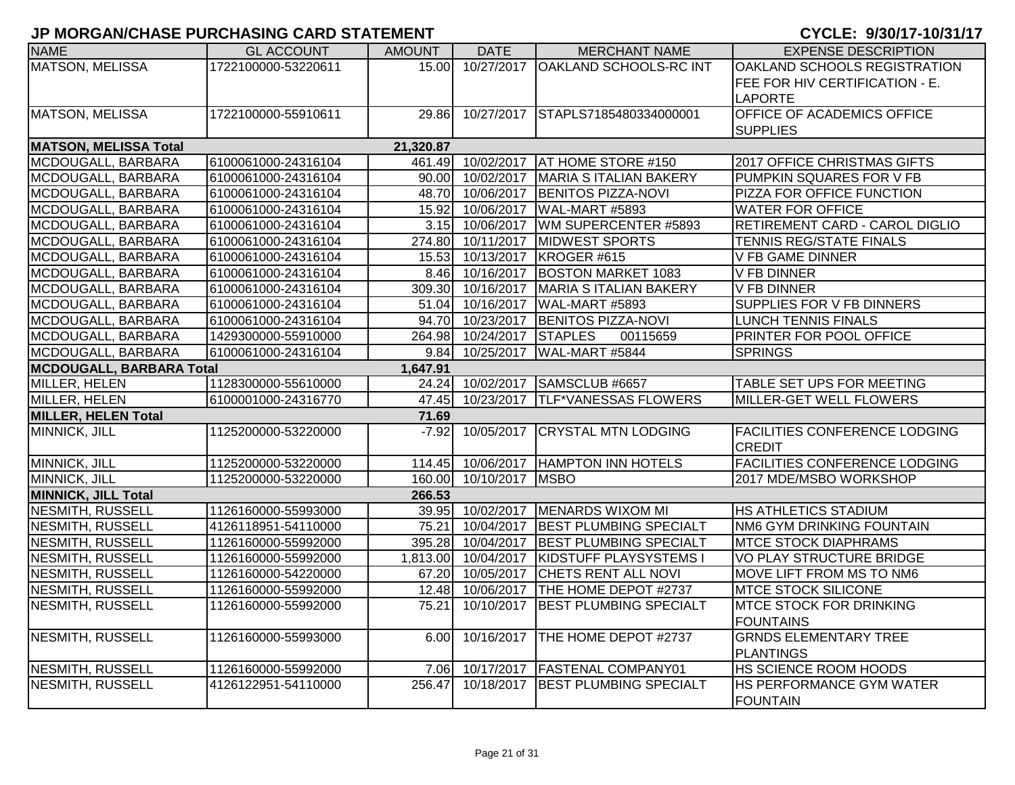| <b>NAME</b>                     | <b>GL ACCOUNT</b>   | <b>AMOUNT</b> | <b>DATE</b>       | <b>MERCHANT NAME</b>                  | <b>EXPENSE DESCRIPTION</b>           |
|---------------------------------|---------------------|---------------|-------------------|---------------------------------------|--------------------------------------|
| <b>MATSON, MELISSA</b>          | 1722100000-53220611 | 15.00         |                   | 10/27/2017   OAKLAND SCHOOLS-RC INT   | OAKLAND SCHOOLS REGISTRATION         |
|                                 |                     |               |                   |                                       | FEE FOR HIV CERTIFICATION - E.       |
|                                 |                     |               |                   |                                       | <b>LAPORTE</b>                       |
| <b>MATSON, MELISSA</b>          | 1722100000-55910611 | 29.86         |                   | 10/27/2017 STAPLS7185480334000001     | <b>OFFICE OF ACADEMICS OFFICE</b>    |
|                                 |                     |               |                   |                                       | <b>SUPPLIES</b>                      |
| <b>MATSON, MELISSA Total</b>    |                     | 21,320.87     |                   |                                       |                                      |
| MCDOUGALL, BARBARA              | 6100061000-24316104 |               | 461.49 10/02/2017 | <b>AT HOME STORE #150</b>             | 2017 OFFICE CHRISTMAS GIFTS          |
| MCDOUGALL, BARBARA              | 6100061000-24316104 |               | 90.00 10/02/2017  | MARIA S ITALIAN BAKERY                | PUMPKIN SQUARES FOR V FB             |
| MCDOUGALL, BARBARA              | 6100061000-24316104 | 48.70         | 10/06/2017        | <b>BENITOS PIZZA-NOVI</b>             | PIZZA FOR OFFICE FUNCTION            |
| MCDOUGALL, BARBARA              | 6100061000-24316104 | 15.92         | 10/06/2017        | WAL-MART #5893                        | <b>WATER FOR OFFICE</b>              |
| MCDOUGALL, BARBARA              | 6100061000-24316104 | 3.15          | 10/06/2017        | WM SUPERCENTER #5893                  | RETIREMENT CARD - CAROL DIGLIO       |
| MCDOUGALL, BARBARA              | 6100061000-24316104 | 274.80        | 10/11/2017        | <b>MIDWEST SPORTS</b>                 | TENNIS REG/STATE FINALS              |
| MCDOUGALL, BARBARA              | 6100061000-24316104 | 15.53         | 10/13/2017        | KROGER #615                           | <b>V FB GAME DINNER</b>              |
| MCDOUGALL, BARBARA              | 6100061000-24316104 | 8.46          | 10/16/2017        | <b>BOSTON MARKET 1083</b>             | <b>V FB DINNER</b>                   |
| MCDOUGALL, BARBARA              | 6100061000-24316104 | 309.30        | 10/16/2017        | MARIA S ITALIAN BAKERY                | <b>V FB DINNER</b>                   |
| MCDOUGALL, BARBARA              | 6100061000-24316104 | 51.04         | 10/16/2017        | WAL-MART #5893                        | <b>SUPPLIES FOR V FB DINNERS</b>     |
| MCDOUGALL, BARBARA              | 6100061000-24316104 | 94.70         | 10/23/2017        | <b>BENITOS PIZZA-NOVI</b>             | <b>LUNCH TENNIS FINALS</b>           |
| MCDOUGALL, BARBARA              | 1429300000-55910000 |               | 264.98 10/24/2017 | <b>STAPLES</b><br>00115659            | <b>PRINTER FOR POOL OFFICE</b>       |
| MCDOUGALL, BARBARA              | 6100061000-24316104 | 9.84          | 10/25/2017        | WAL-MART #5844                        | <b>SPRINGS</b>                       |
| <b>MCDOUGALL, BARBARA Total</b> |                     | 1,647.91      |                   |                                       |                                      |
| MILLER, HELEN                   | 1128300000-55610000 |               |                   | 24.24 10/02/2017 SAMSCLUB #6657       | TABLE SET UPS FOR MEETING            |
| MILLER, HELEN                   | 6100001000-24316770 |               |                   | 47.45 10/23/2017 TLF*VANESSAS FLOWERS | MILLER-GET WELL FLOWERS              |
| <b>MILLER, HELEN Total</b>      |                     | 71.69         |                   |                                       |                                      |
| MINNICK, JILL                   | 1125200000-53220000 | $-7.92$       | 10/05/2017        | <b>CRYSTAL MTN LODGING</b>            | <b>FACILITIES CONFERENCE LODGING</b> |
|                                 |                     |               |                   |                                       | <b>CREDIT</b>                        |
| MINNICK, JILL                   | 1125200000-53220000 |               |                   | 114.45 10/06/2017 HAMPTON INN HOTELS  | <b>FACILITIES CONFERENCE LODGING</b> |
| MINNICK, JILL                   | 1125200000-53220000 | 160.00        | 10/10/2017        | <b>MSBO</b>                           | 2017 MDE/MSBO WORKSHOP               |
| <b>MINNICK, JILL Total</b>      |                     | 266.53        |                   |                                       |                                      |
| NESMITH, RUSSELL                | 1126160000-55993000 | 39.95         | 10/02/2017        | MENARDS WIXOM MI                      | <b>HS ATHLETICS STADIUM</b>          |
| <b>NESMITH, RUSSELL</b>         | 4126118951-54110000 | 75.21         | 10/04/2017        | <b>BEST PLUMBING SPECIALT</b>         | <b>NM6 GYM DRINKING FOUNTAIN</b>     |
| NESMITH, RUSSELL                | 1126160000-55992000 | 395.28        | 10/04/2017        | <b>BEST PLUMBING SPECIALT</b>         | <b>IMTCE STOCK DIAPHRAMS</b>         |
| NESMITH, RUSSELL                | 1126160000-55992000 | 1,813.00      | 10/04/2017        | <b>KIDSTUFF PLAYSYSTEMS I</b>         | <b>VO PLAY STRUCTURE BRIDGE</b>      |
| NESMITH, RUSSELL                | 1126160000-54220000 | 67.20         | 10/05/2017        | <b>CHETS RENT ALL NOVI</b>            | MOVE LIFT FROM MS TO NM6             |
| <b>NESMITH, RUSSELL</b>         | 1126160000-55992000 | 12.48         | 10/06/2017        | <b>THE HOME DEPOT #2737</b>           | <b>MTCE STOCK SILICONE</b>           |
| <b>NESMITH, RUSSELL</b>         | 1126160000-55992000 | 75.21         |                   | 10/10/2017   BEST PLUMBING SPECIALT   | <b>IMTCE STOCK FOR DRINKING</b>      |
|                                 |                     |               |                   |                                       | <b>FOUNTAINS</b>                     |
| <b>NESMITH, RUSSELL</b>         | 1126160000-55993000 | 6.00          | 10/16/2017        | <b>THE HOME DEPOT #2737</b>           | <b>GRNDS ELEMENTARY TREE</b>         |
|                                 |                     |               |                   |                                       | PLANTINGS                            |
| <b>NESMITH, RUSSELL</b>         | 1126160000-55992000 | 7.06          | 10/17/2017        | <b>FASTENAL COMPANY01</b>             | HS SCIENCE ROOM HOODS                |
| <b>NESMITH, RUSSELL</b>         | 4126122951-54110000 | 256.47        | 10/18/2017        | <b>BEST PLUMBING SPECIALT</b>         | <b>IHS PERFORMANCE GYM WATER</b>     |
|                                 |                     |               |                   |                                       | <b>FOUNTAIN</b>                      |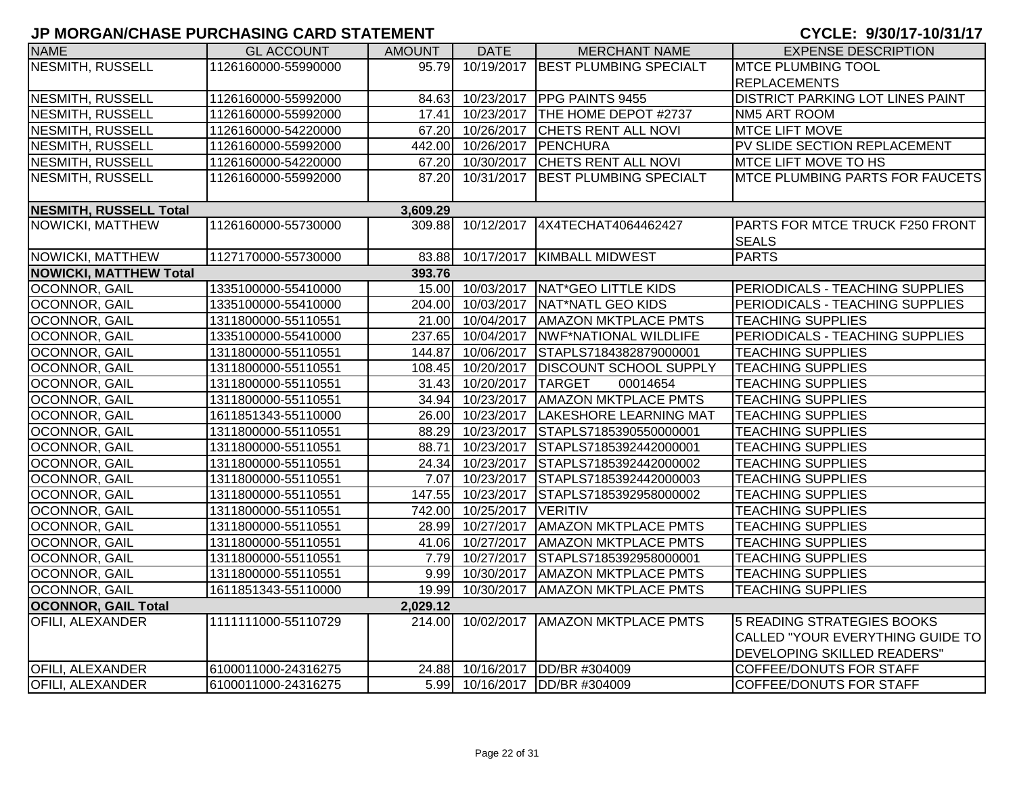| <b>NAME</b>                   | <b>GL ACCOUNT</b>   | <b>AMOUNT</b> | <b>DATE</b>       | <b>MERCHANT NAME</b>                  | <b>EXPENSE DESCRIPTION</b>                      |
|-------------------------------|---------------------|---------------|-------------------|---------------------------------------|-------------------------------------------------|
| NESMITH, RUSSELL              | 1126160000-55990000 | 95.79         | 10/19/2017        | <b>BEST PLUMBING SPECIALT</b>         | <b>MTCE PLUMBING TOOL</b>                       |
|                               |                     |               |                   |                                       | <b>REPLACEMENTS</b>                             |
| NESMITH, RUSSELL              | 1126160000-55992000 |               | 84.63 10/23/2017  | <b>PPG PAINTS 9455</b>                | <b>DISTRICT PARKING LOT LINES PAINT</b>         |
| <b>NESMITH, RUSSELL</b>       | 1126160000-55992000 | 17.41         | 10/23/2017        | THE HOME DEPOT #2737                  | NM5 ART ROOM                                    |
| <b>NESMITH, RUSSELL</b>       | 1126160000-54220000 |               | 67.20 10/26/2017  | <b>CHETS RENT ALL NOVI</b>            | MTCE LIFT MOVE                                  |
| <b>NESMITH, RUSSELL</b>       | 1126160000-55992000 |               | 442.00 10/26/2017 | PENCHURA                              | PV SLIDE SECTION REPLACEMENT                    |
| <b>NESMITH, RUSSELL</b>       | 1126160000-54220000 |               | 67.20 10/30/2017  | CHETS RENT ALL NOVI                   | <b>MTCE LIFT MOVE TO HS</b>                     |
| <b>NESMITH, RUSSELL</b>       | 1126160000-55992000 | 87.20         | 10/31/2017        | BEST PLUMBING SPECIALT                | <b>IMTCE PLUMBING PARTS FOR FAUCETS</b>         |
| <b>NESMITH, RUSSELL Total</b> |                     | 3,609.29      |                   |                                       |                                                 |
| NOWICKI, MATTHEW              | 1126160000-55730000 | 309.88        | 10/12/2017        | 4X4TECHAT4064462427                   | PARTS FOR MTCE TRUCK F250 FRONT<br><b>SEALS</b> |
| NOWICKI, MATTHEW              | 1127170000-55730000 |               | 83.88 10/17/2017  | <b>KIMBALL MIDWEST</b>                | <b>PARTS</b>                                    |
| <b>NOWICKI, MATTHEW Total</b> |                     | 393.76        |                   |                                       |                                                 |
| OCONNOR, GAIL                 | 1335100000-55410000 |               |                   | 15.00 10/03/2017 NAT*GEO LITTLE KIDS  | PERIODICALS - TEACHING SUPPLIES                 |
| OCONNOR, GAIL                 | 1335100000-55410000 |               | 204.00 10/03/2017 | NAT*NATL GEO KIDS                     | PERIODICALS - TEACHING SUPPLIES                 |
| OCONNOR, GAIL                 | 1311800000-55110551 |               |                   | 21.00 10/04/2017 AMAZON MKTPLACE PMTS | <b>TEACHING SUPPLIES</b>                        |
| OCONNOR, GAIL                 | 1335100000-55410000 |               | 237.65 10/04/2017 | <b>NWF*NATIONAL WILDLIFE</b>          | PERIODICALS - TEACHING SUPPLIES                 |
| <b>OCONNOR, GAIL</b>          | 1311800000-55110551 |               | 144.87 10/06/2017 | STAPLS7184382879000001                | <b>TEACHING SUPPLIES</b>                        |
| OCONNOR, GAIL                 | 1311800000-55110551 |               | 108.45 10/20/2017 | <b>DISCOUNT SCHOOL SUPPLY</b>         | <b>TEACHING SUPPLIES</b>                        |
| OCONNOR, GAIL                 | 1311800000-55110551 |               | 31.43 10/20/2017  | <b>TARGET</b><br>00014654             | <b>TEACHING SUPPLIES</b>                        |
| OCONNOR, GAIL                 | 1311800000-55110551 |               | 34.94 10/23/2017  | <b>AMAZON MKTPLACE PMTS</b>           | <b>TEACHING SUPPLIES</b>                        |
| OCONNOR, GAIL                 | 1611851343-55110000 |               | 26.00 10/23/2017  | LAKESHORE LEARNING MAT                | <b>TEACHING SUPPLIES</b>                        |
| OCONNOR, GAIL                 | 1311800000-55110551 |               | 88.29 10/23/2017  | STAPLS7185390550000001                | <b>TEACHING SUPPLIES</b>                        |
| OCONNOR, GAIL                 | 1311800000-55110551 | 88.71         | 10/23/2017        | STAPLS7185392442000001                | <b>TEACHING SUPPLIES</b>                        |
| OCONNOR, GAIL                 | 1311800000-55110551 | 24.34         | 10/23/2017        | STAPLS7185392442000002                | <b>TEACHING SUPPLIES</b>                        |
| OCONNOR, GAIL                 | 1311800000-55110551 | 7.07          | 10/23/2017        | STAPLS7185392442000003                | <b>TEACHING SUPPLIES</b>                        |
| OCONNOR, GAIL                 | 1311800000-55110551 | 147.55        | 10/23/2017        | STAPLS7185392958000002                | <b>TEACHING SUPPLIES</b>                        |
| OCONNOR, GAIL                 | 1311800000-55110551 | 742.00        | 10/25/2017        | <b>VERITIV</b>                        | <b>TEACHING SUPPLIES</b>                        |
| OCONNOR, GAIL                 | 1311800000-55110551 |               | 28.99 10/27/2017  | <b>AMAZON MKTPLACE PMTS</b>           | <b>TEACHING SUPPLIES</b>                        |
| OCONNOR, GAIL                 | 1311800000-55110551 |               | 41.06 10/27/2017  | <b>AMAZON MKTPLACE PMTS</b>           | <b>TEACHING SUPPLIES</b>                        |
| OCONNOR, GAIL                 | 1311800000-55110551 | 7.79          | 10/27/2017        | STAPLS7185392958000001                | <b>TEACHING SUPPLIES</b>                        |
| OCONNOR, GAIL                 | 1311800000-55110551 |               | 9.99 10/30/2017   | <b>AMAZON MKTPLACE PMTS</b>           | <b>TEACHING SUPPLIES</b>                        |
| OCONNOR, GAIL                 | 1611851343-55110000 | 19.99         | 10/30/2017        | <b>AMAZON MKTPLACE PMTS</b>           | <b>TEACHING SUPPLIES</b>                        |
| <b>OCONNOR, GAIL Total</b>    |                     | 2,029.12      |                   |                                       |                                                 |
| <b>OFILI, ALEXANDER</b>       | 1111111000-55110729 | 214.00        | 10/02/2017        | <b>AMAZON MKTPLACE PMTS</b>           | 5 READING STRATEGIES BOOKS                      |
|                               |                     |               |                   |                                       | CALLED "YOUR EVERYTHING GUIDE TO                |
|                               |                     |               |                   |                                       | DEVELOPING SKILLED READERS"                     |
| <b>OFILI, ALEXANDER</b>       | 6100011000-24316275 |               |                   | 24.88 10/16/2017 DD/BR #304009        | <b>COFFEE/DONUTS FOR STAFF</b>                  |
| <b>OFILI, ALEXANDER</b>       | 6100011000-24316275 |               |                   | 5.99 10/16/2017 DD/BR #304009         | <b>COFFEE/DONUTS FOR STAFF</b>                  |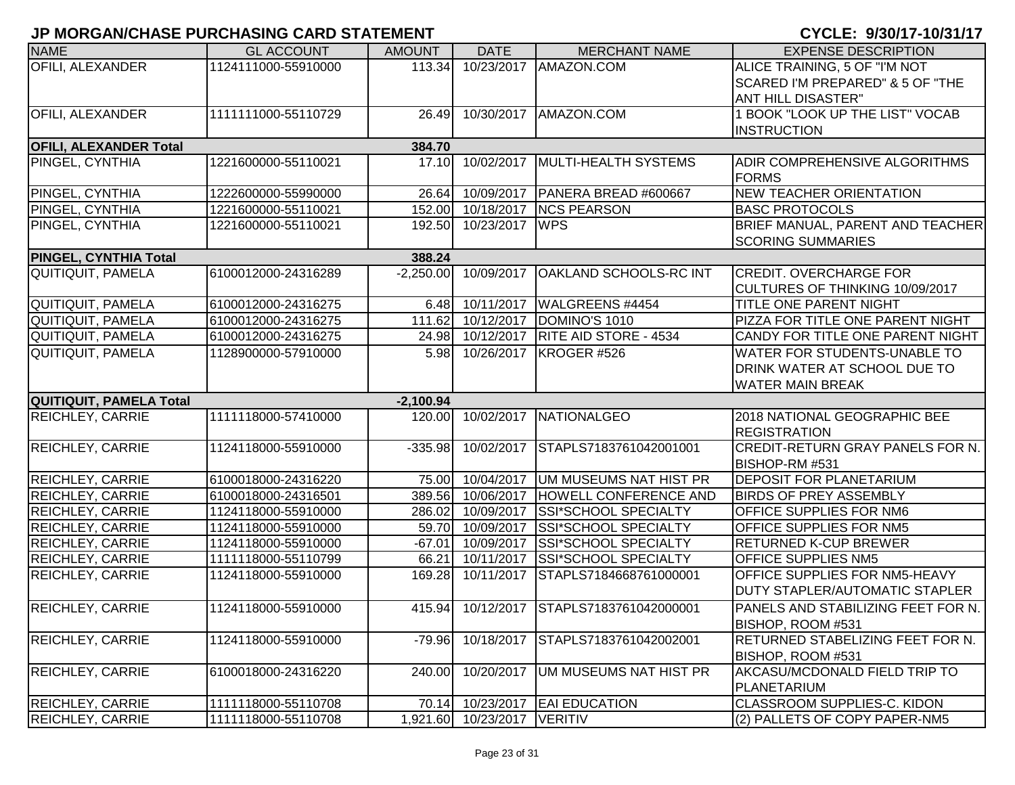| <b>NAME</b>                   | <b>GL ACCOUNT</b>   | <b>AMOUNT</b> | <b>DATE</b>                 | <b>MERCHANT NAME</b>                     | <b>EXPENSE DESCRIPTION</b>            |
|-------------------------------|---------------------|---------------|-----------------------------|------------------------------------------|---------------------------------------|
| OFILI, ALEXANDER              | 1124111000-55910000 | 113.34        | 10/23/2017                  | AMAZON.COM                               | ALICE TRAINING, 5 OF "I'M NOT         |
|                               |                     |               |                             |                                          | SCARED I'M PREPARED" & 5 OF "THE      |
|                               |                     |               |                             |                                          | ANT HILL DISASTER"                    |
| <b>OFILI, ALEXANDER</b>       | 1111111000-55110729 | 26.49         | 10/30/2017                  | AMAZON.COM                               | 1 BOOK "LOOK UP THE LIST" VOCAB       |
|                               |                     |               |                             |                                          | INSTRUCTION                           |
| <b>OFILI, ALEXANDER Total</b> |                     | 384.70        |                             |                                          |                                       |
| PINGEL, CYNTHIA               | 1221600000-55110021 |               | 17.10 10/02/2017            | MULTI-HEALTH SYSTEMS                     | <b>ADIR COMPREHENSIVE ALGORITHMS</b>  |
|                               |                     |               |                             |                                          | <b>FORMS</b>                          |
| PINGEL, CYNTHIA               | 1222600000-55990000 | 26.64         | 10/09/2017                  | PANERA BREAD #600667                     | <b>NEW TEACHER ORIENTATION</b>        |
| PINGEL, CYNTHIA               | 1221600000-55110021 |               | 152.00 10/18/2017           | <b>INCS PEARSON</b>                      | <b>BASC PROTOCOLS</b>                 |
| PINGEL, CYNTHIA               | 1221600000-55110021 | 192.50        | 10/23/2017 WPS              |                                          | BRIEF MANUAL, PARENT AND TEACHER      |
|                               |                     |               |                             |                                          | <b>SCORING SUMMARIES</b>              |
| PINGEL, CYNTHIA Total         |                     | 388.24        |                             |                                          |                                       |
| <b>QUITIQUIT, PAMELA</b>      | 6100012000-24316289 |               | $-2,250.00$ 10/09/2017      | <b>OAKLAND SCHOOLS-RC INT</b>            | <b>CREDIT. OVERCHARGE FOR</b>         |
|                               |                     |               |                             |                                          | CULTURES OF THINKING 10/09/2017       |
| QUITIQUIT, PAMELA             | 6100012000-24316275 | 6.48          | 10/11/2017                  | WALGREENS #4454                          | TITLE ONE PARENT NIGHT                |
| <b>QUITIQUIT, PAMELA</b>      | 6100012000-24316275 | 111.62        | 10/12/2017                  | DOMINO'S 1010                            | PIZZA FOR TITLE ONE PARENT NIGHT      |
| <b>QUITIQUIT, PAMELA</b>      | 6100012000-24316275 | 24.98         | 10/12/2017                  | <b>RITE AID STORE - 4534</b>             | CANDY FOR TITLE ONE PARENT NIGHT      |
| <b>QUITIQUIT, PAMELA</b>      | 1128900000-57910000 | 5.98          |                             | 10/26/2017   KROGER #526                 | <b>WATER FOR STUDENTS-UNABLE TO</b>   |
|                               |                     |               |                             |                                          | <b>DRINK WATER AT SCHOOL DUE TO</b>   |
|                               |                     |               |                             |                                          | <b>WATER MAIN BREAK</b>               |
| QUITIQUIT, PAMELA Total       |                     | $-2,100.94$   |                             |                                          |                                       |
| REICHLEY, CARRIE              | 1111118000-57410000 |               | 120.00 10/02/2017           | NATIONALGEO                              | 2018 NATIONAL GEOGRAPHIC BEE          |
|                               |                     |               |                             |                                          | <b>REGISTRATION</b>                   |
| <b>REICHLEY, CARRIE</b>       | 1124118000-55910000 | $-335.98$     | 10/02/2017                  | STAPLS7183761042001001                   | CREDIT-RETURN GRAY PANELS FOR N.      |
|                               |                     |               |                             |                                          | BISHOP-RM #531                        |
| REICHLEY, CARRIE              | 6100018000-24316220 | 75.00         | 10/04/2017                  | UM MUSEUMS NAT HIST PR                   | <b>DEPOSIT FOR PLANETARIUM</b>        |
| REICHLEY, CARRIE              | 6100018000-24316501 | 389.56        | 10/06/2017                  | HOWELL CONFERENCE AND                    | <b>BIRDS OF PREY ASSEMBLY</b>         |
| REICHLEY, CARRIE              | 1124118000-55910000 | 286.02        | 10/09/2017                  | <b>SSI*SCHOOL SPECIALTY</b>              | <b>OFFICE SUPPLIES FOR NM6</b>        |
| REICHLEY, CARRIE              | 1124118000-55910000 |               | 59.70 10/09/2017            | <b>SSI*SCHOOL SPECIALTY</b>              | <b>OFFICE SUPPLIES FOR NM5</b>        |
| REICHLEY, CARRIE              | 1124118000-55910000 |               | $-67.01$ 10/09/2017         | <b>SSI*SCHOOL SPECIALTY</b>              | <b>RETURNED K-CUP BREWER</b>          |
| REICHLEY, CARRIE              | 1111118000-55110799 | 66.21         | 10/11/2017                  | <b>SSI*SCHOOL SPECIALTY</b>              | <b>OFFICE SUPPLIES NM5</b>            |
| REICHLEY, CARRIE              | 1124118000-55910000 | 169.28        | 10/11/2017                  | STAPLS7184668761000001                   | <b>OFFICE SUPPLIES FOR NM5-HEAVY</b>  |
|                               |                     |               |                             |                                          | <b>DUTY STAPLER/AUTOMATIC STAPLER</b> |
| <b>REICHLEY, CARRIE</b>       | 1124118000-55910000 |               |                             | 415.94 10/12/2017 STAPLS7183761042000001 | PANELS AND STABILIZING FEET FOR N.    |
|                               |                     |               |                             |                                          | BISHOP, ROOM #531                     |
| <b>REICHLEY, CARRIE</b>       | 1124118000-55910000 | $-79.96$      | 10/18/2017                  | STAPLS7183761042002001                   | RETURNED STABELIZING FEET FOR N.      |
|                               |                     |               |                             |                                          | BISHOP, ROOM #531                     |
| <b>REICHLEY, CARRIE</b>       | 6100018000-24316220 | 240.00        | 10/20/2017                  | UM MUSEUMS NAT HIST PR                   | AKCASU/MCDONALD FIELD TRIP TO         |
|                               |                     |               |                             |                                          | PLANETARIUM                           |
| <b>REICHLEY, CARRIE</b>       | 1111118000-55110708 | 70.14         |                             | 10/23/2017 EAI EDUCATION                 | <b>CLASSROOM SUPPLIES-C. KIDON</b>    |
| <b>REICHLEY, CARRIE</b>       | 1111118000-55110708 |               | 1,921.60 10/23/2017 VERITIV |                                          | (2) PALLETS OF COPY PAPER-NM5         |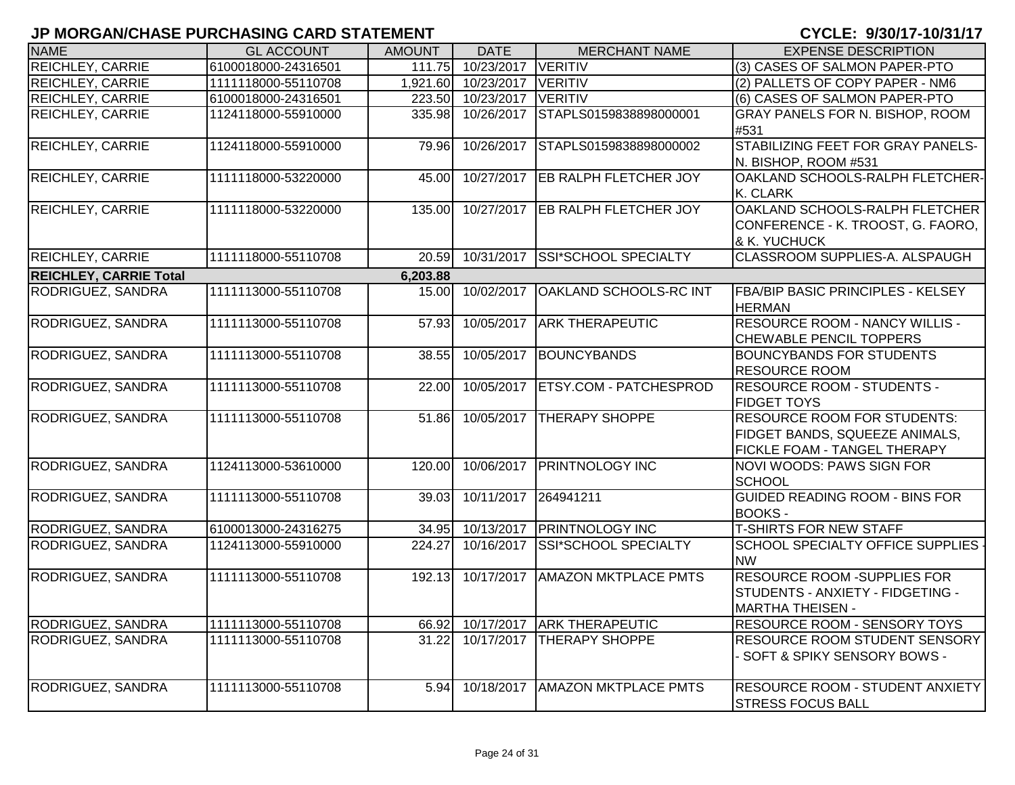| <b>NAME</b>                   | <b>GL ACCOUNT</b>   | <b>AMOUNT</b> | <b>DATE</b>         | <b>MERCHANT NAME</b>              | <b>EXPENSE DESCRIPTION</b>                                                                           |
|-------------------------------|---------------------|---------------|---------------------|-----------------------------------|------------------------------------------------------------------------------------------------------|
| <b>REICHLEY, CARRIE</b>       | 6100018000-24316501 | 111.75        | 10/23/2017          | VERITIV                           | (3) CASES OF SALMON PAPER-PTO                                                                        |
| <b>REICHLEY, CARRIE</b>       | 1111118000-55110708 |               | 1,921.60 10/23/2017 | VERITIV                           | (2) PALLETS OF COPY PAPER - NM6                                                                      |
| <b>REICHLEY, CARRIE</b>       | 6100018000-24316501 |               | 223.50 10/23/2017   | VERITIV                           | (6) CASES OF SALMON PAPER-PTO                                                                        |
| REICHLEY, CARRIE              | 1124118000-55910000 | 335.98        | 10/26/2017          | STAPLS0159838898000001            | GRAY PANELS FOR N. BISHOP, ROOM<br>#531                                                              |
| REICHLEY, CARRIE              | 1124118000-55910000 | 79.96         | 10/26/2017          | STAPLS0159838898000002            | STABILIZING FEET FOR GRAY PANELS-<br>N. BISHOP, ROOM #531                                            |
| <b>REICHLEY, CARRIE</b>       | 1111118000-53220000 | 45.00         | 10/27/2017          | EB RALPH FLETCHER JOY             | OAKLAND SCHOOLS-RALPH FLETCHER-<br>K. CLARK                                                          |
| <b>REICHLEY, CARRIE</b>       | 1111118000-53220000 | 135.00        |                     | 10/27/2017 EB RALPH FLETCHER JOY  | OAKLAND SCHOOLS-RALPH FLETCHER<br>CONFERENCE - K. TROOST, G. FAORO,<br>& K. YUCHUCK                  |
| <b>REICHLEY, CARRIE</b>       | 1111118000-55110708 | 20.59         | 10/31/2017          | <b>SSI*SCHOOL SPECIALTY</b>       | CLASSROOM SUPPLIES-A. ALSPAUGH                                                                       |
| <b>REICHLEY, CARRIE Total</b> |                     | 6,203.88      |                     |                                   |                                                                                                      |
| RODRIGUEZ, SANDRA             | 1111113000-55110708 | 15.00         | 10/02/2017          | <b>OAKLAND SCHOOLS-RC INT</b>     | <b>FBA/BIP BASIC PRINCIPLES - KELSEY</b><br><b>HERMAN</b>                                            |
| RODRIGUEZ, SANDRA             | 1111113000-55110708 | 57.93         | 10/05/2017          | <b>ARK THERAPEUTIC</b>            | <b>RESOURCE ROOM - NANCY WILLIS -</b><br>CHEWABLE PENCIL TOPPERS                                     |
| RODRIGUEZ, SANDRA             | 1111113000-55110708 | 38.55         |                     | 10/05/2017 BOUNCYBANDS            | <b>BOUNCYBANDS FOR STUDENTS</b><br><b>RESOURCE ROOM</b>                                              |
| RODRIGUEZ, SANDRA             | 1111113000-55110708 | 22.00         |                     | 10/05/2017 ETSY.COM - PATCHESPROD | <b>RESOURCE ROOM - STUDENTS -</b><br><b>FIDGET TOYS</b>                                              |
| RODRIGUEZ, SANDRA             | 1111113000-55110708 | 51.86         | 10/05/2017          | <b>THERAPY SHOPPE</b>             | <b>RESOURCE ROOM FOR STUDENTS:</b><br>FIDGET BANDS, SQUEEZE ANIMALS,<br>FICKLE FOAM - TANGEL THERAPY |
| RODRIGUEZ, SANDRA             | 1124113000-53610000 | 120.00        | 10/06/2017          | <b>PRINTNOLOGY INC</b>            | NOVI WOODS: PAWS SIGN FOR<br><b>SCHOOL</b>                                                           |
| RODRIGUEZ, SANDRA             | 1111113000-55110708 | 39.03         | 10/11/2017          | 264941211                         | <b>GUIDED READING ROOM - BINS FOR</b><br><b>BOOKS-</b>                                               |
| RODRIGUEZ, SANDRA             | 6100013000-24316275 | 34.95         | 10/13/2017          | <b>PRINTNOLOGY INC</b>            | <b>T-SHIRTS FOR NEW STAFF</b>                                                                        |
| RODRIGUEZ, SANDRA             | 1124113000-55910000 | 224.27        | 10/16/2017          | SSI*SCHOOL SPECIALTY              | SCHOOL SPECIALTY OFFICE SUPPLIES<br><b>NW</b>                                                        |
| RODRIGUEZ, SANDRA             | 1111113000-55110708 | 192.13        | 10/17/2017          | <b>AMAZON MKTPLACE PMTS</b>       | RESOURCE ROOM -SUPPLIES FOR<br>STUDENTS - ANXIETY - FIDGETING -<br><b>MARTHA THEISEN -</b>           |
| <b>RODRIGUEZ, SANDRA</b>      | 1111113000-55110708 | 66.92         |                     | 10/17/2017 ARK THERAPEUTIC        | <b>RESOURCE ROOM - SENSORY TOYS</b>                                                                  |
| RODRIGUEZ, SANDRA             | 1111113000-55110708 | 31.22         | $\sqrt{10/17/2017}$ | <b>THERAPY SHOPPE</b>             | RESOURCE ROOM STUDENT SENSORY<br>- SOFT & SPIKY SENSORY BOWS -                                       |
| RODRIGUEZ, SANDRA             | 1111113000-55110708 | 5.94          | 10/18/2017          | <b>AMAZON MKTPLACE PMTS</b>       | <b>RESOURCE ROOM - STUDENT ANXIETY</b><br><b>STRESS FOCUS BALL</b>                                   |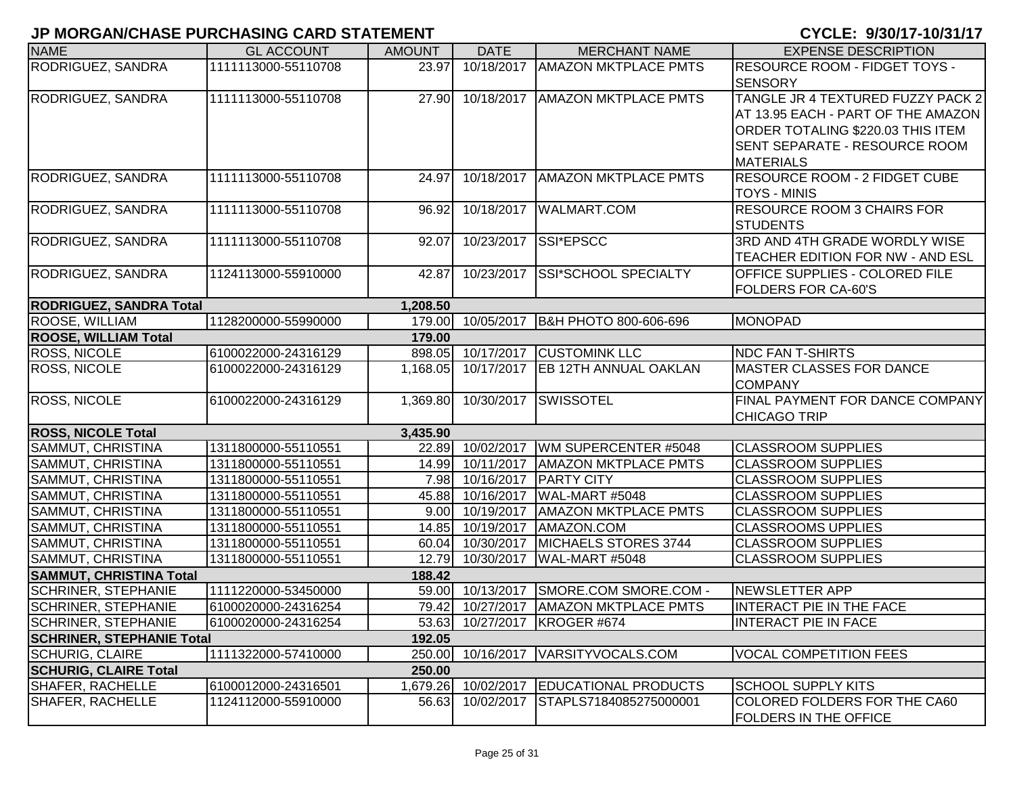| RESOURCE ROOM - FIDGET TOYS -         |
|---------------------------------------|
|                                       |
|                                       |
| TANGLE JR 4 TEXTURED FUZZY PACK 2     |
| AT 13.95 EACH - PART OF THE AMAZON    |
| ORDER TOTALING \$220.03 THIS ITEM     |
| SENT SEPARATE - RESOURCE ROOM         |
|                                       |
| RESOURCE ROOM - 2 FIDGET CUBE         |
|                                       |
| <b>RESOURCE ROOM 3 CHAIRS FOR</b>     |
|                                       |
| 3RD AND 4TH GRADE WORDLY WISE         |
| TEACHER EDITION FOR NW - AND ESL      |
| <b>OFFICE SUPPLIES - COLORED FILE</b> |
|                                       |
|                                       |
|                                       |
|                                       |
|                                       |
| <b>MASTER CLASSES FOR DANCE</b>       |
|                                       |
| FINAL PAYMENT FOR DANCE COMPANY       |
|                                       |
|                                       |
|                                       |
|                                       |
|                                       |
|                                       |
|                                       |
|                                       |
|                                       |
|                                       |
|                                       |
| <b>INTERACT PIE IN THE FACE</b>       |
|                                       |
|                                       |
| VOCAL COMPETITION FEES                |
|                                       |
|                                       |
| COLORED FOLDERS FOR THE CA60          |
|                                       |
|                                       |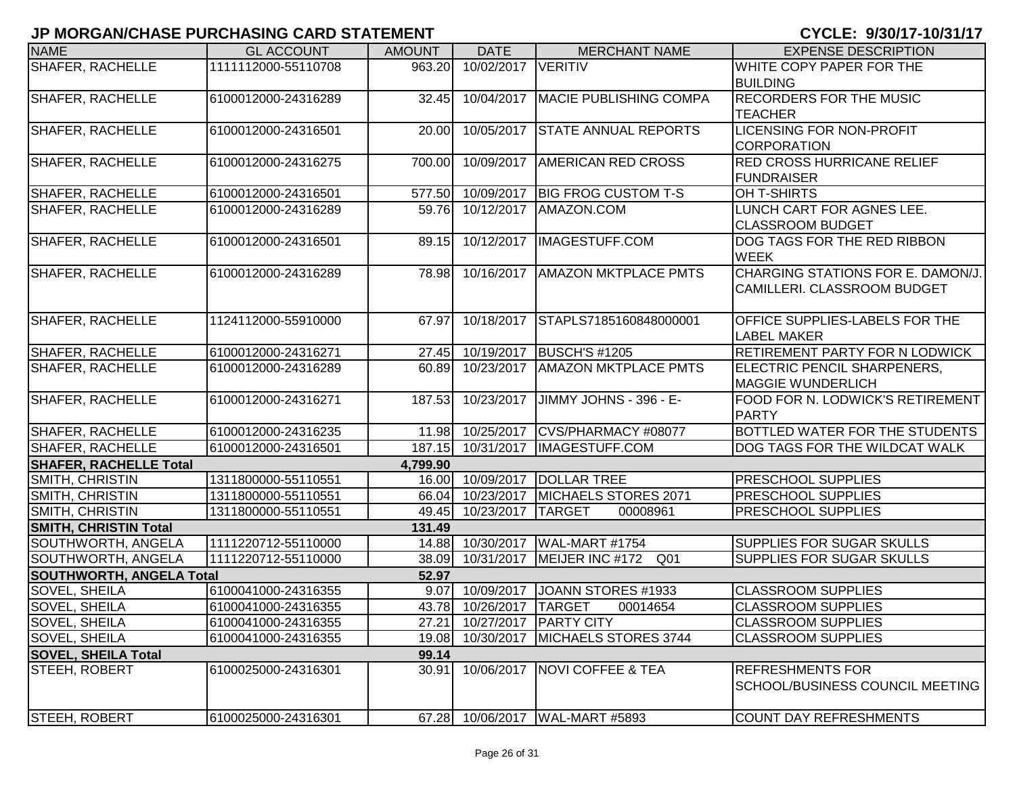| <b>NAME</b>                         | <b>GL ACCOUNT</b>   | <b>AMOUNT</b> | <b>DATE</b>             | <b>MERCHANT NAME</b>                | <b>EXPENSE DESCRIPTION</b>             |  |
|-------------------------------------|---------------------|---------------|-------------------------|-------------------------------------|----------------------------------------|--|
| <b>SHAFER, RACHELLE</b>             | 1111112000-55110708 | 963.20        | 10/02/2017              | <b>VERITIV</b>                      | WHITE COPY PAPER FOR THE               |  |
|                                     |                     |               |                         |                                     | <b>BUILDING</b>                        |  |
| <b>SHAFER, RACHELLE</b>             | 6100012000-24316289 | 32.45         |                         | 10/04/2017   MACIE PUBLISHING COMPA | <b>RECORDERS FOR THE MUSIC</b>         |  |
|                                     |                     |               |                         |                                     | <b>TEACHER</b>                         |  |
| <b>SHAFER, RACHELLE</b>             | 6100012000-24316501 | 20.00         | 10/05/2017              | <b>STATE ANNUAL REPORTS</b>         | <b>LICENSING FOR NON-PROFIT</b>        |  |
|                                     |                     |               |                         |                                     | <b>CORPORATION</b>                     |  |
| <b>SHAFER, RACHELLE</b>             | 6100012000-24316275 | 700.00        | 10/09/2017              | <b>AMERICAN RED CROSS</b>           | <b>RED CROSS HURRICANE RELIEF</b>      |  |
|                                     |                     |               |                         |                                     | <b>FUNDRAISER</b>                      |  |
| <b>SHAFER, RACHELLE</b>             | 6100012000-24316501 | 577.50        | 10/09/2017              | <b>BIG FROG CUSTOM T-S</b>          | OH T-SHIRTS                            |  |
| <b>SHAFER, RACHELLE</b>             | 6100012000-24316289 | 59.76         | 10/12/2017              | AMAZON.COM                          | LUNCH CART FOR AGNES LEE.              |  |
|                                     |                     |               |                         |                                     | <b>CLASSROOM BUDGET</b>                |  |
| <b>SHAFER, RACHELLE</b>             | 6100012000-24316501 | 89.15         | 10/12/2017              | IMAGESTUFF.COM                      | DOG TAGS FOR THE RED RIBBON            |  |
|                                     |                     |               |                         |                                     | <b>WEEK</b>                            |  |
| <b>SHAFER, RACHELLE</b>             | 6100012000-24316289 | 78.98         | 10/16/2017              | <b>AMAZON MKTPLACE PMTS</b>         | CHARGING STATIONS FOR E. DAMON/J.      |  |
|                                     |                     |               |                         |                                     | CAMILLERI. CLASSROOM BUDGET            |  |
|                                     |                     |               |                         |                                     |                                        |  |
| <b>SHAFER, RACHELLE</b>             | 1124112000-55910000 | 67.97         | 10/18/2017              | STAPLS7185160848000001              | OFFICE SUPPLIES-LABELS FOR THE         |  |
|                                     |                     |               |                         |                                     | <b>LABEL MAKER</b>                     |  |
| <b>SHAFER, RACHELLE</b>             | 6100012000-24316271 |               | 27.45 10/19/2017        | <b>BUSCH'S #1205</b>                | RETIREMENT PARTY FOR N LODWICK         |  |
| <b>SHAFER, RACHELLE</b>             | 6100012000-24316289 | 60.89         | 10/23/2017              | <b>AMAZON MKTPLACE PMTS</b>         | ELECTRIC PENCIL SHARPENERS,            |  |
|                                     |                     |               |                         |                                     | <b>MAGGIE WUNDERLICH</b>               |  |
| <b>SHAFER, RACHELLE</b>             | 6100012000-24316271 | 187.53        | 10/23/2017              | JIMMY JOHNS - 396 - E-              | FOOD FOR N. LODWICK'S RETIREMENT       |  |
|                                     |                     |               |                         |                                     | <b>PARTY</b>                           |  |
| <b>SHAFER, RACHELLE</b>             | 6100012000-24316235 | 11.98         | 10/25/2017              | CVS/PHARMACY #08077                 | BOTTLED WATER FOR THE STUDENTS         |  |
| <b>SHAFER, RACHELLE</b>             | 6100012000-24316501 | 187.15        | 10/31/2017              | <b>IMAGESTUFF.COM</b>               | DOG TAGS FOR THE WILDCAT WALK          |  |
| <b>SHAFER, RACHELLE Total</b>       |                     | 4,799.90      |                         |                                     |                                        |  |
| SMITH, CHRISTIN                     | 1311800000-55110551 | 16.00         | 10/09/2017              | <b>DOLLAR TREE</b>                  | <b>PRESCHOOL SUPPLIES</b>              |  |
| SMITH, CHRISTIN                     | 1311800000-55110551 | 66.04         | 10/23/2017              | MICHAELS STORES 2071                | <b>PRESCHOOL SUPPLIES</b>              |  |
| <b>SMITH, CHRISTIN</b>              | 1311800000-55110551 | 49.45         | 10/23/2017              | <b>TARGET</b><br>00008961           | <b>PRESCHOOL SUPPLIES</b>              |  |
| <b>SMITH, CHRISTIN Total</b>        |                     | 131.49        |                         |                                     |                                        |  |
| SOUTHWORTH, ANGELA                  | 1111220712-55110000 |               | 14.88 10/30/2017        | WAL-MART #1754                      | <b>SUPPLIES FOR SUGAR SKULLS</b>       |  |
| SOUTHWORTH, ANGELA                  | 1111220712-55110000 | 38.09         | 10/31/2017              | MEIJER INC #172<br>Q <sub>01</sub>  | <b>SUPPLIES FOR SUGAR SKULLS</b>       |  |
| <b>SOUTHWORTH, ANGELA Total</b>     |                     | 52.97         |                         |                                     |                                        |  |
| SOVEL, SHEILA                       | 6100041000-24316355 | 9.07          | 10/09/2017              | JOANN STORES #1933                  | <b>CLASSROOM SUPPLIES</b>              |  |
| SOVEL, SHEILA                       | 6100041000-24316355 |               | 43.78 10/26/2017 TARGET | 00014654                            | <b>CLASSROOM SUPPLIES</b>              |  |
| <b>SOVEL, SHEILA</b>                | 6100041000-24316355 |               |                         | 27.21 10/27/2017 PARTY CITY         | <b>CLASSROOM SUPPLIES</b>              |  |
| SOVEL, SHEILA                       | 6100041000-24316355 | 19.08         | 10/30/2017              | MICHAELS STORES 3744                | <b>CLASSROOM SUPPLIES</b>              |  |
| <b>SOVEL, SHEILA Total</b><br>99.14 |                     |               |                         |                                     |                                        |  |
| <b>STEEH, ROBERT</b>                | 6100025000-24316301 | 30.91         |                         | 10/06/2017   NOVI COFFEE & TEA      | <b>REFRESHMENTS FOR</b>                |  |
|                                     |                     |               |                         |                                     | <b>SCHOOL/BUSINESS COUNCIL MEETING</b> |  |
| <b>STEEH, ROBERT</b>                | 6100025000-24316301 |               |                         | 67.28 10/06/2017 WAL-MART #5893     | <b>COUNT DAY REFRESHMENTS</b>          |  |
|                                     |                     |               |                         |                                     |                                        |  |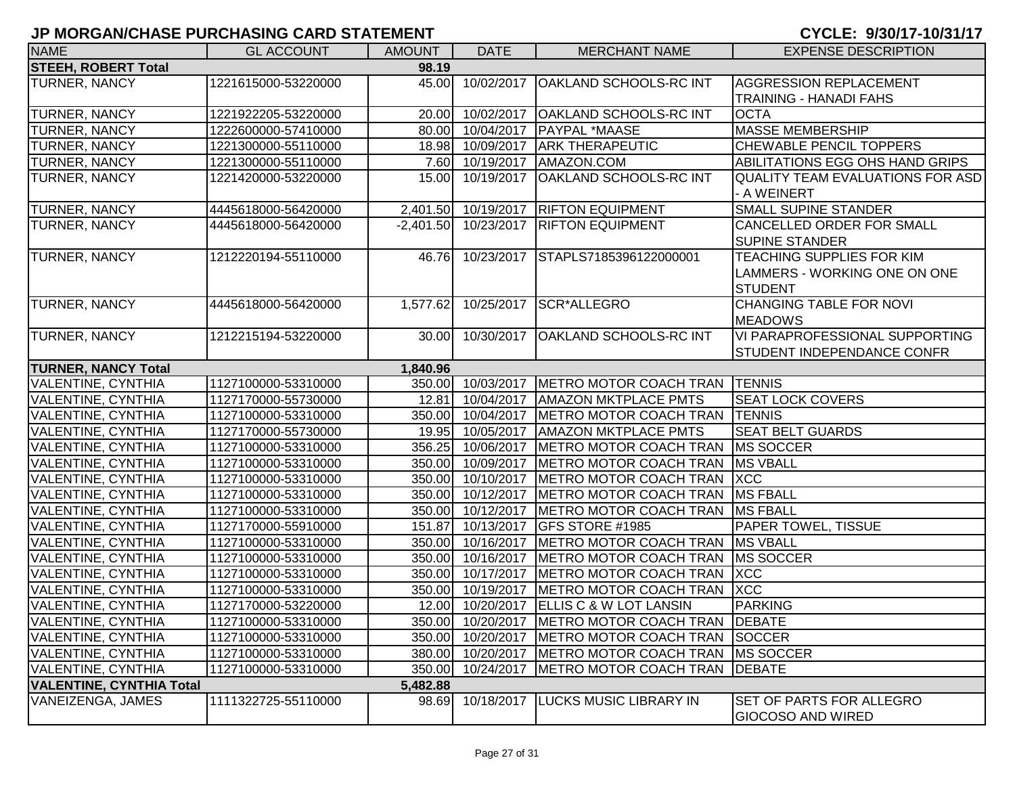| <b>NAME</b>                     | <b>GL ACCOUNT</b>   | <b>AMOUNT</b> | <b>DATE</b>            | <b>MERCHANT NAME</b>                                | <b>EXPENSE DESCRIPTION</b>                                  |
|---------------------------------|---------------------|---------------|------------------------|-----------------------------------------------------|-------------------------------------------------------------|
| <b>STEEH, ROBERT Total</b>      |                     | 98.19         |                        |                                                     |                                                             |
| TURNER, NANCY                   | 1221615000-53220000 | 45.00         | 10/02/2017             | <b>OAKLAND SCHOOLS-RC INT</b>                       | <b>AGGRESSION REPLACEMENT</b>                               |
|                                 |                     |               |                        |                                                     | <b>TRAINING - HANADI FAHS</b>                               |
| TURNER, NANCY                   | 1221922205-53220000 |               | 20.00 10/02/2017       | <b>OAKLAND SCHOOLS-RC INT</b>                       | <b>OCTA</b>                                                 |
| TURNER, NANCY                   | 1222600000-57410000 |               |                        | 80.00 10/04/2017 PAYPAL *MAASE                      | <b>MASSE MEMBERSHIP</b>                                     |
| <b>TURNER, NANCY</b>            | 1221300000-55110000 |               | 18.98 10/09/2017       | <b>ARK THERAPEUTIC</b>                              | CHEWABLE PENCIL TOPPERS                                     |
| <b>TURNER, NANCY</b>            | 1221300000-55110000 |               | 7.60 10/19/2017        | AMAZON.COM                                          | ABILITATIONS EGG OHS HAND GRIPS                             |
| TURNER, NANCY                   | 1221420000-53220000 |               | 15.00 10/19/2017       | <b>OAKLAND SCHOOLS-RC INT</b>                       | <b>QUALITY TEAM EVALUATIONS FOR ASD</b>                     |
|                                 |                     |               |                        |                                                     | - A WEINERT                                                 |
| TURNER, NANCY                   | 4445618000-56420000 |               |                        | 2,401.50 10/19/2017 RIFTON EQUIPMENT                | <b>SMALL SUPINE STANDER</b>                                 |
| TURNER, NANCY                   | 4445618000-56420000 |               | $-2,401.50$ 10/23/2017 | <b>RIFTON EQUIPMENT</b>                             | <b>CANCELLED ORDER FOR SMALL</b>                            |
|                                 |                     |               |                        |                                                     | <b>SUPINE STANDER</b>                                       |
| <b>TURNER, NANCY</b>            | 1212220194-55110000 |               |                        | 46.76 10/23/2017 STAPLS7185396122000001             | TEACHING SUPPLIES FOR KIM                                   |
|                                 |                     |               |                        |                                                     | LAMMERS - WORKING ONE ON ONE                                |
|                                 |                     |               |                        |                                                     | <b>STUDENT</b>                                              |
| TURNER, NANCY                   | 4445618000-56420000 | 1,577.62      | 10/25/2017             | SCR*ALLEGRO                                         | <b>CHANGING TABLE FOR NOVI</b>                              |
|                                 |                     |               |                        |                                                     | <b>MEADOWS</b>                                              |
| TURNER, NANCY                   | 1212215194-53220000 |               | 30.00 10/30/2017       | <b>OAKLAND SCHOOLS-RC INT</b>                       | <b>VI PARAPROFESSIONAL SUPPORTING</b>                       |
|                                 |                     |               |                        |                                                     | <b>STUDENT INDEPENDANCE CONFR</b>                           |
| <b>TURNER, NANCY Total</b>      |                     | 1,840.96      |                        |                                                     |                                                             |
| <b>VALENTINE, CYNTHIA</b>       | 1127100000-53310000 |               |                        | 350.00 10/03/2017   METRO MOTOR COACH TRAN   TENNIS |                                                             |
| <b>VALENTINE, CYNTHIA</b>       | 1127170000-55730000 | 12.81         |                        | 10/04/2017   AMAZON MKTPLACE PMTS                   | <b>SEAT LOCK COVERS</b>                                     |
| <b>VALENTINE, CYNTHIA</b>       | 1127100000-53310000 |               | 350.00 10/04/2017      | METRO MOTOR COACH TRAN                              | <b>TENNIS</b>                                               |
| <b>VALENTINE, CYNTHIA</b>       | 1127170000-55730000 |               |                        | 19.95 10/05/2017   AMAZON MKTPLACE PMTS             | <b>SEAT BELT GUARDS</b>                                     |
| <b>VALENTINE, CYNTHIA</b>       | 1127100000-53310000 |               |                        | 356.25 10/06/2017 METRO MOTOR COACH TRAN            | MS SOCCER                                                   |
| <b>VALENTINE, CYNTHIA</b>       | 1127100000-53310000 |               |                        | 350.00 10/09/2017 METRO MOTOR COACH TRAN            | <b>MS VBALL</b>                                             |
| <b>VALENTINE, CYNTHIA</b>       | 1127100000-53310000 |               |                        | 350.00 10/10/2017 METRO MOTOR COACH TRAN            | <b>XCC</b>                                                  |
| <b>VALENTINE, CYNTHIA</b>       | 1127100000-53310000 |               |                        | 350.00 10/12/2017 METRO MOTOR COACH TRAN            | <b>MS FBALL</b>                                             |
| <b>VALENTINE, CYNTHIA</b>       | 1127100000-53310000 |               |                        | 350.00 10/12/2017 METRO MOTOR COACH TRAN            | <b>MS FBALL</b>                                             |
| <b>VALENTINE, CYNTHIA</b>       | 1127170000-55910000 | 151.87        | 10/13/2017             | <b>GFS STORE #1985</b>                              | PAPER TOWEL, TISSUE                                         |
| VALENTINE, CYNTHIA              | 1127100000-53310000 | 350.00        | 10/16/2017             | METRO MOTOR COACH TRAN                              | <b>MS VBALL</b>                                             |
| VALENTINE, CYNTHIA              | 1127100000-53310000 | 350.00        | 10/16/2017             | METRO MOTOR COACH TRAN                              | <b>MS SOCCER</b>                                            |
| VALENTINE, CYNTHIA              | 1127100000-53310000 |               | 350.00 10/17/2017      | METRO MOTOR COACH TRAN                              | <b>XCC</b>                                                  |
| VALENTINE, CYNTHIA              | 1127100000-53310000 |               | 350.00 10/19/2017      | METRO MOTOR COACH TRAN                              | <b>XCC</b>                                                  |
| <b>VALENTINE, CYNTHIA</b>       | 1127170000-53220000 |               |                        | 12.00 10/20/2017 ELLIS C & W LOT LANSIN             | <b>PARKING</b>                                              |
| <b>VALENTINE, CYNTHIA</b>       | 1127100000-53310000 |               |                        | 350.00 10/20/2017   METRO MOTOR COACH TRAN          | <b>DEBATE</b>                                               |
| <b>VALENTINE, CYNTHIA</b>       | 1127100000-53310000 |               | 350.00 10/20/2017      | METRO MOTOR COACH TRAN                              | SOCCER                                                      |
| <b>VALENTINE, CYNTHIA</b>       | 1127100000-53310000 |               |                        | 380.00 10/20/2017 METRO MOTOR COACH TRAN            | MS SOCCER                                                   |
| <b>VALENTINE, CYNTHIA</b>       | 1127100000-53310000 | 350.00        | 10/24/2017             | METRO MOTOR COACH TRAN                              | <b>DEBATE</b>                                               |
| <b>VALENTINE, CYNTHIA Total</b> |                     | 5,482.88      |                        |                                                     |                                                             |
| VANEIZENGA, JAMES               | 1111322725-55110000 | 98.69         | 10/18/2017             | <b>LUCKS MUSIC LIBRARY IN</b>                       | <b>SET OF PARTS FOR ALLEGRO</b><br><b>GIOCOSO AND WIRED</b> |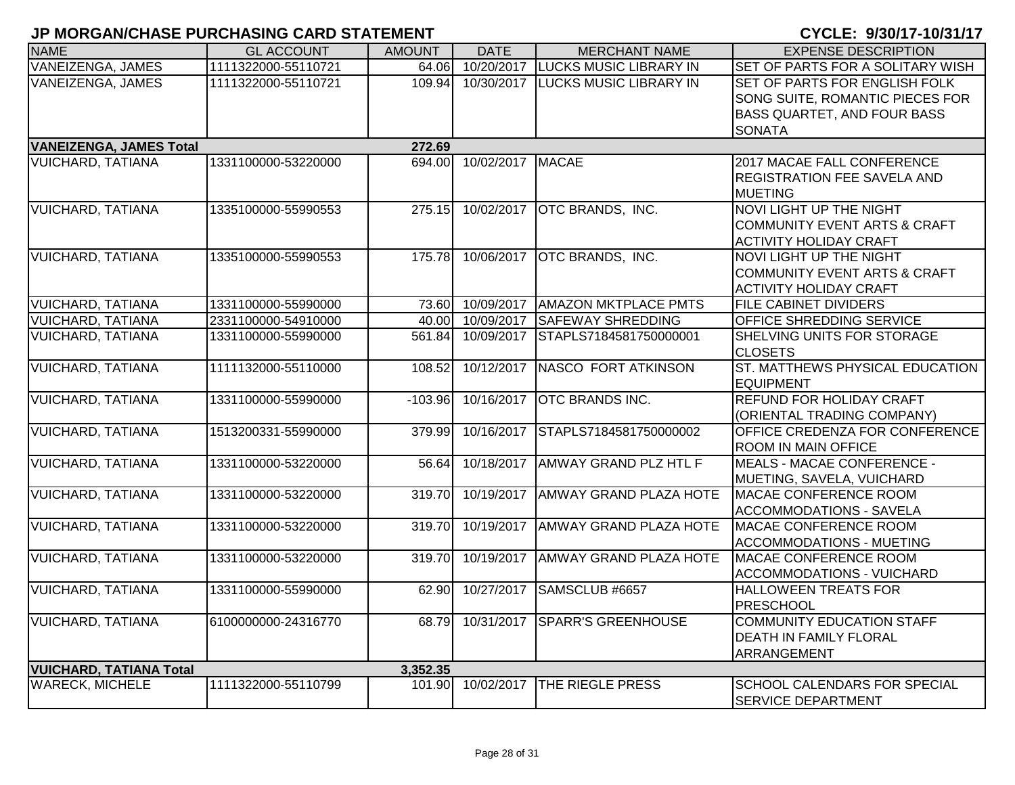| <b>NAME</b>                    | <b>GL ACCOUNT</b>   | <b>AMOUNT</b> | <b>DATE</b>       | <b>MERCHANT NAME</b>               | <b>EXPENSE DESCRIPTION</b>                                                                                       |
|--------------------------------|---------------------|---------------|-------------------|------------------------------------|------------------------------------------------------------------------------------------------------------------|
| <b>VANEIZENGA, JAMES</b>       | 1111322000-55110721 | 64.06         | 10/20/2017        | <b>LUCKS MUSIC LIBRARY IN</b>      | SET OF PARTS FOR A SOLITARY WISH                                                                                 |
| VANEIZENGA, JAMES              | 1111322000-55110721 |               | 109.94 10/30/2017 | <b>LUCKS MUSIC LIBRARY IN</b>      | SET OF PARTS FOR ENGLISH FOLK<br>SONG SUITE, ROMANTIC PIECES FOR<br>BASS QUARTET, AND FOUR BASS<br><b>SONATA</b> |
| <b>VANEIZENGA, JAMES Total</b> |                     | 272.69        |                   |                                    |                                                                                                                  |
| <b>VUICHARD, TATIANA</b>       | 1331100000-53220000 |               | 694.00 10/02/2017 | <b>MACAE</b>                       | 2017 MACAE FALL CONFERENCE<br><b>REGISTRATION FEE SAVELA AND</b><br><b>MUETING</b>                               |
| <b>VUICHARD, TATIANA</b>       | 1335100000-55990553 |               | 275.15 10/02/2017 | <b>OTC BRANDS, INC.</b>            | <b>NOVI LIGHT UP THE NIGHT</b><br><b>COMMUNITY EVENT ARTS &amp; CRAFT</b><br><b>ACTIVITY HOLIDAY CRAFT</b>       |
| <b>VUICHARD, TATIANA</b>       | 1335100000-55990553 |               |                   | 175.78 10/06/2017 OTC BRANDS, INC. | <b>NOVI LIGHT UP THE NIGHT</b><br>COMMUNITY EVENT ARTS & CRAFT<br><b>ACTIVITY HOLIDAY CRAFT</b>                  |
| <b>VUICHARD, TATIANA</b>       | 1331100000-55990000 | 73.60         | 10/09/2017        | <b>AMAZON MKTPLACE PMTS</b>        | <b>FILE CABINET DIVIDERS</b>                                                                                     |
| <b>VUICHARD, TATIANA</b>       | 2331100000-54910000 |               | 40.00 10/09/2017  | <b>SAFEWAY SHREDDING</b>           | OFFICE SHREDDING SERVICE                                                                                         |
| <b>VUICHARD, TATIANA</b>       | 1331100000-55990000 | 561.84        | 10/09/2017        | STAPLS7184581750000001             | SHELVING UNITS FOR STORAGE<br><b>CLOSETS</b>                                                                     |
| <b>VUICHARD, TATIANA</b>       | 1111132000-55110000 | 108.52        | 10/12/2017        | NASCO FORT ATKINSON                | ST. MATTHEWS PHYSICAL EDUCATION<br><b>EQUIPMENT</b>                                                              |
| <b>VUICHARD, TATIANA</b>       | 1331100000-55990000 | $-103.96$     | 10/16/2017        | <b>OTC BRANDS INC.</b>             | <b>REFUND FOR HOLIDAY CRAFT</b><br>(ORIENTAL TRADING COMPANY)                                                    |
| <b>VUICHARD, TATIANA</b>       | 1513200331-55990000 | 379.99        | 10/16/2017        | STAPLS7184581750000002             | OFFICE CREDENZA FOR CONFERENCE<br><b>ROOM IN MAIN OFFICE</b>                                                     |
| <b>VUICHARD, TATIANA</b>       | 1331100000-53220000 | 56.64         | 10/18/2017        | AMWAY GRAND PLZ HTL F              | <b>MEALS - MACAE CONFERENCE -</b><br>MUETING, SAVELA, VUICHARD                                                   |
| <b>VUICHARD, TATIANA</b>       | 1331100000-53220000 | 319.70        | 10/19/2017        | <b>AMWAY GRAND PLAZA HOTE</b>      | <b>MACAE CONFERENCE ROOM</b><br><b>ACCOMMODATIONS - SAVELA</b>                                                   |
| <b>VUICHARD, TATIANA</b>       | 1331100000-53220000 | 319.70        | 10/19/2017        | <b>AMWAY GRAND PLAZA HOTE</b>      | MACAE CONFERENCE ROOM<br><b>ACCOMMODATIONS - MUETING</b>                                                         |
| <b>VUICHARD, TATIANA</b>       | 1331100000-53220000 | 319.70        | 10/19/2017        | <b>AMWAY GRAND PLAZA HOTE</b>      | MACAE CONFERENCE ROOM<br><b>ACCOMMODATIONS - VUICHARD</b>                                                        |
| <b>VUICHARD, TATIANA</b>       | 1331100000-55990000 | 62.90         | 10/27/2017        | SAMSCLUB #6657                     | <b>HALLOWEEN TREATS FOR</b><br><b>PRESCHOOL</b>                                                                  |
| <b>VUICHARD, TATIANA</b>       | 6100000000-24316770 |               | 68.79 10/31/2017  | <b>SPARR'S GREENHOUSE</b>          | <b>COMMUNITY EDUCATION STAFF</b><br><b>DEATH IN FAMILY FLORAL</b><br>ARRANGEMENT                                 |
| <b>VUICHARD, TATIANA Total</b> |                     | 3,352.35      |                   |                                    |                                                                                                                  |
| <b>WARECK, MICHELE</b>         | 1111322000-55110799 | 101.90        | 10/02/2017        | THE RIEGLE PRESS                   | <b>SCHOOL CALENDARS FOR SPECIAL</b><br><b>SERVICE DEPARTMENT</b>                                                 |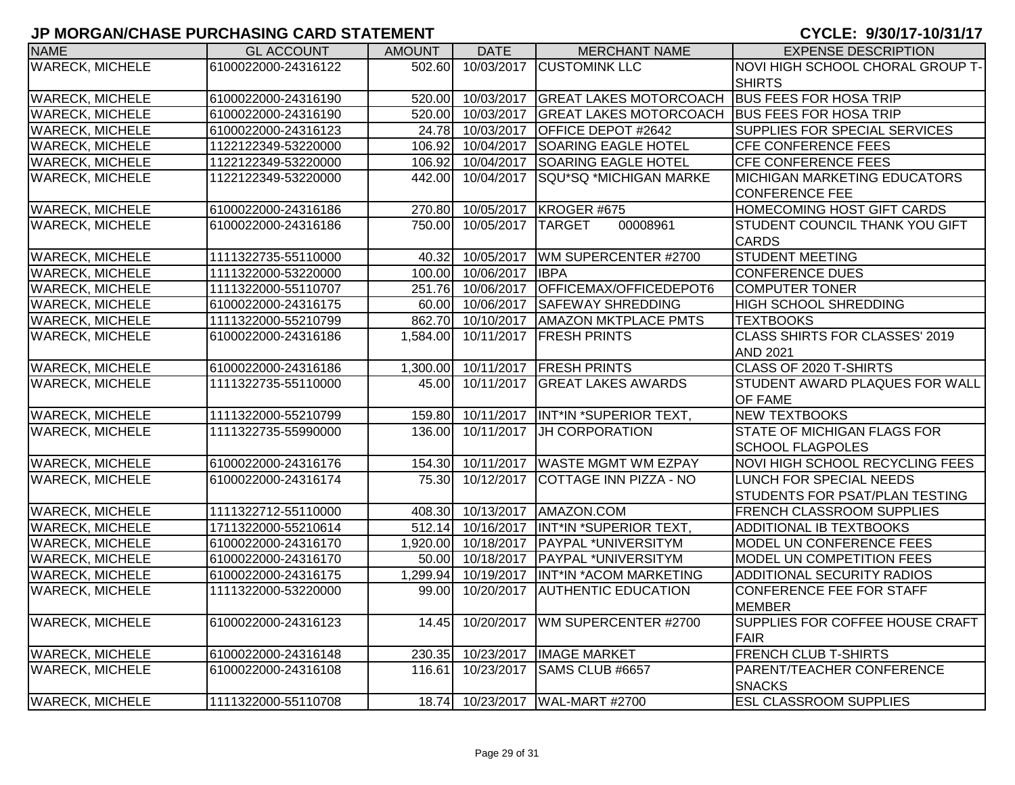| <b>NAME</b>            | <b>GL ACCOUNT</b>   | <b>AMOUNT</b> | <b>DATE</b>       | <b>MERCHANT NAME</b>                          | <b>EXPENSE DESCRIPTION</b>             |
|------------------------|---------------------|---------------|-------------------|-----------------------------------------------|----------------------------------------|
| <b>WARECK, MICHELE</b> | 6100022000-24316122 | 502.60        |                   | 10/03/2017 CUSTOMINK LLC                      | NOVI HIGH SCHOOL CHORAL GROUP T-       |
|                        |                     |               |                   |                                               | <b>SHIRTS</b>                          |
| <b>WARECK, MICHELE</b> | 6100022000-24316190 | 520.00        | 10/03/2017        | GREAT LAKES MOTORCOACH BUS FEES FOR HOSA TRIP |                                        |
| <b>WARECK, MICHELE</b> | 6100022000-24316190 | 520.00        | 10/03/2017        | GREAT LAKES MOTORCOACH BUS FEES FOR HOSA TRIP |                                        |
| <b>WARECK, MICHELE</b> | 6100022000-24316123 |               | 24.78 10/03/2017  | <b>OFFICE DEPOT #2642</b>                     | SUPPLIES FOR SPECIAL SERVICES          |
| <b>WARECK, MICHELE</b> | 1122122349-53220000 |               | 106.92 10/04/2017 | <b>SOARING EAGLE HOTEL</b>                    | <b>CFE CONFERENCE FEES</b>             |
| <b>WARECK, MICHELE</b> | 1122122349-53220000 | 106.92        | 10/04/2017        | <b>SOARING EAGLE HOTEL</b>                    | <b>CFE CONFERENCE FEES</b>             |
| <b>WARECK, MICHELE</b> | 1122122349-53220000 | 442.00        | 10/04/2017        | SQU*SQ *MICHIGAN MARKE                        | <b>MICHIGAN MARKETING EDUCATORS</b>    |
|                        |                     |               |                   |                                               | <b>CONFERENCE FEE</b>                  |
| <b>WARECK, MICHELE</b> | 6100022000-24316186 |               | 270.80 10/05/2017 | KROGER #675                                   | <b>HOMECOMING HOST GIFT CARDS</b>      |
| <b>WARECK, MICHELE</b> | 6100022000-24316186 | 750.00        | 10/05/2017 TARGET | 00008961                                      | STUDENT COUNCIL THANK YOU GIFT         |
|                        |                     |               |                   |                                               | <b>CARDS</b>                           |
| <b>WARECK, MICHELE</b> | 1111322735-55110000 | 40.32         | 10/05/2017        | WM SUPERCENTER #2700                          | <b>STUDENT MEETING</b>                 |
| <b>WARECK, MICHELE</b> | 1111322000-53220000 |               | 100.00 10/06/2017 | <b>IBPA</b>                                   | <b>CONFERENCE DUES</b>                 |
| <b>WARECK, MICHELE</b> | 1111322000-55110707 |               | 251.76 10/06/2017 | OFFICEMAX/OFFICEDEPOT6                        | <b>COMPUTER TONER</b>                  |
| <b>WARECK, MICHELE</b> | 6100022000-24316175 |               | 60.00 10/06/2017  | <b>SAFEWAY SHREDDING</b>                      | <b>HIGH SCHOOL SHREDDING</b>           |
| <b>WARECK, MICHELE</b> | 1111322000-55210799 |               | 862.70 10/10/2017 | <b>AMAZON MKTPLACE PMTS</b>                   | <b>TEXTBOOKS</b>                       |
| <b>WARECK, MICHELE</b> | 6100022000-24316186 | 1,584.00      | 10/11/2017        | <b>FRESH PRINTS</b>                           | <b>CLASS SHIRTS FOR CLASSES' 2019</b>  |
|                        |                     |               |                   |                                               | <b>AND 2021</b>                        |
| <b>WARECK, MICHELE</b> | 6100022000-24316186 | 1,300.00      | 10/11/2017        | <b>FRESH PRINTS</b>                           | CLASS OF 2020 T-SHIRTS                 |
| <b>WARECK, MICHELE</b> | 1111322735-55110000 | 45.00         | 10/11/2017        | <b>GREAT LAKES AWARDS</b>                     | STUDENT AWARD PLAQUES FOR WALL         |
|                        |                     |               |                   |                                               | OF FAME                                |
| <b>WARECK, MICHELE</b> | 1111322000-55210799 | 159.80        | 10/11/2017        | INT*IN *SUPERIOR TEXT,                        | <b>NEW TEXTBOOKS</b>                   |
| <b>WARECK, MICHELE</b> | 1111322735-55990000 | 136.00        | 10/11/2017        | <b>JH CORPORATION</b>                         | <b>STATE OF MICHIGAN FLAGS FOR</b>     |
|                        |                     |               |                   |                                               | <b>SCHOOL FLAGPOLES</b>                |
| <b>WARECK, MICHELE</b> | 6100022000-24316176 | 154.30        | 10/11/2017        | <b>WASTE MGMT WM EZPAY</b>                    | <b>NOVI HIGH SCHOOL RECYCLING FEES</b> |
| <b>WARECK, MICHELE</b> | 6100022000-24316174 | 75.30         | 10/12/2017        | COTTAGE INN PIZZA - NO                        | LUNCH FOR SPECIAL NEEDS                |
|                        |                     |               |                   |                                               | STUDENTS FOR PSAT/PLAN TESTING         |
| <b>WARECK, MICHELE</b> | 1111322712-55110000 |               | 408.30 10/13/2017 | AMAZON.COM                                    | <b>FRENCH CLASSROOM SUPPLIES</b>       |
| <b>WARECK, MICHELE</b> | 1711322000-55210614 |               | 512.14 10/16/2017 | INT*IN *SUPERIOR TEXT,                        | ADDITIONAL IB TEXTBOOKS                |
| <b>WARECK, MICHELE</b> | 6100022000-24316170 |               |                   | 1,920.00 10/18/2017 PAYPAL *UNIVERSITYM       | MODEL UN CONFERENCE FEES               |
| <b>WARECK, MICHELE</b> | 6100022000-24316170 |               |                   | 50.00 10/18/2017 PAYPAL *UNIVERSITYM          | MODEL UN COMPETITION FEES              |
| <b>WARECK, MICHELE</b> | 6100022000-24316175 | 1,299.94      |                   | 10/19/2017  INT*IN *ACOM MARKETING            | ADDITIONAL SECURITY RADIOS             |
| <b>WARECK, MICHELE</b> | 1111322000-53220000 | 99.00         |                   | 10/20/2017 AUTHENTIC EDUCATION                | CONFERENCE FEE FOR STAFF               |
|                        |                     |               |                   |                                               | <b>MEMBER</b>                          |
| <b>WARECK, MICHELE</b> | 6100022000-24316123 | 14.45         | 10/20/2017        | WM SUPERCENTER #2700                          | SUPPLIES FOR COFFEE HOUSE CRAFT        |
|                        |                     |               |                   |                                               | <b>FAIR</b>                            |
| <b>WARECK, MICHELE</b> | 6100022000-24316148 | 230.35        | 10/23/2017        | <b>IMAGE MARKET</b>                           | <b>FRENCH CLUB T-SHIRTS</b>            |
| <b>WARECK, MICHELE</b> | 6100022000-24316108 | 116.61        | 10/23/2017        | SAMS CLUB #6657                               | PARENT/TEACHER CONFERENCE              |
|                        |                     |               |                   |                                               | <b>SNACKS</b>                          |
| <b>WARECK, MICHELE</b> | 1111322000-55110708 |               |                   | 18.74 10/23/2017   WAL-MART #2700             | <b>ESL CLASSROOM SUPPLIES</b>          |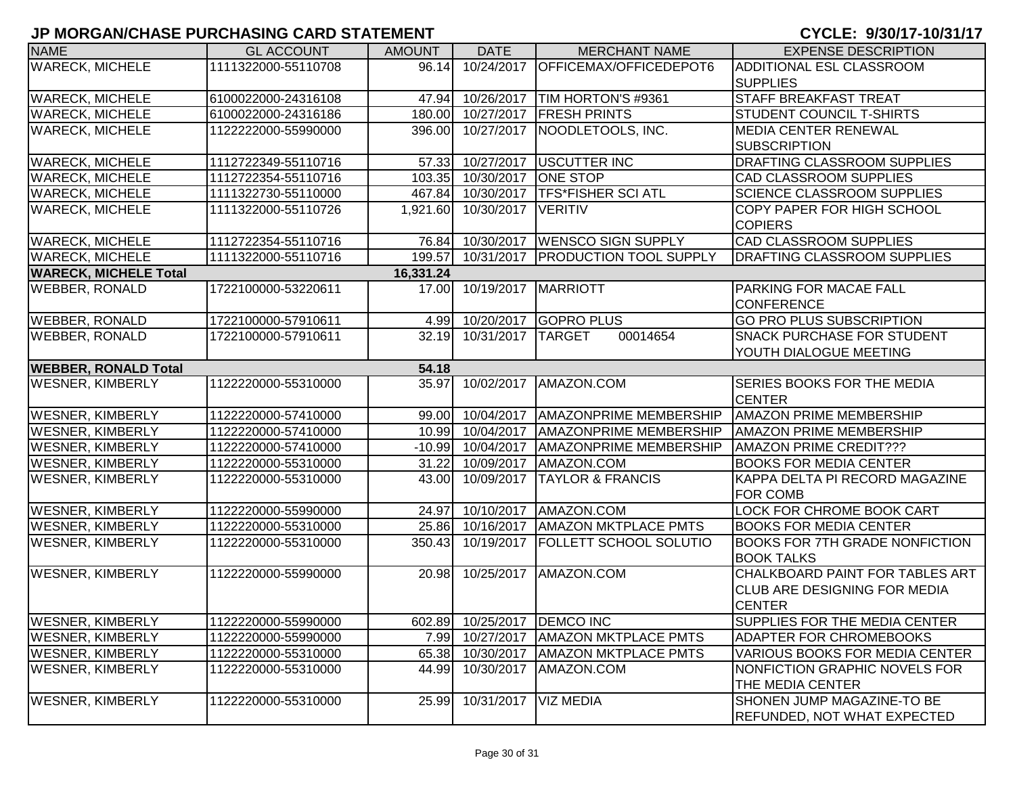| <b>NAME</b>                  | <b>GL ACCOUNT</b>   | <b>AMOUNT</b> | <b>DATE</b>                 | <b>MERCHANT NAME</b>                  | <b>EXPENSE DESCRIPTION</b>            |
|------------------------------|---------------------|---------------|-----------------------------|---------------------------------------|---------------------------------------|
| <b>WARECK, MICHELE</b>       | 1111322000-55110708 | 96.14         | 10/24/2017                  | OFFICEMAX/OFFICEDEPOT6                | ADDITIONAL ESL CLASSROOM              |
|                              |                     |               |                             |                                       | <b>SUPPLIES</b>                       |
| <b>WARECK, MICHELE</b>       | 6100022000-24316108 |               |                             | 47.94 10/26/2017 TIM HORTON'S #9361   | <b>STAFF BREAKFAST TREAT</b>          |
| <b>WARECK, MICHELE</b>       | 6100022000-24316186 |               | 180.00 10/27/2017           | <b>FRESH PRINTS</b>                   | <b>STUDENT COUNCIL T-SHIRTS</b>       |
| <b>WARECK, MICHELE</b>       | 1122222000-55990000 |               | 396.00 10/27/2017           | NOODLETOOLS, INC.                     | <b>MEDIA CENTER RENEWAL</b>           |
|                              |                     |               |                             |                                       | <b>SUBSCRIPTION</b>                   |
| <b>WARECK, MICHELE</b>       | 1112722349-55110716 |               | 57.33 10/27/2017            | <b>USCUTTER INC</b>                   | DRAFTING CLASSROOM SUPPLIES           |
| <b>WARECK, MICHELE</b>       | 1112722354-55110716 |               | 103.35 10/30/2017           | <b>ONE STOP</b>                       | <b>CAD CLASSROOM SUPPLIES</b>         |
| <b>WARECK, MICHELE</b>       | 1111322730-55110000 |               | 467.84 10/30/2017           | <b>TFS*FISHER SCI ATL</b>             | <b>SCIENCE CLASSROOM SUPPLIES</b>     |
| <b>WARECK, MICHELE</b>       | 1111322000-55110726 | 1,921.60      | 10/30/2017                  | <b>VERITIV</b>                        | COPY PAPER FOR HIGH SCHOOL            |
|                              |                     |               |                             |                                       | <b>COPIERS</b>                        |
| <b>WARECK, MICHELE</b>       | 1112722354-55110716 |               |                             | 76.84 10/30/2017   WENSCO SIGN SUPPLY | <b>CAD CLASSROOM SUPPLIES</b>         |
| <b>WARECK, MICHELE</b>       | 1111322000-55110716 | 199.57        | 10/31/2017                  | <b>PRODUCTION TOOL SUPPLY</b>         | <b>DRAFTING CLASSROOM SUPPLIES</b>    |
| <b>WARECK, MICHELE Total</b> |                     | 16,331.24     |                             |                                       |                                       |
| <b>WEBBER, RONALD</b>        | 1722100000-53220611 | 17.00         | 10/19/2017   MARRIOTT       |                                       | PARKING FOR MACAE FALL                |
|                              |                     |               |                             |                                       | <b>CONFERENCE</b>                     |
| <b>WEBBER, RONALD</b>        | 1722100000-57910611 |               |                             | 4.99 10/20/2017 GOPRO PLUS            | <b>GO PRO PLUS SUBSCRIPTION</b>       |
| <b>WEBBER, RONALD</b>        | 1722100000-57910611 |               | 32.19 10/31/2017            | 00014654<br><b>TARGET</b>             | <b>SNACK PURCHASE FOR STUDENT</b>     |
|                              |                     |               |                             |                                       | YOUTH DIALOGUE MEETING                |
| <b>WEBBER, RONALD Total</b>  |                     | 54.18         |                             |                                       |                                       |
| <b>WESNER, KIMBERLY</b>      | 1122220000-55310000 | 35.97         | 10/02/2017                  | AMAZON.COM                            | SERIES BOOKS FOR THE MEDIA            |
|                              |                     |               |                             |                                       | <b>CENTER</b>                         |
| <b>WESNER, KIMBERLY</b>      | 1122220000-57410000 |               | 99.00 10/04/2017            | <b>AMAZONPRIME MEMBERSHIP</b>         | <b>AMAZON PRIME MEMBERSHIP</b>        |
| <b>WESNER, KIMBERLY</b>      | 1122220000-57410000 |               | 10.99 10/04/2017            | <b>AMAZONPRIME MEMBERSHIP</b>         | <b>AMAZON PRIME MEMBERSHIP</b>        |
| <b>WESNER, KIMBERLY</b>      | 1122220000-57410000 |               | $-10.99$ 10/04/2017         | <b>AMAZONPRIME MEMBERSHIP</b>         | <b>AMAZON PRIME CREDIT???</b>         |
| <b>WESNER, KIMBERLY</b>      | 1122220000-55310000 | 31.22         | 10/09/2017                  | AMAZON.COM                            | <b>BOOKS FOR MEDIA CENTER</b>         |
| <b>WESNER, KIMBERLY</b>      | 1122220000-55310000 | 43.00         | 10/09/2017                  | <b>TAYLOR &amp; FRANCIS</b>           | KAPPA DELTA PI RECORD MAGAZINE        |
|                              |                     |               |                             |                                       | FOR COMB                              |
| <b>WESNER, KIMBERLY</b>      | 1122220000-55990000 |               | 24.97 10/10/2017            | AMAZON.COM                            | LOCK FOR CHROME BOOK CART             |
| <b>WESNER, KIMBERLY</b>      | 1122220000-55310000 |               | 25.86 10/16/2017            | <b>AMAZON MKTPLACE PMTS</b>           | <b>BOOKS FOR MEDIA CENTER</b>         |
| <b>WESNER, KIMBERLY</b>      | 1122220000-55310000 | 350.43        | 10/19/2017                  | <b>FOLLETT SCHOOL SOLUTIO</b>         | <b>BOOKS FOR 7TH GRADE NONFICTION</b> |
|                              |                     |               |                             |                                       | <b>BOOK TALKS</b>                     |
| <b>WESNER, KIMBERLY</b>      | 1122220000-55990000 | 20.98         |                             | 10/25/2017   AMAZON.COM               | CHALKBOARD PAINT FOR TABLES ART       |
|                              |                     |               |                             |                                       | <b>CLUB ARE DESIGNING FOR MEDIA</b>   |
|                              |                     |               |                             |                                       | <b>CENTER</b>                         |
| <b>WESNER, KIMBERLY</b>      | 1122220000-55990000 |               | 602.89 10/25/2017 DEMCO INC |                                       | SUPPLIES FOR THE MEDIA CENTER         |
| <b>WESNER, KIMBERLY</b>      | 1122220000-55990000 |               | 7.99 10/27/2017             | <b>AMAZON MKTPLACE PMTS</b>           | ADAPTER FOR CHROMEBOOKS               |
| <b>WESNER, KIMBERLY</b>      | 1122220000-55310000 |               | 65.38 10/30/2017            | <b>AMAZON MKTPLACE PMTS</b>           | VARIOUS BOOKS FOR MEDIA CENTER        |
| <b>WESNER, KIMBERLY</b>      | 1122220000-55310000 | 44.99         | 10/30/2017                  | AMAZON.COM                            | NONFICTION GRAPHIC NOVELS FOR         |
|                              |                     |               |                             |                                       | THE MEDIA CENTER                      |
| <b>WESNER, KIMBERLY</b>      | 1122220000-55310000 | 25.99         | 10/31/2017                  | <b>VIZ MEDIA</b>                      | SHONEN JUMP MAGAZINE-TO BE            |
|                              |                     |               |                             |                                       | <b>REFUNDED, NOT WHAT EXPECTED</b>    |